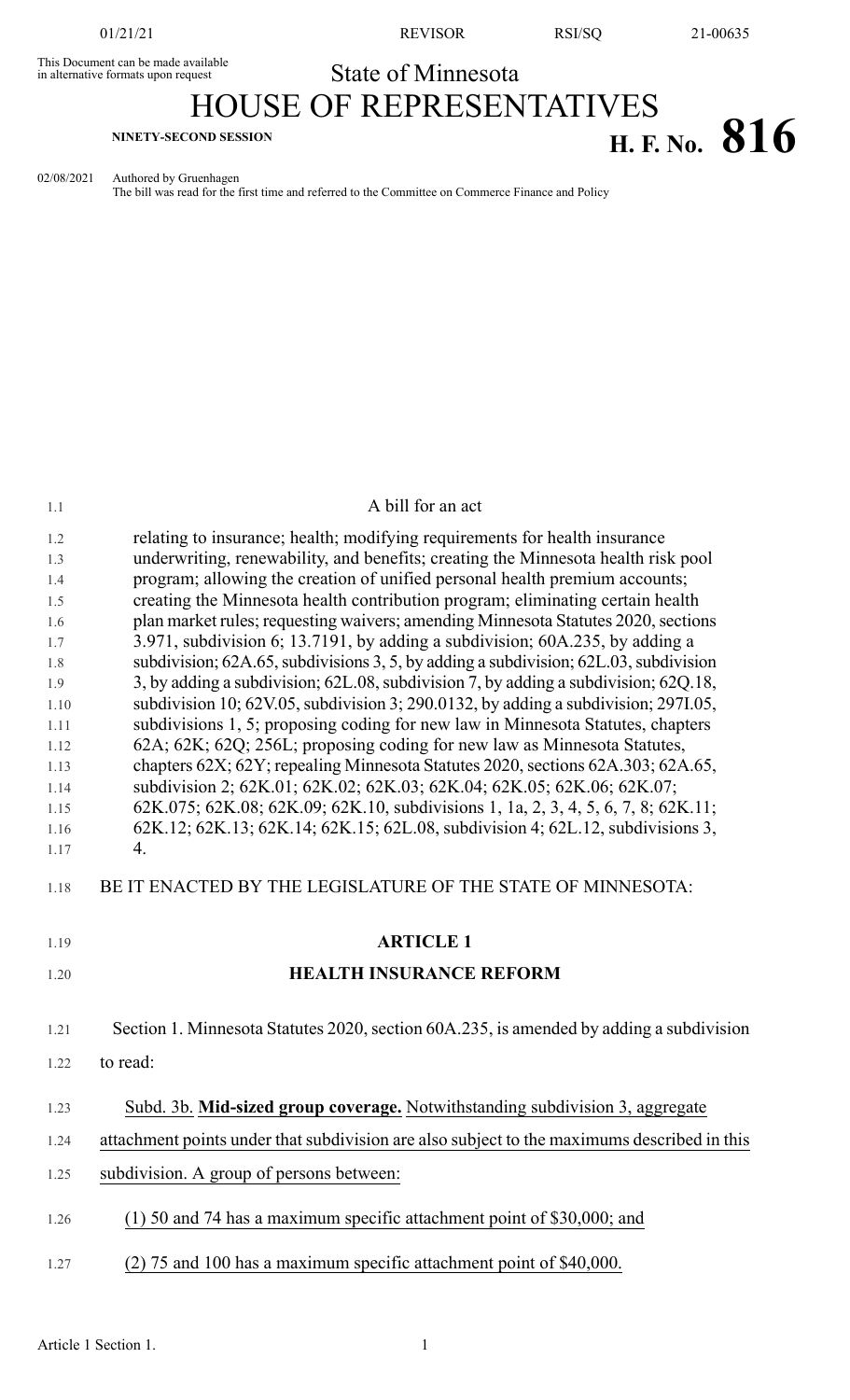This Document can be made available<br>in alternative formats upon request

01/21/21 REVISOR RSI/SQ 21-00635

# State of Minnesota HOUSE OF REPRESENTATIVES **H. F. NO. 816 H. F. No. 816**

02/08/2021 Authored by Gruenhagen

The bill was read for the first time and referred to the Committee on Commerce Finance and Policy

| 1.1          | A bill for an act                                                                                                                                         |
|--------------|-----------------------------------------------------------------------------------------------------------------------------------------------------------|
| 1.2          | relating to insurance; health; modifying requirements for health insurance                                                                                |
| 1.3          | underwriting, renewability, and benefits; creating the Minnesota health risk pool                                                                         |
| 1.4          | program; allowing the creation of unified personal health premium accounts;                                                                               |
| 1.5          | creating the Minnesota health contribution program; eliminating certain health                                                                            |
| 1.6          | plan market rules; requesting waivers; amending Minnesota Statutes 2020, sections                                                                         |
| 1.7          | 3.971, subdivision 6; 13.7191, by adding a subdivision; 60A.235, by adding a                                                                              |
| 1.8          | subdivision; 62A.65, subdivisions 3, 5, by adding a subdivision; 62L.03, subdivision                                                                      |
| 1.9          | 3, by adding a subdivision; 62L.08, subdivision 7, by adding a subdivision; 62Q.18,                                                                       |
| 1.10         | subdivision 10; 62V.05, subdivision 3; 290.0132, by adding a subdivision; 297I.05,                                                                        |
| 1.11         | subdivisions 1, 5; proposing coding for new law in Minnesota Statutes, chapters                                                                           |
| 1.12         | 62A; 62K; 62Q; 256L; proposing coding for new law as Minnesota Statutes,                                                                                  |
| 1.13<br>1.14 | chapters 62X; 62Y; repealing Minnesota Statutes 2020, sections 62A.303; 62A.65,<br>subdivision 2; 62K.01; 62K.02; 62K.03; 62K.04; 62K.05; 62K.06; 62K.07; |
| 1.15         | 62K.075; 62K.08; 62K.09; 62K.10, subdivisions 1, 1a, 2, 3, 4, 5, 6, 7, 8; 62K.11;                                                                         |
| 1.16         | 62K.12; 62K.13; 62K.14; 62K.15; 62L.08, subdivision 4; 62L.12, subdivisions 3,                                                                            |
| 1.17         | 4.                                                                                                                                                        |
| 1.18         | BE IT ENACTED BY THE LEGISLATURE OF THE STATE OF MINNESOTA:                                                                                               |
| 1.19         | <b>ARTICLE 1</b>                                                                                                                                          |
| 1.20         | <b>HEALTH INSURANCE REFORM</b>                                                                                                                            |
| 1.21         | Section 1. Minnesota Statutes 2020, section 60A.235, is amended by adding a subdivision                                                                   |
| 1.22         | to read:                                                                                                                                                  |
| 1.23         | Subd. 3b. Mid-sized group coverage. Notwithstanding subdivision 3, aggregate                                                                              |
| 1.24         | attachment points under that subdivision are also subject to the maximums described in this                                                               |
| 1.25         | subdivision. A group of persons between:                                                                                                                  |
| 1.26         | $(1)$ 50 and 74 has a maximum specific attachment point of \$30,000; and                                                                                  |
| 1.27         | (2) 75 and 100 has a maximum specific attachment point of \$40,000.                                                                                       |
|              |                                                                                                                                                           |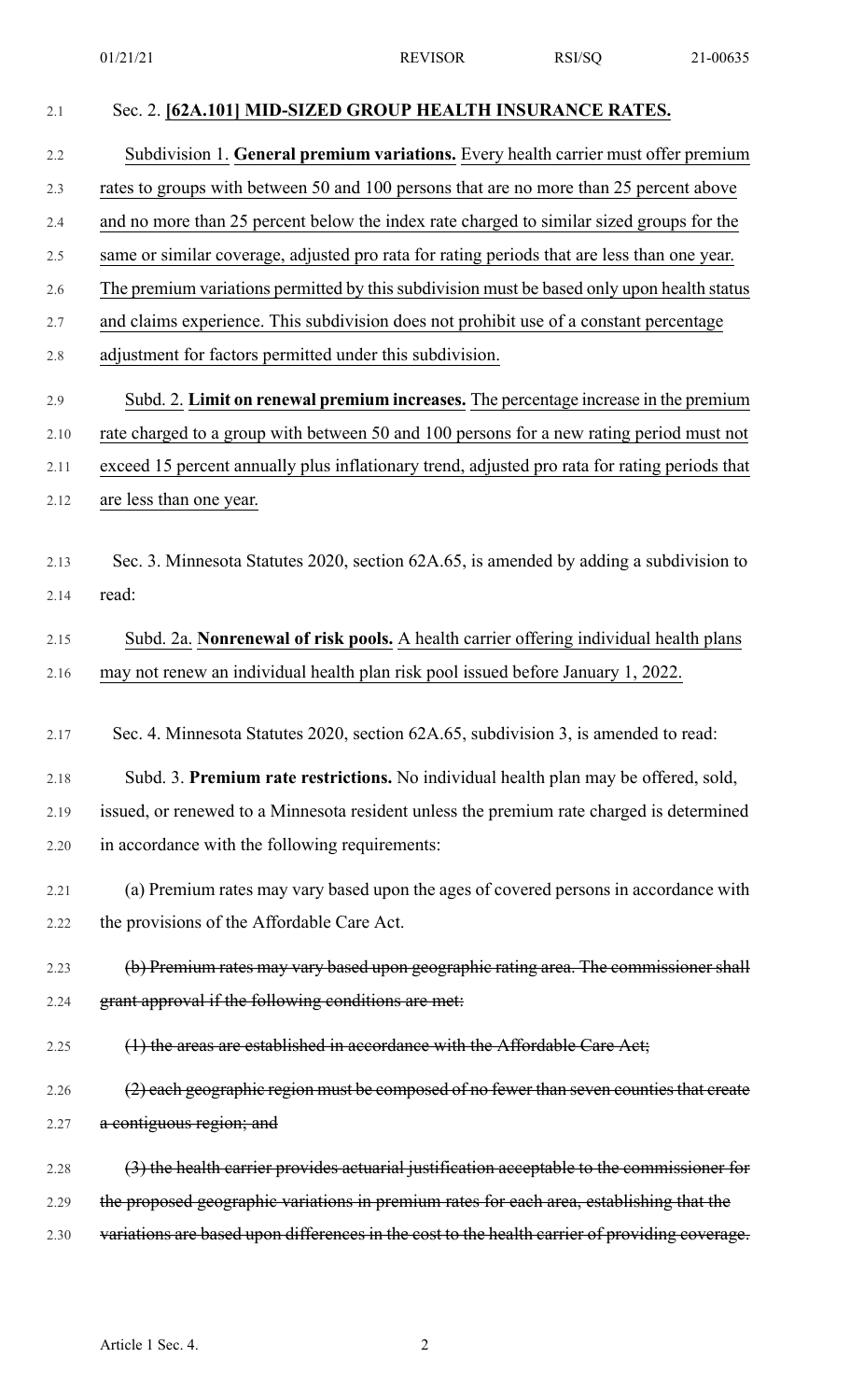| 2.1  | Sec. 2. [62A.101] MID-SIZED GROUP HEALTH INSURANCE RATES.                                      |
|------|------------------------------------------------------------------------------------------------|
| 2.2  | Subdivision 1. General premium variations. Every health carrier must offer premium             |
| 2.3  | rates to groups with between 50 and 100 persons that are no more than 25 percent above         |
| 2.4  | and no more than 25 percent below the index rate charged to similar sized groups for the       |
| 2.5  | same or similar coverage, adjusted pro rata for rating periods that are less than one year.    |
| 2.6  | The premium variations permitted by this subdivision must be based only upon health status     |
| 2.7  | and claims experience. This subdivision does not prohibit use of a constant percentage         |
| 2.8  | adjustment for factors permitted under this subdivision.                                       |
| 2.9  | Subd. 2. Limit on renewal premium increases. The percentage increase in the premium            |
| 2.10 | rate charged to a group with between 50 and 100 persons for a new rating period must not       |
| 2.11 | exceed 15 percent annually plus inflationary trend, adjusted pro rata for rating periods that  |
| 2.12 | are less than one year.                                                                        |
|      |                                                                                                |
| 2.13 | Sec. 3. Minnesota Statutes 2020, section 62A.65, is amended by adding a subdivision to         |
| 2.14 | read:                                                                                          |
| 2.15 | Subd. 2a. Nonrenewal of risk pools. A health carrier offering individual health plans          |
| 2.16 | may not renew an individual health plan risk pool issued before January 1, 2022.               |
|      |                                                                                                |
| 2.17 | Sec. 4. Minnesota Statutes 2020, section 62A.65, subdivision 3, is amended to read:            |
| 2.18 | Subd. 3. Premium rate restrictions. No individual health plan may be offered, sold,            |
| 2.19 | issued, or renewed to a Minnesota resident unless the premium rate charged is determined       |
| 2.20 | in accordance with the following requirements:                                                 |
| 2.21 | (a) Premium rates may vary based upon the ages of covered persons in accordance with           |
| 2.22 | the provisions of the Affordable Care Act.                                                     |
| 2.23 | (b) Premium rates may vary based upon geographic rating area. The commissioner shall           |
| 2.24 | grant approval if the following conditions are met:                                            |
| 2.25 | (1) the areas are established in accordance with the Affordable Care Act;                      |
| 2.26 | (2) each geographic region must be composed of no fewer than seven counties that create        |
| 2.27 | a contiguous region; and                                                                       |
|      |                                                                                                |
| 2.28 | (3) the health carrier provides actuarial justification acceptable to the commissioner for     |
| 2.29 | the proposed geographic variations in premium rates for each area, establishing that the       |
| 2.30 | variations are based upon differences in the cost to the health carrier of providing coverage. |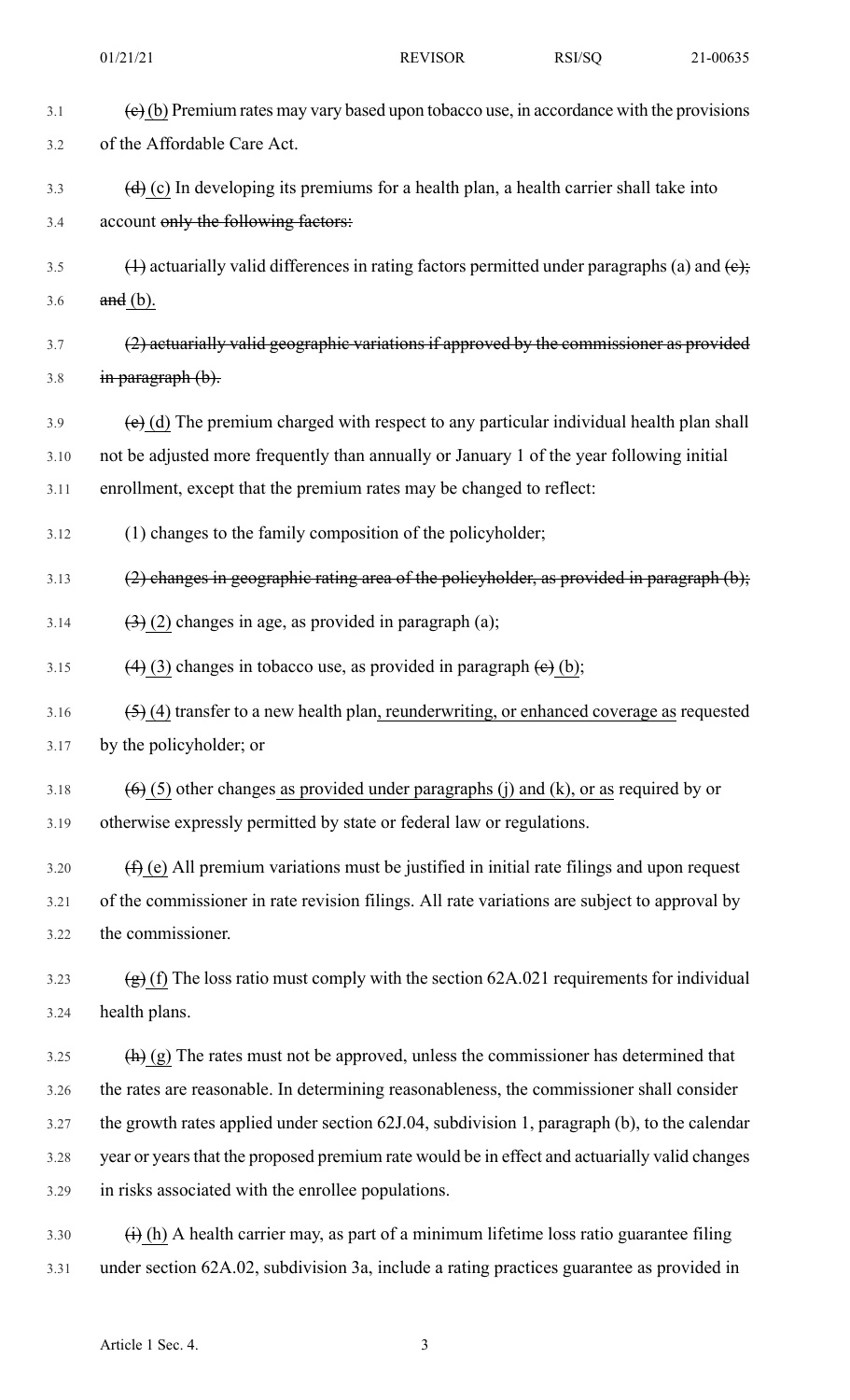| 3.1  | $\left(\frac{e}{e}\right)$ (b) Premium rates may vary based upon tobacco use, in accordance with the provisions |
|------|-----------------------------------------------------------------------------------------------------------------|
| 3.2  | of the Affordable Care Act.                                                                                     |
| 3.3  | $\left(\frac{d}{d}\right)$ (c) In developing its premiums for a health plan, a health carrier shall take into   |
| 3.4  | account only the following factors:                                                                             |
| 3.5  | $(1)$ actuarially valid differences in rating factors permitted under paragraphs (a) and $(e)$ ;                |
| 3.6  | and (b).                                                                                                        |
| 3.7  | (2) actuarially valid geographic variations if approved by the commissioner as provided                         |
| 3.8  | in paragraph (b).                                                                                               |
| 3.9  | $\overline{e}$ (d) The premium charged with respect to any particular individual health plan shall              |
| 3.10 | not be adjusted more frequently than annually or January 1 of the year following initial                        |
| 3.11 | enrollment, except that the premium rates may be changed to reflect:                                            |
| 3.12 | (1) changes to the family composition of the policyholder;                                                      |
| 3.13 | $(2)$ changes in geographic rating area of the policyholder, as provided in paragraph $(b)$ ;                   |
| 3.14 | $\left(\frac{3}{2}\right)$ (2) changes in age, as provided in paragraph (a);                                    |
| 3.15 | $(4)$ (3) changes in tobacco use, as provided in paragraph $(e)$ (b);                                           |
| 3.16 | $(5)$ (4) transfer to a new health plan, reunderwriting, or enhanced coverage as requested                      |
| 3.17 | by the policyholder; or                                                                                         |
| 3.18 | $(6)$ (5) other changes as provided under paragraphs (j) and (k), or as required by or                          |
| 3.19 | otherwise expressly permitted by state or federal law or regulations.                                           |
| 3.20 | $(\hat{H})$ (e) All premium variations must be justified in initial rate filings and upon request               |
| 3.21 | of the commissioner in rate revision filings. All rate variations are subject to approval by                    |
| 3.22 | the commissioner.                                                                                               |
| 3.23 | $\left(\frac{1}{2}\right)$ (f) The loss ratio must comply with the section 62A.021 requirements for individual  |
| 3.24 | health plans.                                                                                                   |
| 3.25 | $\frac{h(h)}{g}$ The rates must not be approved, unless the commissioner has determined that                    |
| 3.26 | the rates are reasonable. In determining reasonableness, the commissioner shall consider                        |
| 3.27 | the growth rates applied under section 62J.04, subdivision 1, paragraph (b), to the calendar                    |
| 3.28 | year or years that the proposed premium rate would be in effect and actuarially valid changes                   |
| 3.29 | in risks associated with the enrollee populations.                                                              |
| 3.30 | $\overrightarrow{(i)}$ (h) A health carrier may, as part of a minimum lifetime loss ratio guarantee filing      |
| 3.31 | under section 62A.02, subdivision 3a, include a rating practices guarantee as provided in                       |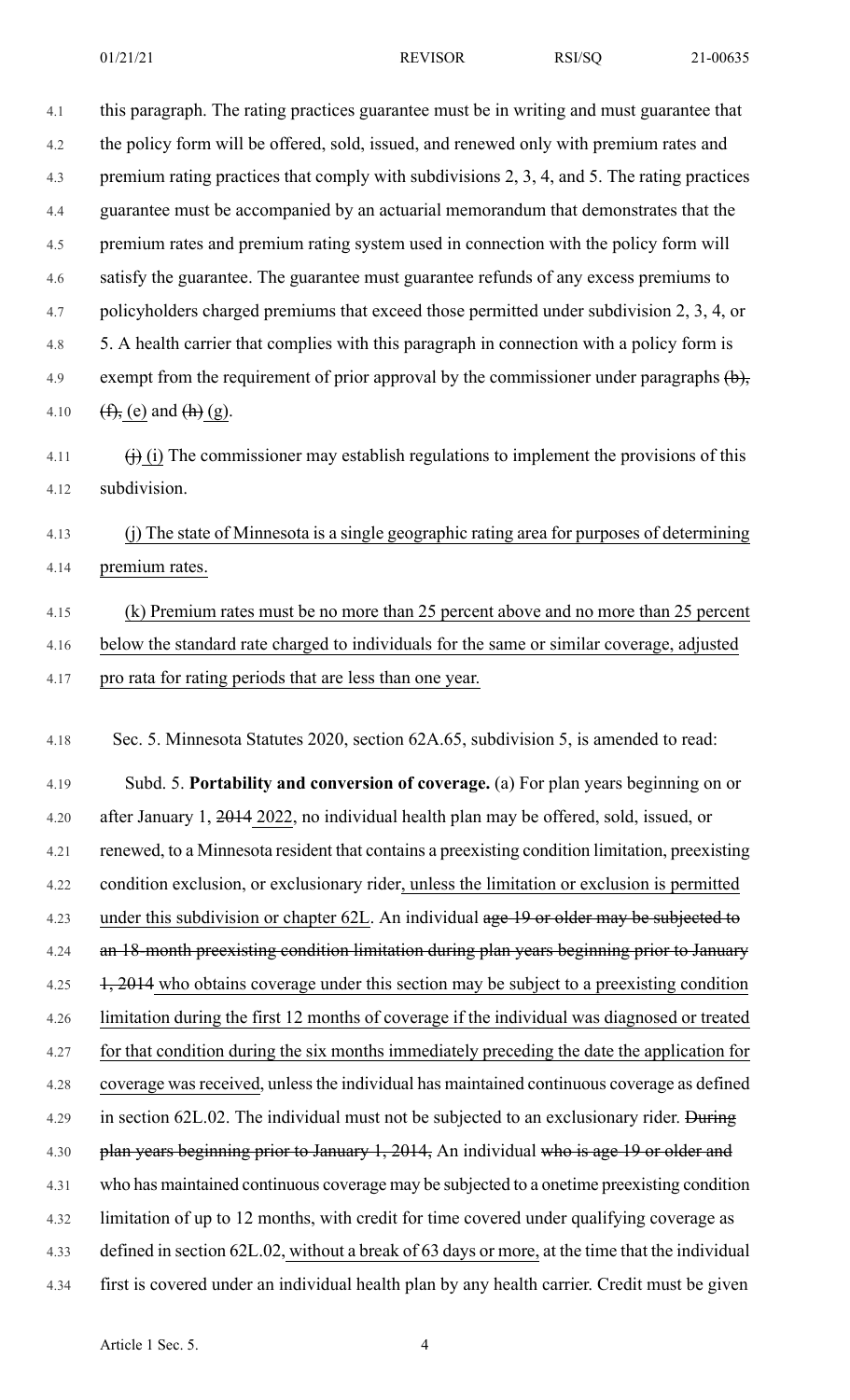| 4.1<br>4.2 |                                                                                                           |
|------------|-----------------------------------------------------------------------------------------------------------|
|            | this paragraph. The rating practices guarantee must be in writing and must guarantee that                 |
|            | the policy form will be offered, sold, issued, and renewed only with premium rates and                    |
| 4.3        | premium rating practices that comply with subdivisions 2, 3, 4, and 5. The rating practices               |
| 4.4        | guarantee must be accompanied by an actuarial memorandum that demonstrates that the                       |
| 4.5        | premium rates and premium rating system used in connection with the policy form will                      |
| 4.6        | satisfy the guarantee. The guarantee must guarantee refunds of any excess premiums to                     |
| 4.7        | policyholders charged premiums that exceed those permitted under subdivision 2, 3, 4, or                  |
| 4.8        | 5. A health carrier that complies with this paragraph in connection with a policy form is                 |
| 4.9        | exempt from the requirement of prior approval by the commissioner under paragraphs $\left(\cdot\right)$ , |
| 4.10       | $(f, e)$ and $(h)$ (g).                                                                                   |
| 4.11       | $\overrightarrow{()}$ (i) The commissioner may establish regulations to implement the provisions of this  |
| 4.12       | subdivision.                                                                                              |
| 4.13       | (j) The state of Minnesota is a single geographic rating area for purposes of determining                 |
| 4.14       | premium rates.                                                                                            |
| 4.15       | (k) Premium rates must be no more than 25 percent above and no more than 25 percent                       |
| 4.16       | below the standard rate charged to individuals for the same or similar coverage, adjusted                 |
| 4.17       | pro rata for rating periods that are less than one year.                                                  |
| 4.18       | Sec. 5. Minnesota Statutes 2020, section 62A.65, subdivision 5, is amended to read:                       |
| 4.19       | Subd. 5. Portability and conversion of coverage. (a) For plan years beginning on or                       |
|            |                                                                                                           |
| 4.20       | after January 1, 2014 2022, no individual health plan may be offered, sold, issued, or                    |
| 4.21       | renewed, to a Minnesota resident that contains a preexisting condition limitation, preexisting            |
| 4.22       | condition exclusion, or exclusionary rider, unless the limitation or exclusion is permitted               |
| 4.23       | under this subdivision or chapter 62L. An individual age 19 or older may be subjected to                  |
| 4.24       | an 18-month preexisting condition limitation during plan years beginning prior to January                 |
| 4.25       | 1, 2014 who obtains coverage under this section may be subject to a preexisting condition                 |
| 4.26       | limitation during the first 12 months of coverage if the individual was diagnosed or treated              |
| 4.27       | for that condition during the six months immediately preceding the date the application for               |
| 4.28       | coverage was received, unless the individual has maintained continuous coverage as defined                |
| 4.29       | in section 62L.02. The individual must not be subjected to an exclusionary rider. During                  |
| 4.30       | plan years beginning prior to January 1, 2014, An individual who is age 19 or older and                   |
| 4.31       | who has maintained continuous coverage may be subjected to a onetime preexisting condition                |
| 4.32       | limitation of up to 12 months, with credit for time covered under qualifying coverage as                  |
| 4.33       | defined in section 62L.02, without a break of 63 days or more, at the time that the individual            |
| 4.34       | first is covered under an individual health plan by any health carrier. Credit must be given              |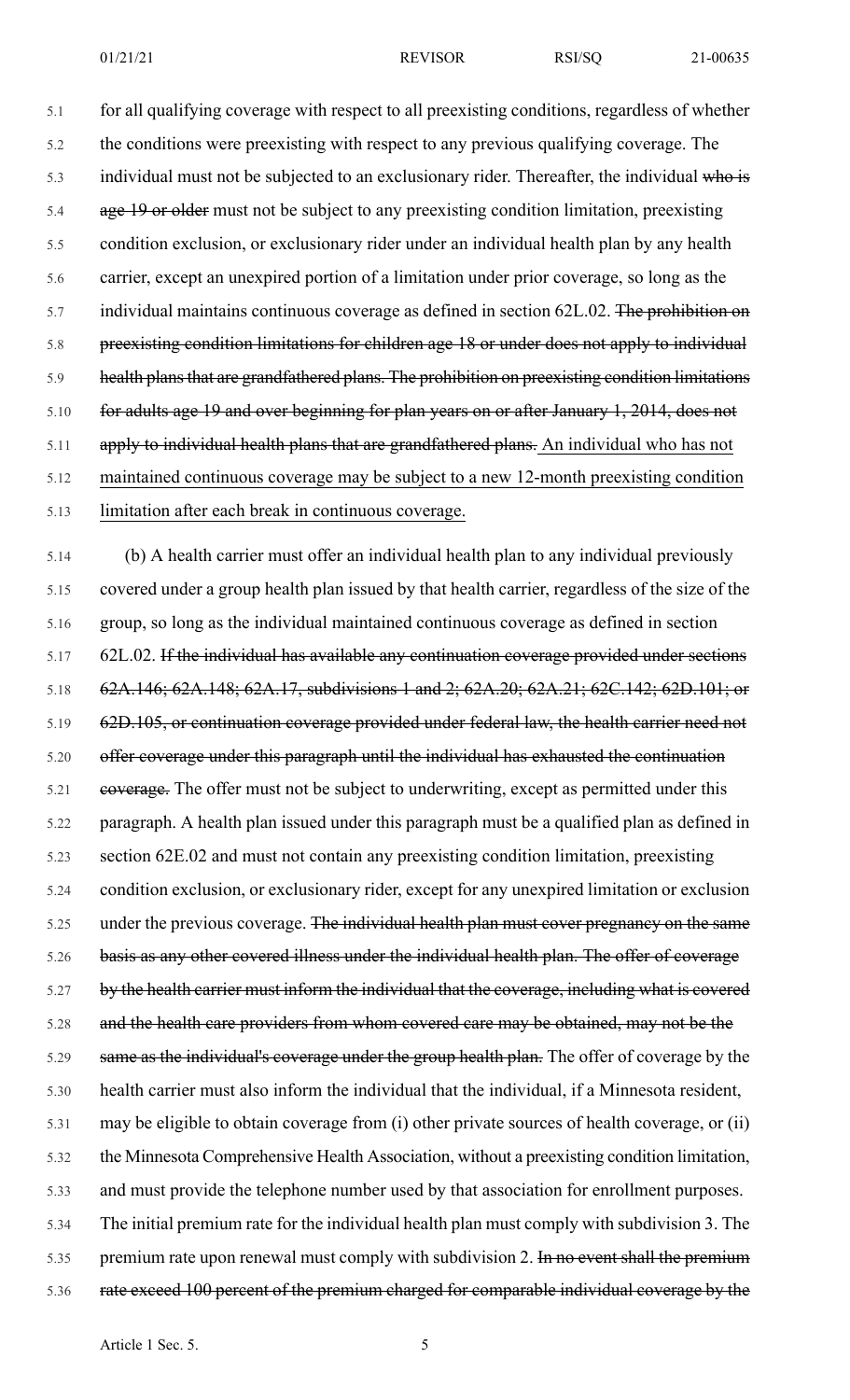5.1 for all qualifying coverage with respect to all preexisting conditions, regardless of whether 5.2 the conditions were preexisting with respect to any previous qualifying coverage. The 5.3 individual must not be subjected to an exclusionary rider. Thereafter, the individual who is 5.4 age 19 or older must not be subject to any preexisting condition limitation, preexisting 5.5 condition exclusion, or exclusionary rider under an individual health plan by any health 5.6 carrier, except an unexpired portion of a limitation under prior coverage, so long as the  $5.7$  individual maintains continuous coverage as defined in section 62L.02. The prohibition on 5.8 preexisting condition limitations for children age 18 or under does not apply to individual 5.9 health plans that are grandfathered plans. The prohibition on preexisting condition limitations 5.10 for adults age 19 and over beginning for plan years on or after January 1, 2014, does not 5.11 apply to individual health plans that are grandfathered plans. An individual who has not 5.12 maintained continuous coverage may be subject to a new 12-month preexisting condition 5.13 limitation after each break in continuous coverage.

5.14 (b) A health carrier must offer an individual health plan to any individual previously 5.15 covered under a group health plan issued by that health carrier, regardless of the size of the 5.16 group, so long as the individual maintained continuous coverage as defined in section 5.17 62L.02. If the individual has available any continuation coverage provided under sections 5.18 62A.146; 62A.148; 62A.17, subdivisions 1 and 2; 62A.20; 62A.21; 62C.142; 62D.101; or 5.19 62D.105, or continuation coverage provided under federal law, the health carrier need not 5.20 offer coverage under this paragraph until the individual has exhausted the continuation 5.21 eoverage. The offer must not be subject to underwriting, except as permitted under this 5.22 paragraph. A health plan issued under this paragraph must be a qualified plan as defined in 5.23 section 62E.02 and must not contain any preexisting condition limitation, preexisting 5.24 condition exclusion, or exclusionary rider, except for any unexpired limitation or exclusion 5.25 under the previous coverage. The individual health plan must cover pregnancy on the same 5.26 basis as any other covered illness under the individual health plan. The offer of coverage 5.27 by the health carrier must inform the individual that the coverage, including what is covered 5.28 and the health care providers from whom covered care may be obtained, may not be the 5.29 same as the individual's coverage under the group health plan. The offer of coverage by the 5.30 health carrier must also inform the individual that the individual, if a Minnesota resident, 5.31 may be eligible to obtain coverage from (i) other private sources of health coverage, or (ii) 5.32 the Minnesota Comprehensive Health Association, without a preexisting condition limitation, 5.33 and must provide the telephone number used by that association for enrollment purposes. 5.34 The initial premium rate for the individual health plan must comply with subdivision 3. The 5.35 premium rate upon renewal must comply with subdivision 2. In no event shall the premium 5.36 rate exceed 100 percent of the premium charged for comparable individual coverage by the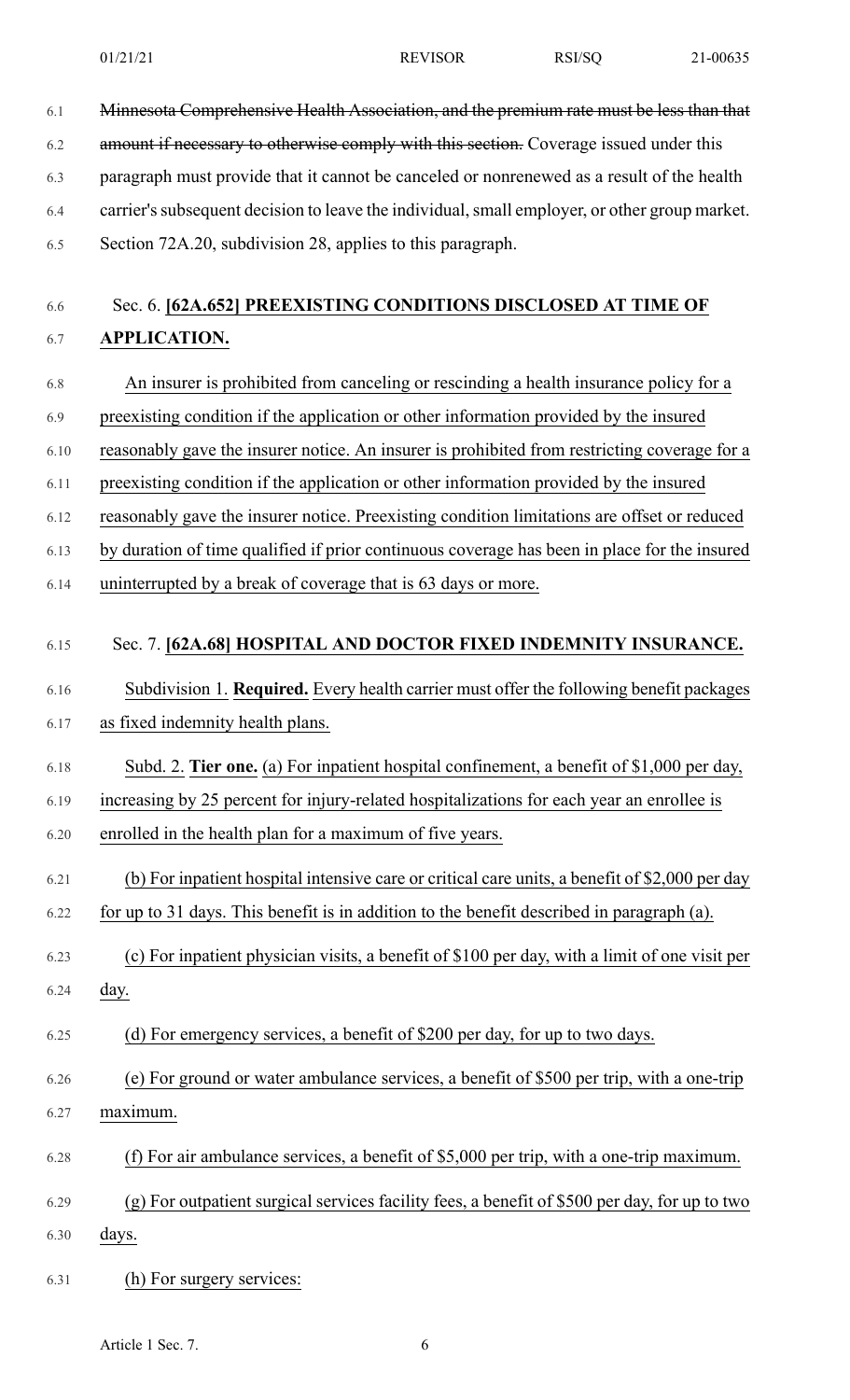- 6.1 Minnesota Comprehensive Health Association, and the premium rate must be less than that
- 6.3 paragraph must provide that it cannot be canceled or nonrenewed as a result of the health

6.2 amount if necessary to otherwise comply with this section. Coverage issued under this

- 6.4 carrier'ssubsequent decision to leave the individual,small employer, or other group market.
- 6.5 Section 72A.20, subdivision 28, applies to this paragraph.

# 6.6 Sec. 6. **[62A.652] PREEXISTING CONDITIONS DISCLOSED AT TIME OF** 6.7 **APPLICATION.**

- 6.8 An insurer is prohibited from canceling or rescinding a health insurance policy for a
- 6.9 preexisting condition if the application or other information provided by the insured
- 6.10 reasonably gave the insurer notice. An insurer is prohibited from restricting coverage for a
- 6.11 preexisting condition if the application or other information provided by the insured
- 6.12 reasonably gave the insurer notice. Preexisting condition limitations are offset or reduced
- 6.13 by duration of time qualified if prior continuous coverage has been in place for the insured
- 6.14 uninterrupted by a break of coverage that is 63 days or more.

# 6.15 Sec. 7. **[62A.68] HOSPITAL AND DOCTOR FIXED INDEMNITY INSURANCE.**

- 6.16 Subdivision 1. **Required.** Every health carrier must offer the following benefit packages
- 6.17 as fixed indemnity health plans.
- 6.18 Subd. 2. **Tier one.** (a) For inpatient hospital confinement, a benefit of \$1,000 per day, 6.19 increasing by 25 percent for injury-related hospitalizations for each year an enrollee is
- 6.20 enrolled in the health plan for a maximum of five years.
- 6.21 (b) For inpatient hospital intensive care or critical care units, a benefit of \$2,000 per day
- 6.22 for up to 31 days. This benefit is in addition to the benefit described in paragraph (a).
- 6.23 (c) For inpatient physician visits, a benefit of \$100 per day, with a limit of one visit per 6.24 day.
- 
- 6.25 (d) For emergency services, a benefit of \$200 per day, for up to two days.
- 6.26 (e) For ground or water ambulance services, a benefit of \$500 per trip, with a one-trip 6.27 maximum.
- 6.28 (f) For air ambulance services, a benefit of \$5,000 per trip, with a one-trip maximum.
- 6.29 (g) For outpatient surgical services facility fees, a benefit of \$500 per day, for up to two
- 6.30 days.
- 6.31 (h) For surgery services: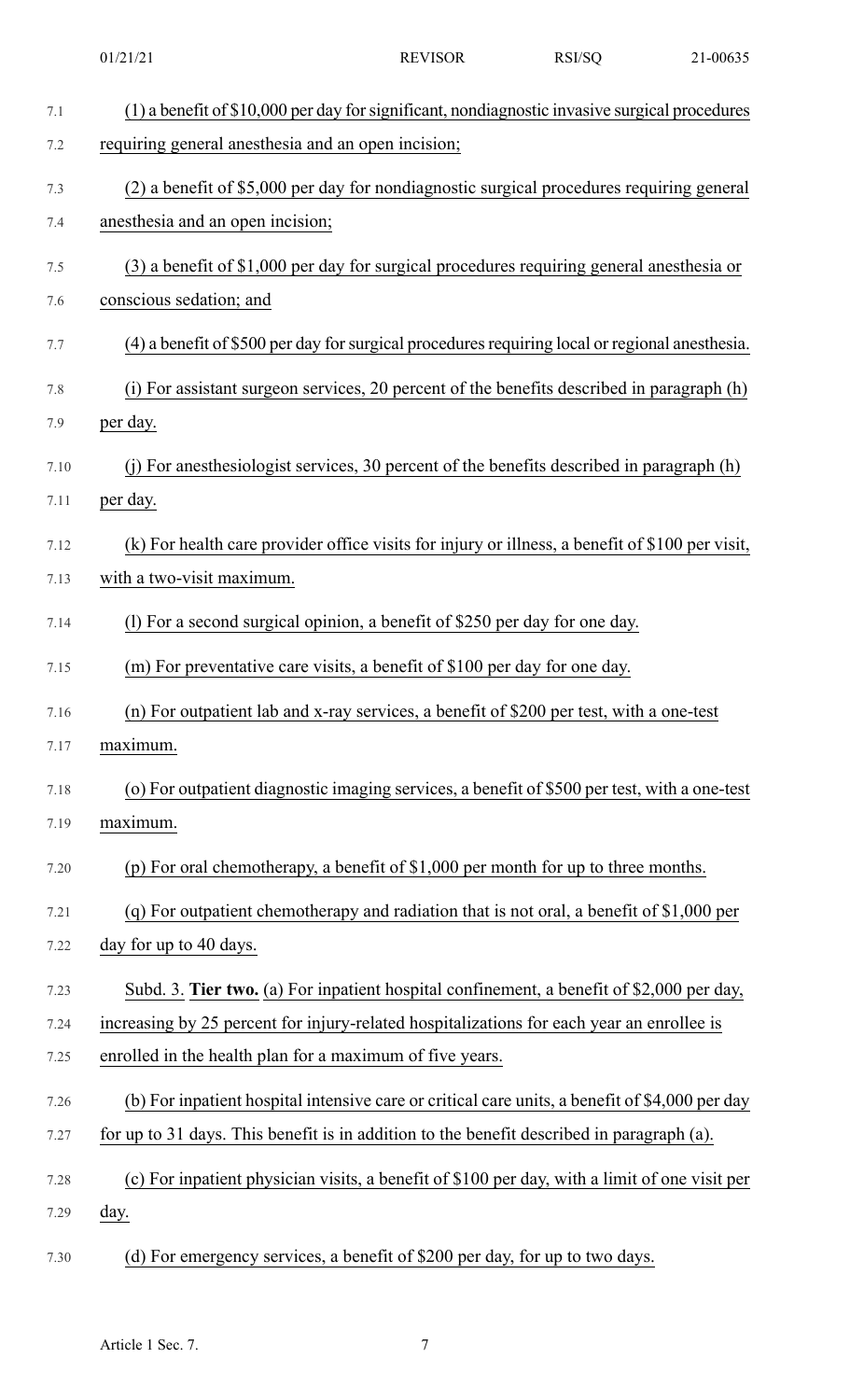|      | 01/21/21                                                                                        | <b>REVISOR</b> | RSI/SQ | 21-00635 |
|------|-------------------------------------------------------------------------------------------------|----------------|--------|----------|
| 7.1  | (1) a benefit of \$10,000 per day for significant, nondiagnostic invasive surgical procedures   |                |        |          |
| 7.2  | requiring general anesthesia and an open incision;                                              |                |        |          |
| 7.3  | (2) a benefit of \$5,000 per day for nondiagnostic surgical procedures requiring general        |                |        |          |
| 7.4  | anesthesia and an open incision;                                                                |                |        |          |
| 7.5  | $(3)$ a benefit of \$1,000 per day for surgical procedures requiring general anesthesia or      |                |        |          |
| 7.6  | conscious sedation; and                                                                         |                |        |          |
| 7.7  | (4) a benefit of \$500 per day for surgical procedures requiring local or regional anesthesia.  |                |        |          |
| 7.8  | (i) For assistant surgeon services, 20 percent of the benefits described in paragraph (h)       |                |        |          |
| 7.9  | per day.                                                                                        |                |        |          |
| 7.10 | (j) For anesthesiologist services, 30 percent of the benefits described in paragraph (h)        |                |        |          |
| 7.11 | per day.                                                                                        |                |        |          |
| 7.12 | (k) For health care provider office visits for injury or illness, a benefit of \$100 per visit, |                |        |          |
| 7.13 | with a two-visit maximum.                                                                       |                |        |          |
| 7.14 | (1) For a second surgical opinion, a benefit of \$250 per day for one day.                      |                |        |          |
| 7.15 | (m) For preventative care visits, a benefit of \$100 per day for one day.                       |                |        |          |
| 7.16 | (n) For outpatient lab and x-ray services, a benefit of \$200 per test, with a one-test         |                |        |          |
| 7.17 | maximum.                                                                                        |                |        |          |
| 7.18 | (o) For outpatient diagnostic imaging services, a benefit of \$500 per test, with a one-test    |                |        |          |
| 7.19 | maximum.                                                                                        |                |        |          |
| 7.20 | (p) For oral chemotherapy, a benefit of $$1,000$ per month for up to three months.              |                |        |          |
| 7.21 | (q) For outpatient chemotherapy and radiation that is not oral, a benefit of $$1,000$ per       |                |        |          |
| 7.22 | day for up to 40 days.                                                                          |                |        |          |
| 7.23 | Subd. 3. Tier two. (a) For inpatient hospital confinement, a benefit of \$2,000 per day,        |                |        |          |
| 7.24 | increasing by 25 percent for injury-related hospitalizations for each year an enrollee is       |                |        |          |
| 7.25 | enrolled in the health plan for a maximum of five years.                                        |                |        |          |
| 7.26 | (b) For inpatient hospital intensive care or critical care units, a benefit of \$4,000 per day  |                |        |          |
| 7.27 | for up to 31 days. This benefit is in addition to the benefit described in paragraph (a).       |                |        |          |
| 7.28 | (c) For inpatient physician visits, a benefit of \$100 per day, with a limit of one visit per   |                |        |          |
| 7.29 | <u>day</u> .                                                                                    |                |        |          |
| 7.30 | (d) For emergency services, a benefit of \$200 per day, for up to two days.                     |                |        |          |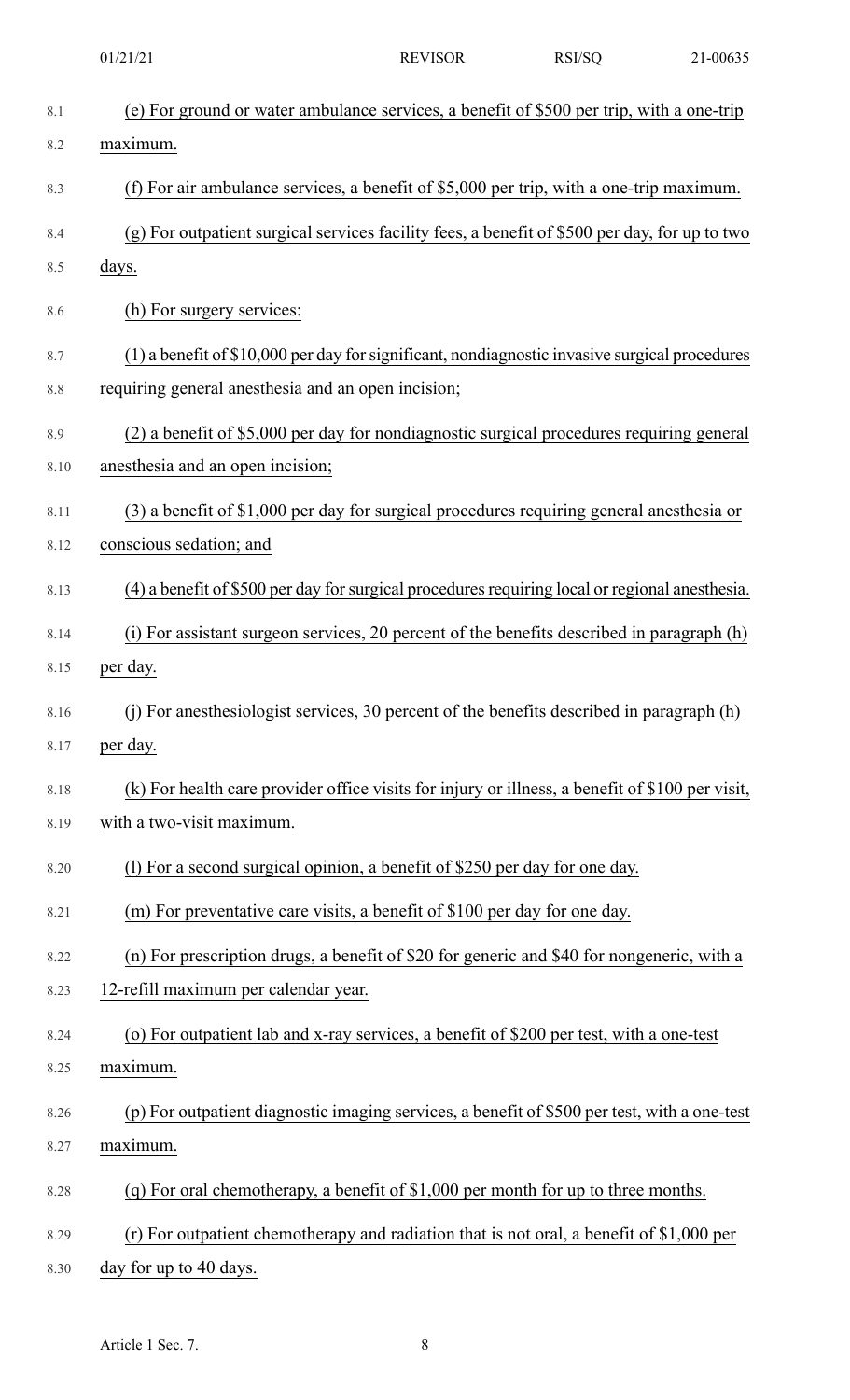|              | 01/21/21                                                                                                 | <b>REVISOR</b> | RSI/SQ | 21-00635 |
|--------------|----------------------------------------------------------------------------------------------------------|----------------|--------|----------|
| 8.1          | (e) For ground or water ambulance services, a benefit of \$500 per trip, with a one-trip                 |                |        |          |
| 8.2          | maximum.                                                                                                 |                |        |          |
| 8.3          | (f) For air ambulance services, a benefit of $$5,000$ per trip, with a one-trip maximum.                 |                |        |          |
| 8.4          | (g) For outpatient surgical services facility fees, a benefit of \$500 per day, for up to two            |                |        |          |
| 8.5          | days.                                                                                                    |                |        |          |
| 8.6          | (h) For surgery services:                                                                                |                |        |          |
| 8.7          | (1) a benefit of \$10,000 per day for significant, nondiagnostic invasive surgical procedures            |                |        |          |
| 8.8          | requiring general anesthesia and an open incision;                                                       |                |        |          |
| 8.9          | (2) a benefit of \$5,000 per day for nondiagnostic surgical procedures requiring general                 |                |        |          |
| 8.10         | anes the sia and an open incision;                                                                       |                |        |          |
| 8.11         | (3) a benefit of \$1,000 per day for surgical procedures requiring general anesthesia or                 |                |        |          |
| 8.12         | conscious sedation; and                                                                                  |                |        |          |
| 8.13         | (4) a benefit of \$500 per day for surgical procedures requiring local or regional anesthesia.           |                |        |          |
| 8.14         | (i) For assistant surgeon services, 20 percent of the benefits described in paragraph (h)                |                |        |          |
| 8.15         | per day.                                                                                                 |                |        |          |
| 8.16         | (j) For an esthesiologist services, 30 percent of the benefits described in paragraph (h)                |                |        |          |
| 8.17         | per day.                                                                                                 |                |        |          |
| 8.18         | (k) For health care provider office visits for injury or illness, a benefit of \$100 per visit,          |                |        |          |
| 8.19         | with a two-visit maximum.                                                                                |                |        |          |
| 8.20         | (1) For a second surgical opinion, a benefit of \$250 per day for one day.                               |                |        |          |
| 8.21         | (m) For preventative care visits, a benefit of \$100 per day for one day.                                |                |        |          |
| 8.22         | (n) For prescription drugs, a benefit of \$20 for generic and \$40 for nongeneric, with a                |                |        |          |
| 8.23         | 12-refill maximum per calendar year.                                                                     |                |        |          |
| 8.24         | (o) For outpatient lab and x-ray services, a benefit of \$200 per test, with a one-test                  |                |        |          |
| 8.25         | maximum.                                                                                                 |                |        |          |
| 8.26<br>8.27 | (p) For outpatient diagnostic imaging services, a benefit of \$500 per test, with a one-test<br>maximum. |                |        |          |
|              |                                                                                                          |                |        |          |
| 8.28         | (q) For oral chemotherapy, a benefit of $$1,000$ per month for up to three months.                       |                |        |          |
| 8.29         | (r) For outpatient chemotherapy and radiation that is not oral, a benefit of \$1,000 per                 |                |        |          |
| 8.30         | day for up to 40 days.                                                                                   |                |        |          |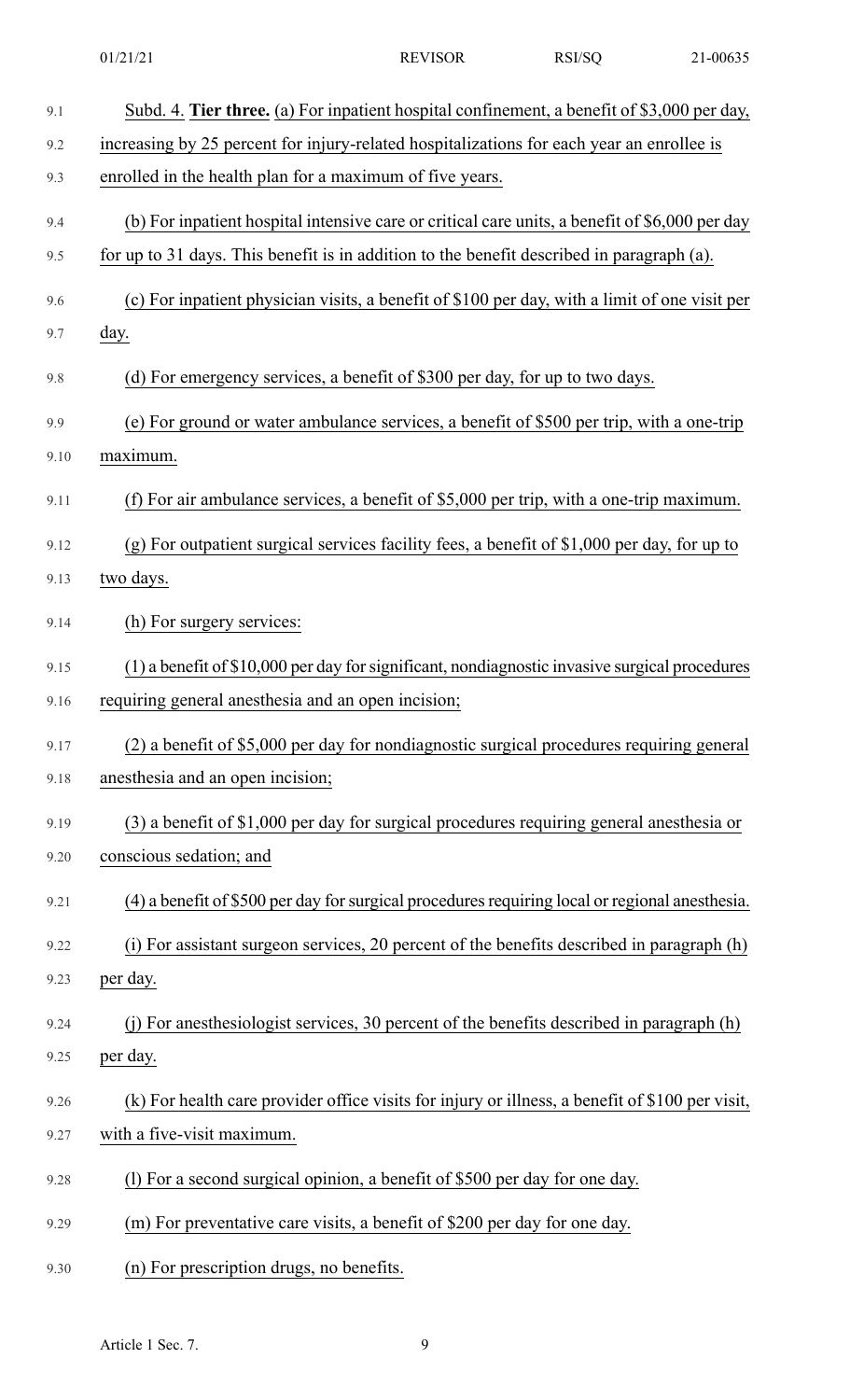| 9.1  | Subd. 4. Tier three. (a) For inpatient hospital confinement, a benefit of \$3,000 per day,      |
|------|-------------------------------------------------------------------------------------------------|
| 9.2  | increasing by 25 percent for injury-related hospitalizations for each year an enrollee is       |
| 9.3  | enrolled in the health plan for a maximum of five years.                                        |
| 9.4  | (b) For inpatient hospital intensive care or critical care units, a benefit of \$6,000 per day  |
| 9.5  | for up to 31 days. This benefit is in addition to the benefit described in paragraph (a).       |
| 9.6  | (c) For inpatient physician visits, a benefit of \$100 per day, with a limit of one visit per   |
| 9.7  | day.                                                                                            |
| 9.8  | (d) For emergency services, a benefit of \$300 per day, for up to two days.                     |
| 9.9  | (e) For ground or water ambulance services, a benefit of \$500 per trip, with a one-trip        |
| 9.10 | maximum.                                                                                        |
| 9.11 | (f) For air ambulance services, a benefit of $$5,000$ per trip, with a one-trip maximum.        |
| 9.12 | $(g)$ For outpatient surgical services facility fees, a benefit of \$1,000 per day, for up to   |
| 9.13 | two days.                                                                                       |
| 9.14 | (h) For surgery services:                                                                       |
| 9.15 | (1) a benefit of \$10,000 per day for significant, nondiagnostic invasive surgical procedures   |
| 9.16 | requiring general anesthesia and an open incision;                                              |
| 9.17 | (2) a benefit of \$5,000 per day for nondiagnostic surgical procedures requiring general        |
| 9.18 | anesthesia and an open incision;                                                                |
| 9.19 | $(3)$ a benefit of \$1,000 per day for surgical procedures requiring general anesthesia or      |
| 9.20 | conscious sedation; and                                                                         |
| 9.21 | (4) a benefit of \$500 per day for surgical procedures requiring local or regional anesthesia.  |
| 9.22 | (i) For assistant surgeon services, 20 percent of the benefits described in paragraph (h)       |
| 9.23 | per day.                                                                                        |
| 9.24 | (j) For anesthesiologist services, 30 percent of the benefits described in paragraph (h)        |
| 9.25 | per day.                                                                                        |
| 9.26 | (k) For health care provider office visits for injury or illness, a benefit of \$100 per visit, |
| 9.27 | with a five-visit maximum.                                                                      |
| 9.28 | (1) For a second surgical opinion, a benefit of \$500 per day for one day.                      |
| 9.29 | (m) For preventative care visits, a benefit of \$200 per day for one day.                       |
| 9.30 | (n) For prescription drugs, no benefits.                                                        |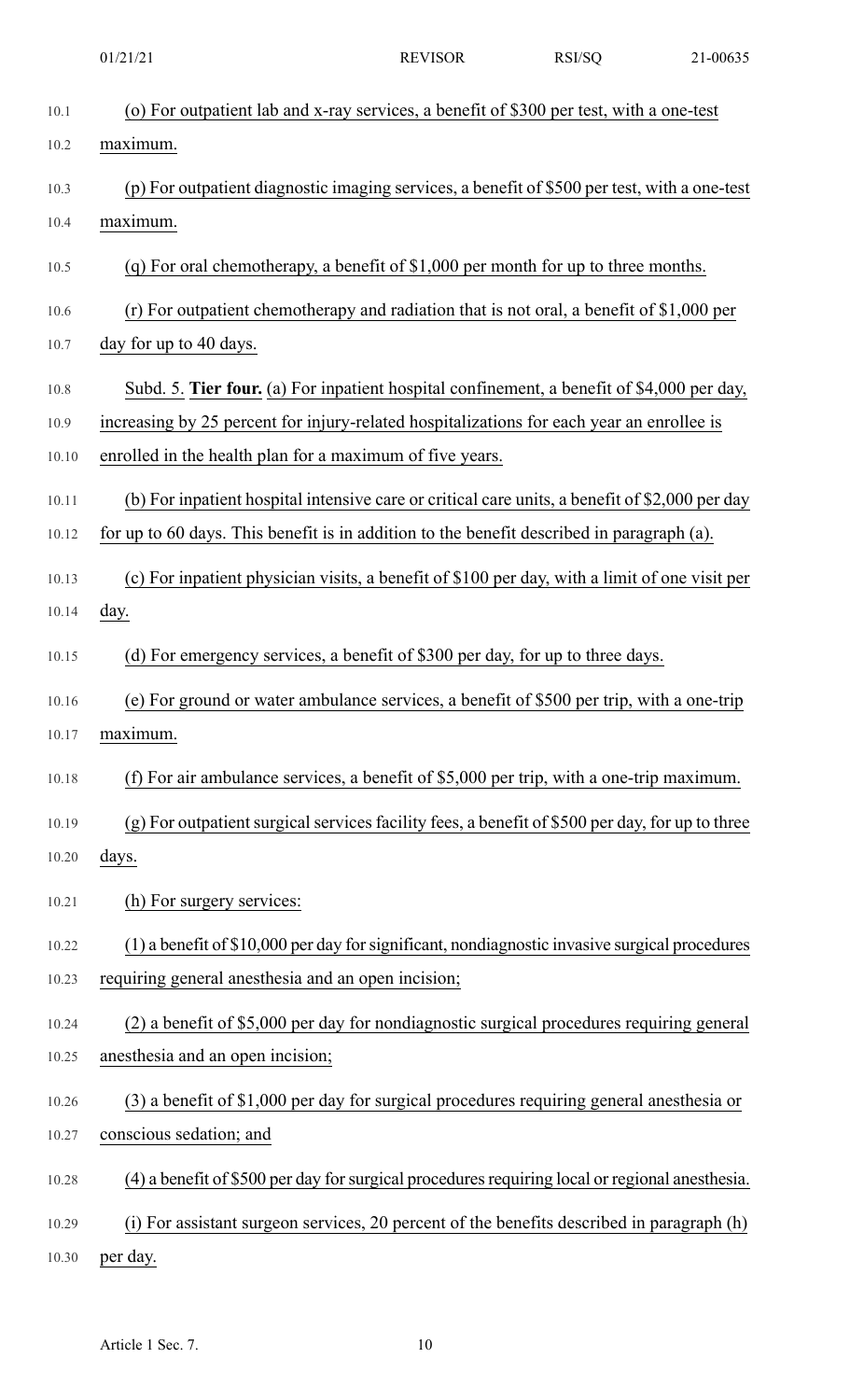| 01/21/2<br>1 |
|--------------|
|--------------|

REVISOR RSI/SQ 21-00635

| 10.1  | (o) For outpatient lab and x-ray services, a benefit of \$300 per test, with a one-test         |
|-------|-------------------------------------------------------------------------------------------------|
| 10.2  | maximum.                                                                                        |
| 10.3  | (p) For outpatient diagnostic imaging services, a benefit of \$500 per test, with a one-test    |
| 10.4  | maximum.                                                                                        |
| 10.5  | (q) For oral chemotherapy, a benefit of $$1,000$ per month for up to three months.              |
| 10.6  | (r) For outpatient chemotherapy and radiation that is not oral, a benefit of $$1,000$ per       |
| 10.7  | day for up to 40 days.                                                                          |
| 10.8  | Subd. 5. Tier four. (a) For inpatient hospital confinement, a benefit of \$4,000 per day,       |
| 10.9  | increasing by 25 percent for injury-related hospitalizations for each year an enrollee is       |
| 10.10 | enrolled in the health plan for a maximum of five years.                                        |
| 10.11 | (b) For inpatient hospital intensive care or critical care units, a benefit of \$2,000 per day  |
| 10.12 | for up to 60 days. This benefit is in addition to the benefit described in paragraph (a).       |
| 10.13 | (c) For inpatient physician visits, a benefit of \$100 per day, with a limit of one visit per   |
| 10.14 | <u>day</u> .                                                                                    |
| 10.15 | (d) For emergency services, a benefit of \$300 per day, for up to three days.                   |
| 10.16 | (e) For ground or water ambulance services, a benefit of \$500 per trip, with a one-trip        |
| 10.17 | maximum.                                                                                        |
| 10.18 | (f) For air ambulance services, a benefit of $$5,000$ per trip, with a one-trip maximum.        |
| 10.19 | (g) For outpatient surgical services facility fees, a benefit of \$500 per day, for up to three |
| 10.20 | days.                                                                                           |
| 10.21 | (h) For surgery services:                                                                       |
| 10.22 | (1) a benefit of \$10,000 per day for significant, nondiagnostic invasive surgical procedures   |
| 10.23 | requiring general anesthesia and an open incision;                                              |
| 10.24 | (2) a benefit of \$5,000 per day for nondiagnostic surgical procedures requiring general        |
| 10.25 | anesthesia and an open incision;                                                                |
| 10.26 | $(3)$ a benefit of \$1,000 per day for surgical procedures requiring general anesthesia or      |
| 10.27 | conscious sedation; and                                                                         |
| 10.28 | (4) a benefit of \$500 per day for surgical procedures requiring local or regional anesthesia.  |
| 10.29 | (i) For assistant surgeon services, 20 percent of the benefits described in paragraph (h)       |
| 10.30 | per day.                                                                                        |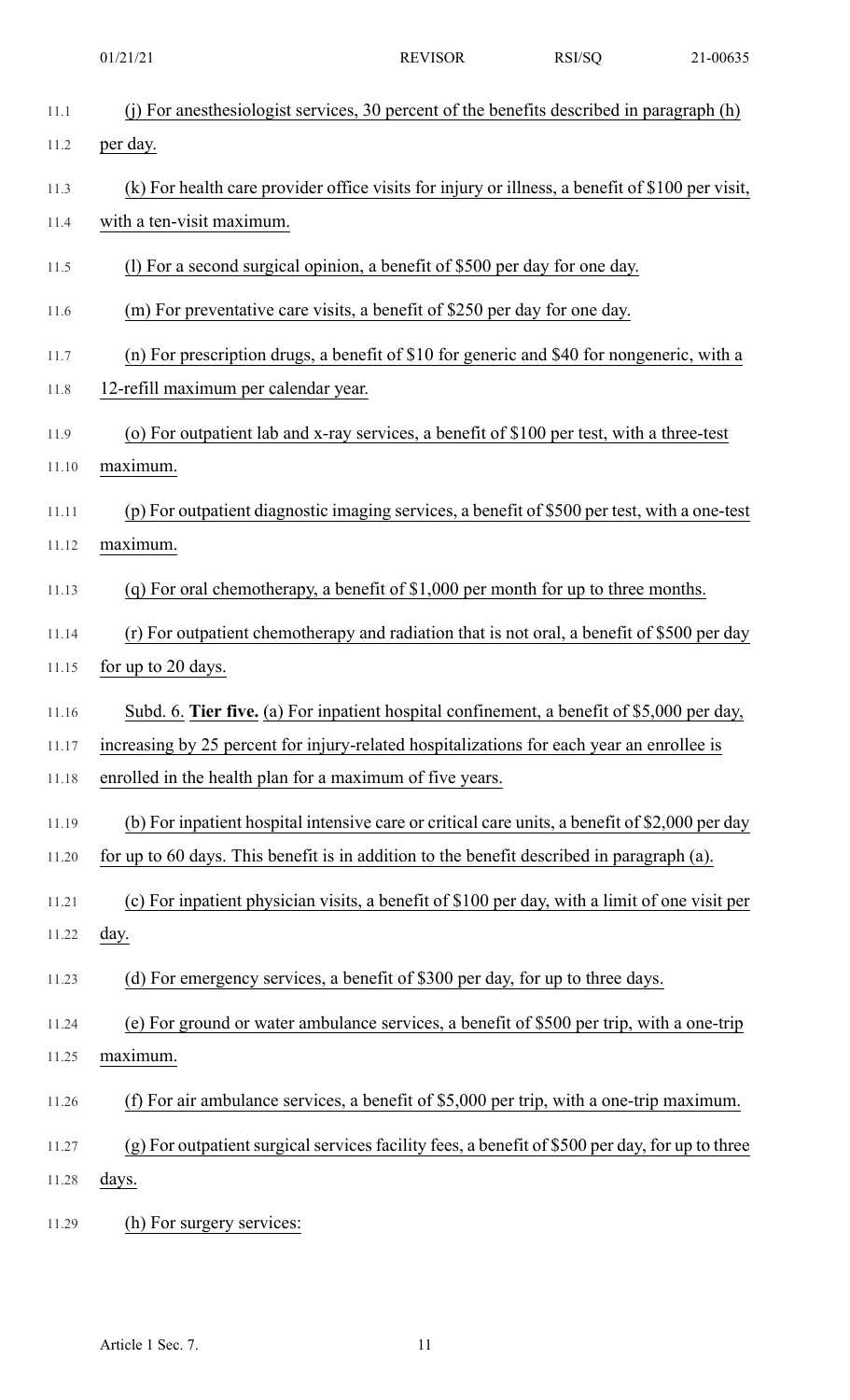|       | 01/21/21                                                                                        | <b>REVISOR</b> | RSI/SQ | 21-00635 |
|-------|-------------------------------------------------------------------------------------------------|----------------|--------|----------|
| 11.1  | (j) For anesthesiologist services, 30 percent of the benefits described in paragraph (h)        |                |        |          |
| 11.2  | per day.                                                                                        |                |        |          |
| 11.3  | (k) For health care provider office visits for injury or illness, a benefit of \$100 per visit, |                |        |          |
| 11.4  | with a ten-visit maximum.                                                                       |                |        |          |
| 11.5  | (1) For a second surgical opinion, a benefit of \$500 per day for one day.                      |                |        |          |
| 11.6  | (m) For preventative care visits, a benefit of \$250 per day for one day.                       |                |        |          |
| 11.7  | (n) For prescription drugs, a benefit of \$10 for generic and \$40 for nongeneric, with a       |                |        |          |
| 11.8  | 12-refill maximum per calendar year.                                                            |                |        |          |
| 11.9  | (o) For outpatient lab and x-ray services, a benefit of \$100 per test, with a three-test       |                |        |          |
| 11.10 | maximum.                                                                                        |                |        |          |
| 11.11 | (p) For outpatient diagnostic imaging services, a benefit of \$500 per test, with a one-test    |                |        |          |
| 11.12 | maximum.                                                                                        |                |        |          |
| 11.13 | (q) For oral chemotherapy, a benefit of $$1,000$ per month for up to three months.              |                |        |          |
| 11.14 | (r) For outpatient chemotherapy and radiation that is not oral, a benefit of \$500 per day      |                |        |          |
| 11.15 | for up to 20 days.                                                                              |                |        |          |
| 11.16 | Subd. 6. Tier five. (a) For inpatient hospital confinement, a benefit of \$5,000 per day,       |                |        |          |
| 11.17 | increasing by 25 percent for injury-related hospitalizations for each year an enrollee is       |                |        |          |
| 11.18 | enrolled in the health plan for a maximum of five years.                                        |                |        |          |
| 11.19 | (b) For inpatient hospital intensive care or critical care units, a benefit of \$2,000 per day  |                |        |          |
| 11.20 | for up to 60 days. This benefit is in addition to the benefit described in paragraph (a).       |                |        |          |
| 11.21 | (c) For inpatient physician visits, a benefit of \$100 per day, with a limit of one visit per   |                |        |          |
| 11.22 | day.                                                                                            |                |        |          |
| 11.23 | (d) For emergency services, a benefit of \$300 per day, for up to three days.                   |                |        |          |
| 11.24 | (e) For ground or water ambulance services, a benefit of \$500 per trip, with a one-trip        |                |        |          |
| 11.25 | maximum.                                                                                        |                |        |          |
| 11.26 | (f) For air ambulance services, a benefit of $$5,000$ per trip, with a one-trip maximum.        |                |        |          |
| 11.27 | (g) For outpatient surgical services facility fees, a benefit of \$500 per day, for up to three |                |        |          |
| 11.28 | days.                                                                                           |                |        |          |
| 11.29 | (h) For surgery services:                                                                       |                |        |          |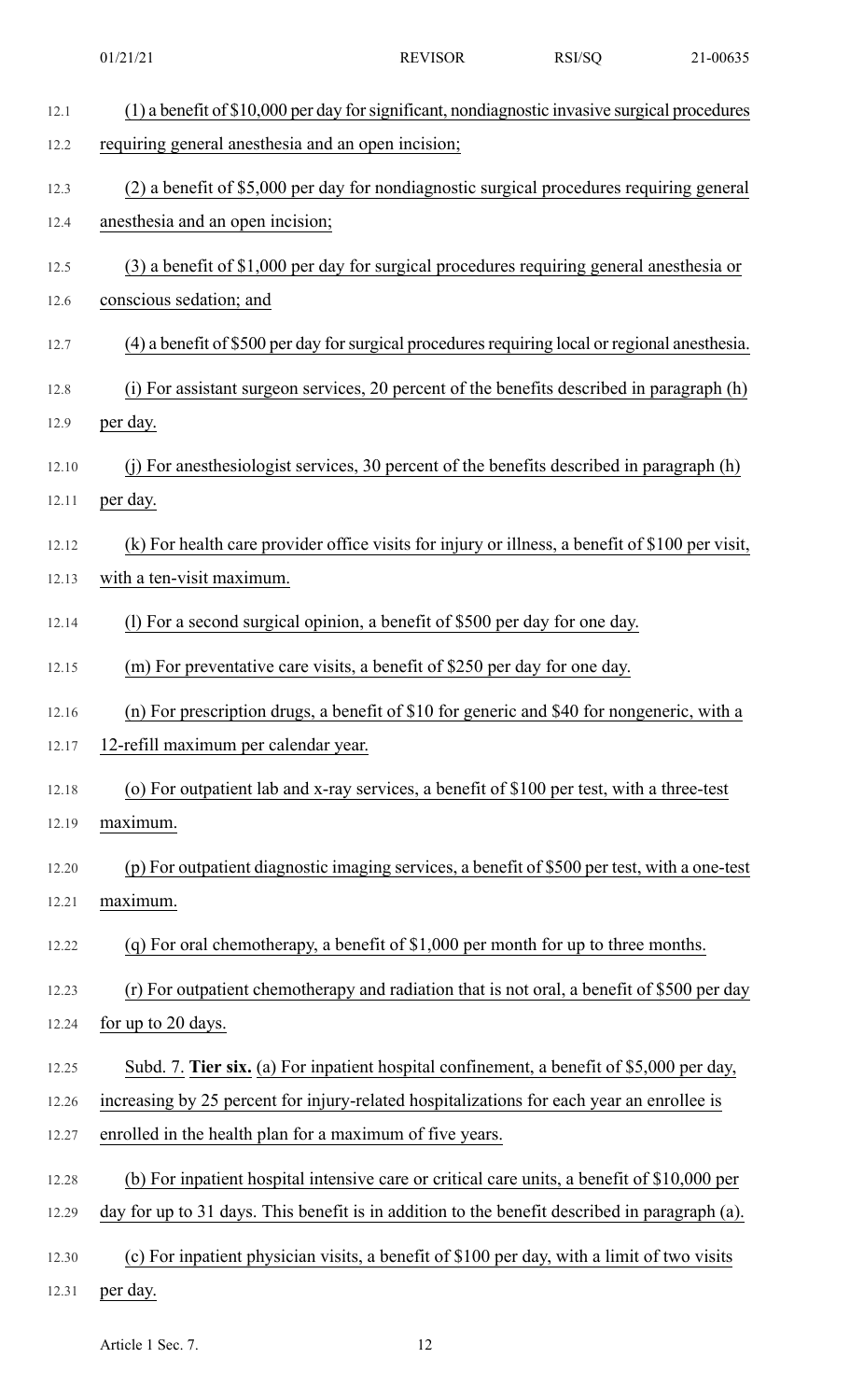|       | 01/21/21                                                                                        | <b>REVISOR</b> | RSI/SQ | 21-00635 |
|-------|-------------------------------------------------------------------------------------------------|----------------|--------|----------|
| 12.1  | (1) a benefit of \$10,000 per day for significant, nondiagnostic invasive surgical procedures   |                |        |          |
| 12.2  | requiring general anesthesia and an open incision;                                              |                |        |          |
| 12.3  | (2) a benefit of \$5,000 per day for nondiagnostic surgical procedures requiring general        |                |        |          |
| 12.4  | anesthesia and an open incision;                                                                |                |        |          |
| 12.5  | (3) a benefit of \$1,000 per day for surgical procedures requiring general anesthesia or        |                |        |          |
| 12.6  | conscious sedation; and                                                                         |                |        |          |
| 12.7  | (4) a benefit of \$500 per day for surgical procedures requiring local or regional anesthesia.  |                |        |          |
| 12.8  | (i) For assistant surgeon services, 20 percent of the benefits described in paragraph (h)       |                |        |          |
| 12.9  | per day.                                                                                        |                |        |          |
| 12.10 | (j) For anesthesiologist services, 30 percent of the benefits described in paragraph (h)        |                |        |          |
| 12.11 | per day.                                                                                        |                |        |          |
| 12.12 | (k) For health care provider office visits for injury or illness, a benefit of \$100 per visit, |                |        |          |
| 12.13 | with a ten-visit maximum.                                                                       |                |        |          |
| 12.14 | (1) For a second surgical opinion, a benefit of \$500 per day for one day.                      |                |        |          |
| 12.15 | (m) For preventative care visits, a benefit of \$250 per day for one day.                       |                |        |          |
| 12.16 | (n) For prescription drugs, a benefit of \$10 for generic and \$40 for nongeneric, with a       |                |        |          |
| 12.17 | 12-refill maximum per calendar year.                                                            |                |        |          |
| 12.18 | (o) For outpatient lab and x-ray services, a benefit of \$100 per test, with a three-test       |                |        |          |
| 12.19 | maximum.                                                                                        |                |        |          |
| 12.20 | (p) For outpatient diagnostic imaging services, a benefit of \$500 per test, with a one-test    |                |        |          |
| 12.21 | maximum.                                                                                        |                |        |          |
| 12.22 | (q) For oral chemotherapy, a benefit of $$1,000$ per month for up to three months.              |                |        |          |
| 12.23 | (r) For outpatient chemotherapy and radiation that is not oral, a benefit of \$500 per day      |                |        |          |
| 12.24 | for up to 20 days.                                                                              |                |        |          |
| 12.25 | Subd. 7. Tier six. (a) For inpatient hospital confinement, a benefit of \$5,000 per day,        |                |        |          |
| 12.26 | increasing by 25 percent for injury-related hospitalizations for each year an enrollee is       |                |        |          |
| 12.27 | enrolled in the health plan for a maximum of five years.                                        |                |        |          |
| 12.28 | (b) For inpatient hospital intensive care or critical care units, a benefit of \$10,000 per     |                |        |          |
| 12.29 | day for up to 31 days. This benefit is in addition to the benefit described in paragraph (a).   |                |        |          |
| 12.30 | (c) For inpatient physician visits, a benefit of \$100 per day, with a limit of two visits      |                |        |          |
| 12.31 | per day.                                                                                        |                |        |          |

Article 1 Sec. 7. 12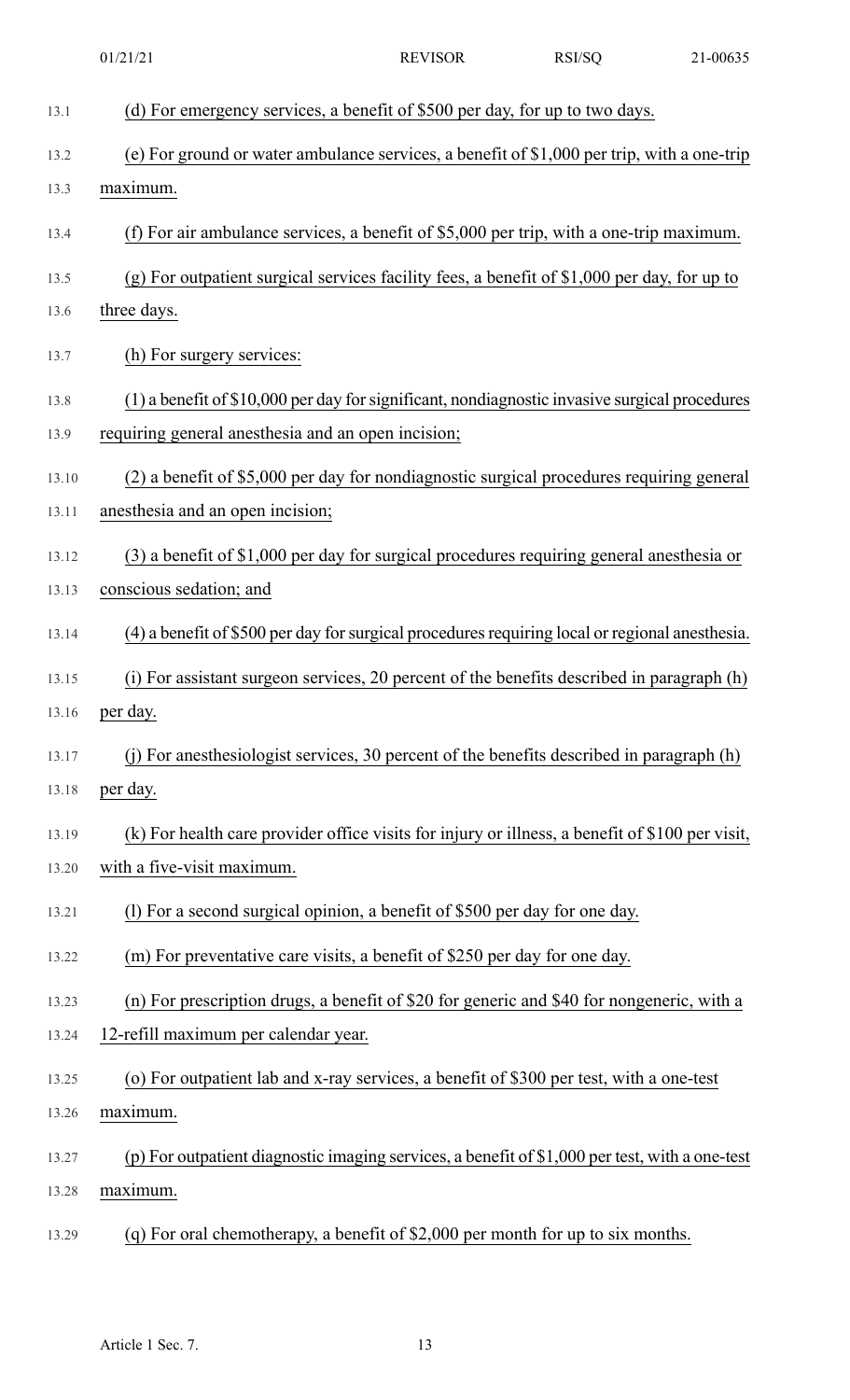| 01/21/21 |  |
|----------|--|
|          |  |

REVISOR RSI/SQ 21-00635

| 13.1  | (d) For emergency services, a benefit of \$500 per day, for up to two days.                     |
|-------|-------------------------------------------------------------------------------------------------|
| 13.2  | (e) For ground or water ambulance services, a benefit of \$1,000 per trip, with a one-trip      |
| 13.3  | maximum.                                                                                        |
| 13.4  | (f) For air ambulance services, a benefit of $$5,000$ per trip, with a one-trip maximum.        |
| 13.5  | (g) For outpatient surgical services facility fees, a benefit of \$1,000 per day, for up to     |
| 13.6  | three days.                                                                                     |
| 13.7  | (h) For surgery services:                                                                       |
| 13.8  | (1) a benefit of \$10,000 per day for significant, nondiagnostic invasive surgical procedures   |
| 13.9  | requiring general anesthesia and an open incision;                                              |
| 13.10 | (2) a benefit of \$5,000 per day for nondiagnostic surgical procedures requiring general        |
| 13.11 | anesthesia and an open incision;                                                                |
| 13.12 | $(3)$ a benefit of \$1,000 per day for surgical procedures requiring general anesthesia or      |
| 13.13 | conscious sedation; and                                                                         |
| 13.14 | (4) a benefit of \$500 per day for surgical procedures requiring local or regional anesthesia.  |
| 13.15 | (i) For assistant surgeon services, 20 percent of the benefits described in paragraph (h)       |
|       | 13.16 per day.                                                                                  |
| 13.17 | (j) For an esthesiologist services, 30 percent of the benefits described in paragraph (h)       |
| 13.18 | per day.                                                                                        |
| 13.19 | (k) For health care provider office visits for injury or illness, a benefit of \$100 per visit, |
| 13.20 | with a five-visit maximum.                                                                      |
| 13.21 | (1) For a second surgical opinion, a benefit of \$500 per day for one day.                      |
| 13.22 | (m) For preventative care visits, a benefit of \$250 per day for one day.                       |
| 13.23 | (n) For prescription drugs, a benefit of \$20 for generic and \$40 for nongeneric, with a       |
| 13.24 | 12-refill maximum per calendar year.                                                            |
| 13.25 | (o) For outpatient lab and x-ray services, a benefit of \$300 per test, with a one-test         |
| 13.26 | maximum.                                                                                        |
| 13.27 | (p) For outpatient diagnostic imaging services, a benefit of $$1,000$ per test, with a one-test |
| 13.28 | maximum.                                                                                        |
| 13.29 | (q) For oral chemotherapy, a benefit of $$2,000$ per month for up to six months.                |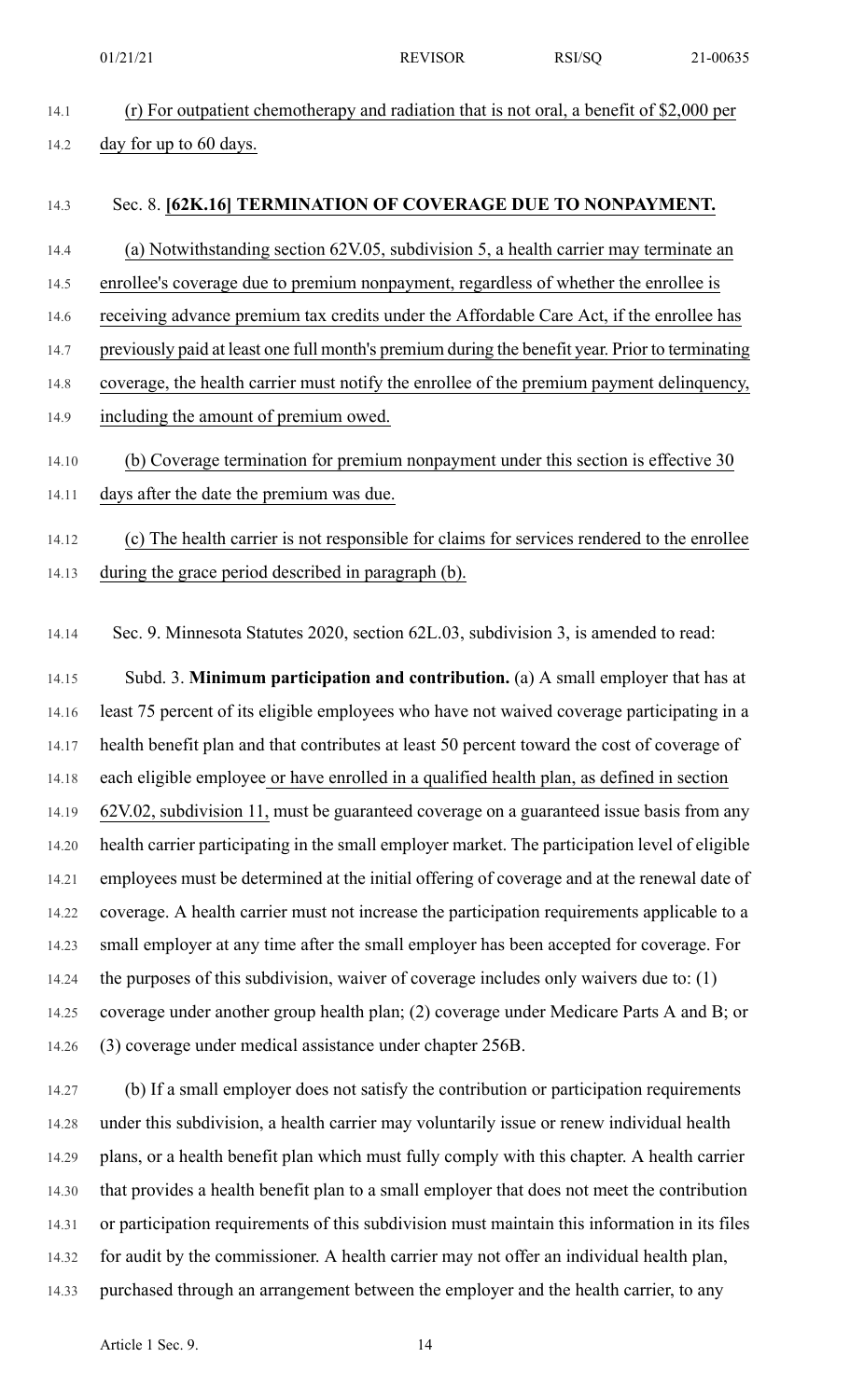14.1 (r) For outpatient chemotherapy and radiation that is not oral, a benefit of \$2,000 per 14.2 day for up to 60 days.

### 14.3 Sec. 8. **[62K.16] TERMINATION OF COVERAGE DUE TO NONPAYMENT.**

14.4 (a) Notwithstanding section 62V.05, subdivision 5, a health carrier may terminate an 14.5 enrollee's coverage due to premium nonpayment, regardless of whether the enrollee is 14.6 receiving advance premium tax credits under the Affordable Care Act, if the enrollee has 14.7 previously paid at least one full month's premium during the benefit year. Prior to terminating 14.8 coverage, the health carrier must notify the enrollee of the premium payment delinquency, 14.9 including the amount of premium owed. 14.10 (b) Coverage termination for premium nonpayment under this section is effective 30

# 14.11 days after the date the premium was due.

# 14.12 (c) The health carrier is not responsible for claims for services rendered to the enrollee 14.13 during the grace period described in paragraph (b).

14.14 Sec. 9. Minnesota Statutes 2020, section 62L.03, subdivision 3, is amended to read:

14.15 Subd. 3. **Minimum participation and contribution.** (a) A small employer that has at 14.16 least 75 percent of its eligible employees who have not waived coverage participating in a 14.17 health benefit plan and that contributes at least 50 percent toward the cost of coverage of 14.18 each eligible employee or have enrolled in a qualified health plan, as defined in section 14.19 62V.02, subdivision 11, must be guaranteed coverage on a guaranteed issue basis from any 14.20 health carrier participating in the small employer market. The participation level of eligible 14.21 employees must be determined at the initial offering of coverage and at the renewal date of 14.22 coverage. A health carrier must not increase the participation requirements applicable to a 14.23 small employer at any time after the small employer has been accepted for coverage. For 14.24 the purposes of this subdivision, waiver of coverage includes only waivers due to: (1) 14.25 coverage under another group health plan; (2) coverage under Medicare Parts A and B; or 14.26 (3) coverage under medical assistance under chapter 256B.

14.27 (b) If a small employer does not satisfy the contribution or participation requirements 14.28 under this subdivision, a health carrier may voluntarily issue or renew individual health 14.29 plans, or a health benefit plan which must fully comply with this chapter. A health carrier 14.30 that provides a health benefit plan to a small employer that does not meet the contribution 14.31 or participation requirements of this subdivision must maintain this information in its files 14.32 for audit by the commissioner. A health carrier may not offer an individual health plan, 14.33 purchased through an arrangement between the employer and the health carrier, to any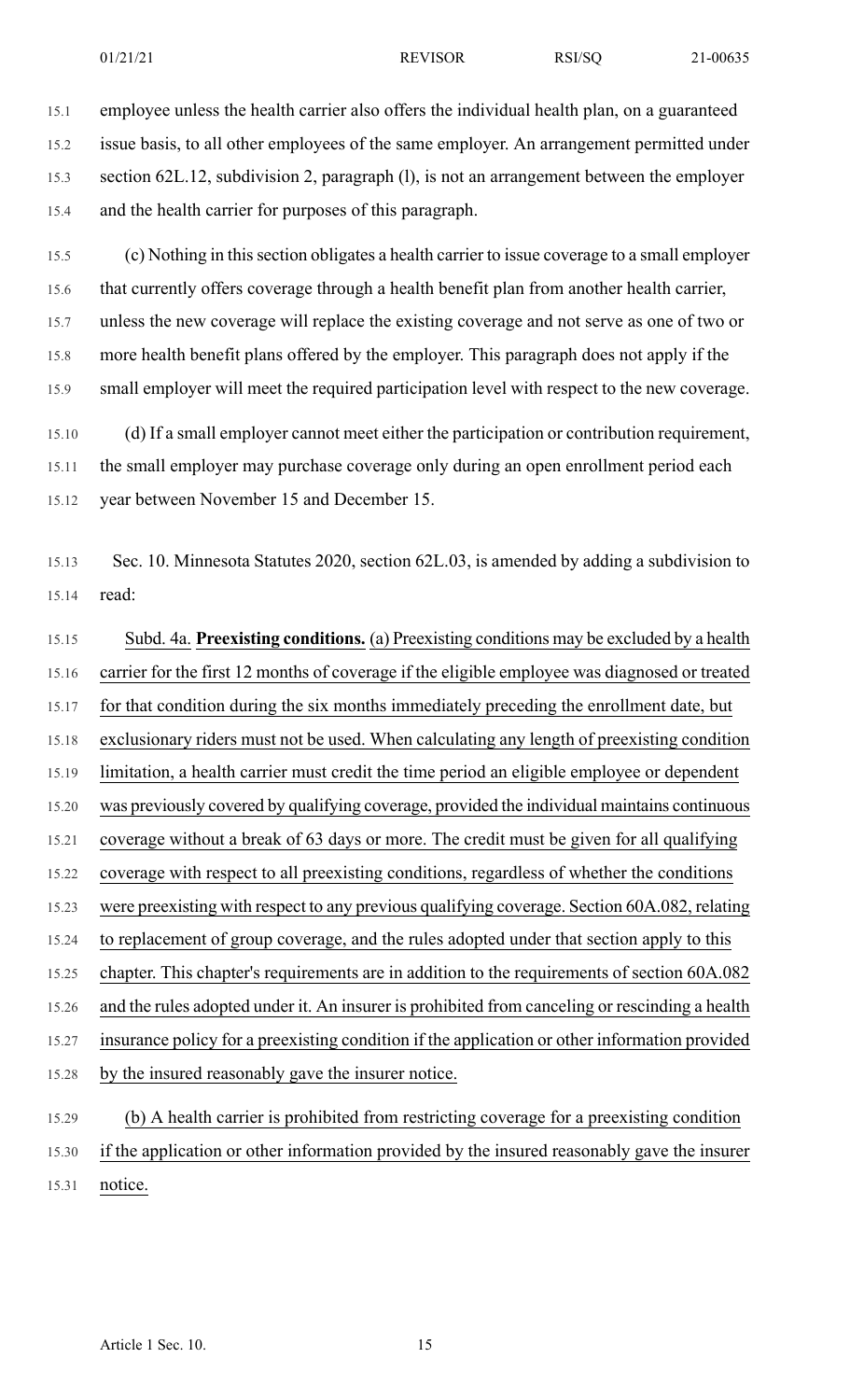15.1 employee unless the health carrier also offers the individual health plan, on a guaranteed 15.2 issue basis, to all other employees of the same employer. An arrangement permitted under 15.3 section 62L.12, subdivision 2, paragraph (l), is not an arrangement between the employer 15.4 and the health carrier for purposes of this paragraph.

15.5 (c) Nothing in thissection obligates a health carrier to issue coverage to a small employer 15.6 that currently offers coverage through a health benefit plan from another health carrier, 15.7 unless the new coverage will replace the existing coverage and not serve as one of two or 15.8 more health benefit plans offered by the employer. This paragraph does not apply if the 15.9 small employer will meet the required participation level with respect to the new coverage.

15.10 (d) If a small employer cannot meet either the participation or contribution requirement, 15.11 the small employer may purchase coverage only during an open enrollment period each 15.12 year between November 15 and December 15.

15.13 Sec. 10. Minnesota Statutes 2020, section 62L.03, is amended by adding a subdivision to 15.14 read:

15.15 Subd. 4a. **Preexisting conditions.** (a) Preexisting conditions may be excluded by a health 15.16 carrier for the first 12 months of coverage if the eligible employee was diagnosed or treated 15.17 for that condition during the six months immediately preceding the enrollment date, but 15.18 exclusionary riders must not be used. When calculating any length of preexisting condition 15.19 limitation, a health carrier must credit the time period an eligible employee or dependent 15.20 was previously covered by qualifying coverage, provided the individual maintains continuous 15.21 coverage without a break of 63 days or more. The credit must be given for all qualifying 15.22 coverage with respect to all preexisting conditions, regardless of whether the conditions 15.23 were preexisting with respect to any previous qualifying coverage. Section 60A.082, relating 15.24 to replacement of group coverage, and the rules adopted under that section apply to this 15.25 chapter. This chapter's requirements are in addition to the requirements of section 60A.082 15.26 and the rules adopted under it. An insurer is prohibited from canceling or rescinding a health 15.27 insurance policy for a preexisting condition if the application or other information provided 15.28 by the insured reasonably gave the insurer notice.

15.29 (b) A health carrier is prohibited from restricting coverage for a preexisting condition 15.30 if the application or other information provided by the insured reasonably gave the insurer 15.31 notice.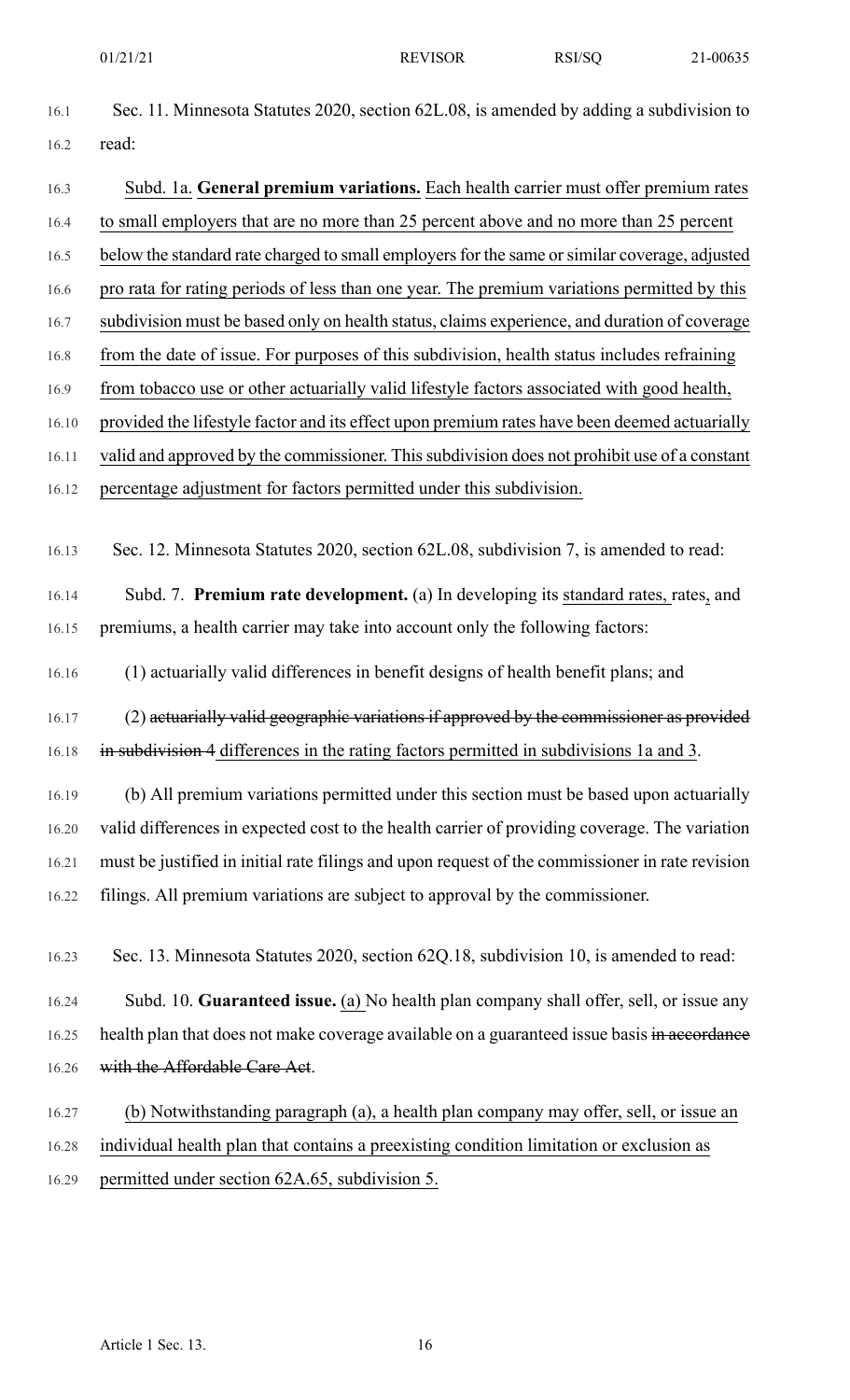- 
- 16.1 Sec. 11. Minnesota Statutes 2020, section 62L.08, is amended by adding a subdivision to 16.2 read:
- 16.3 Subd. 1a. **General premium variations.** Each health carrier must offer premium rates 16.4 to small employers that are no more than 25 percent above and no more than 25 percent 16.5 below the standard rate charged to small employers for the same or similar coverage, adjusted 16.6 pro rata for rating periods of less than one year. The premium variations permitted by this 16.7 subdivision must be based only on health status, claims experience, and duration of coverage 16.8 from the date of issue. For purposes of this subdivision, health status includes refraining 16.9 from tobacco use or other actuarially valid lifestyle factors associated with good health, 16.10 provided the lifestyle factor and its effect upon premium rates have been deemed actuarially 16.11 valid and approved by the commissioner. This subdivision does not prohibit use of a constant 16.12 percentage adjustment for factors permitted under this subdivision. 16.13 Sec. 12. Minnesota Statutes 2020, section 62L.08, subdivision 7, is amended to read: 16.14 Subd. 7. **Premium rate development.** (a) In developing its standard rates, rates, and 16.15 premiums, a health carrier may take into account only the following factors: 16.16 (1) actuarially valid differences in benefit designs of health benefit plans; and
- 16.17 (2) actuarially valid geographic variations if approved by the commissioner as provided 16.18 in subdivision 4 differences in the rating factors permitted in subdivisions 1a and 3.
- 16.19 (b) All premium variations permitted under this section must be based upon actuarially 16.20 valid differences in expected cost to the health carrier of providing coverage. The variation 16.21 must be justified in initial rate filings and upon request of the commissioner in rate revision 16.22 filings. All premium variations are subject to approval by the commissioner.
- 16.23 Sec. 13. Minnesota Statutes 2020, section 62Q.18, subdivision 10, is amended to read:
- 16.24 Subd. 10. **Guaranteed issue.** (a) No health plan company shall offer, sell, or issue any 16.25 health plan that does not make coverage available on a guaranteed issue basis in accordance 16.26 with the Affordable Care Act.
- 16.27 (b) Notwithstanding paragraph (a), a health plan company may offer, sell, or issue an 16.28 individual health plan that contains a preexisting condition limitation or exclusion as 16.29 permitted under section 62A.65, subdivision 5.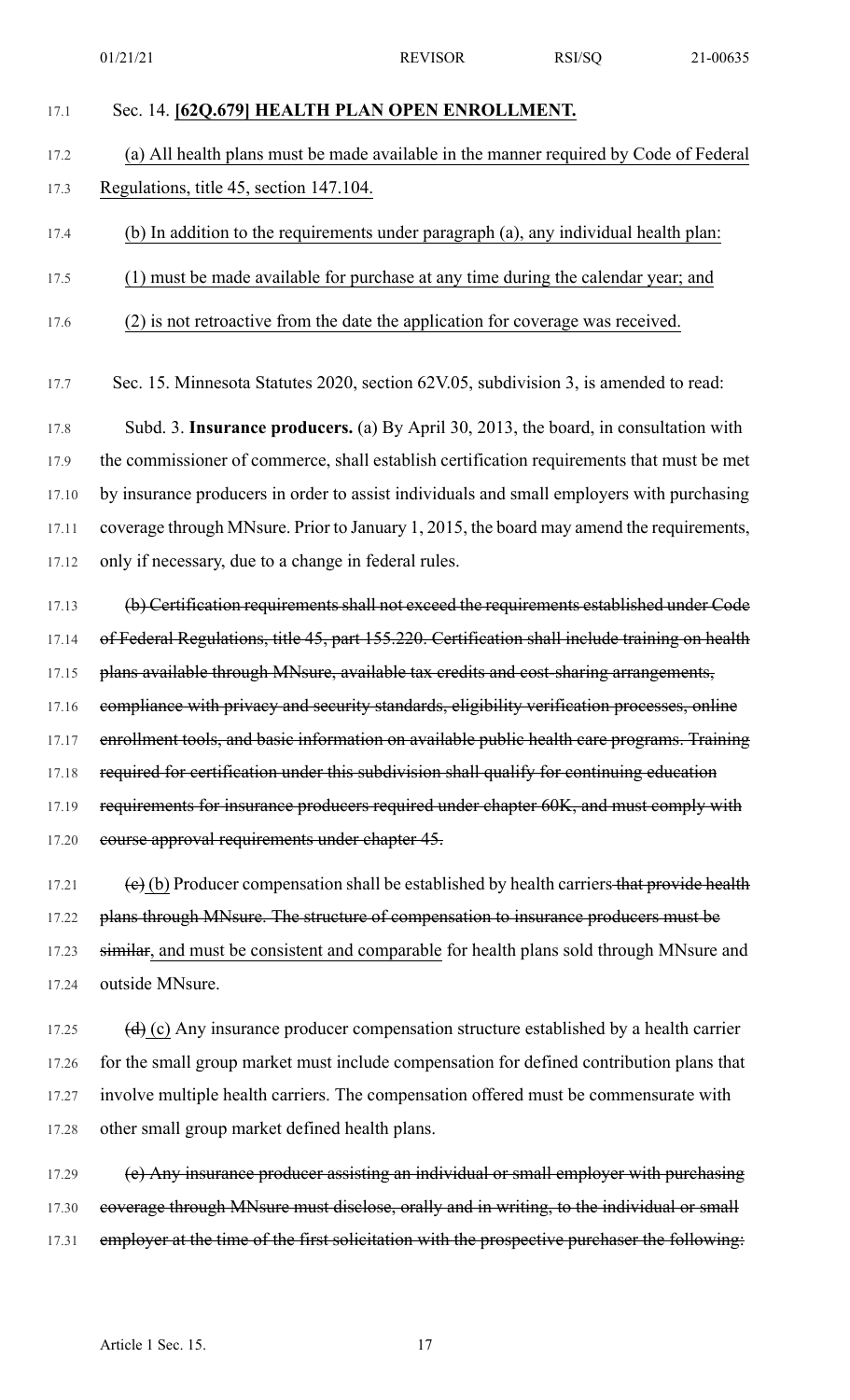- 17.1 Sec. 14. **[62Q.679] HEALTH PLAN OPEN ENROLLMENT.**
- 17.2 (a) All health plans must be made available in the manner required by Code of Federal 17.3 Regulations, title 45, section 147.104.
- 17.4 (b) In addition to the requirements under paragraph (a), any individual health plan:
- 17.5 (1) must be made available for purchase at any time during the calendar year; and
- 17.6 (2) is not retroactive from the date the application for coverage was received.
- 17.7 Sec. 15. Minnesota Statutes 2020, section 62V.05, subdivision 3, is amended to read:

17.8 Subd. 3. **Insurance producers.** (a) By April 30, 2013, the board, in consultation with 17.9 the commissioner of commerce, shall establish certification requirements that must be met 17.10 by insurance producers in order to assist individuals and small employers with purchasing 17.11 coverage through MNsure. Prior to January 1, 2015, the board may amend the requirements, 17.12 only if necessary, due to a change in federal rules.

17.13 (b) Certification requirements shall not exceed the requirements established under Code 17.14 of Federal Regulations, title 45, part 155.220. Certification shall include training on health 17.15 plans available through MNsure, available tax credits and cost-sharing arrangements, 17.16 compliance with privacy and security standards, eligibility verification processes, online 17.17 enrollment tools, and basic information on available public health care programs. Training 17.18 required for certification under this subdivision shall qualify for continuing education 17.19 requirements for insurance producers required under chapter 60K, and must comply with 17.20 course approval requirements under chapter 45.

17.21 (e) (b) Producer compensation shall be established by health carriers that provide health 17.22 plans through MNsure. The structure of compensation to insurance producers must be 17.23 similar, and must be consistent and comparable for health plans sold through MNsure and 17.24 outside MNsure.

17.25  $(d)$  (c) Any insurance producer compensation structure established by a health carrier 17.26 for the small group market must include compensation for defined contribution plans that 17.27 involve multiple health carriers. The compensation offered must be commensurate with 17.28 other small group market defined health plans.

17.29 (e) Any insurance producer assisting an individual or small employer with purchasing 17.30 coverage through MNsure must disclose, orally and in writing, to the individual or small 17.31 employer at the time of the first solicitation with the prospective purchaser the following: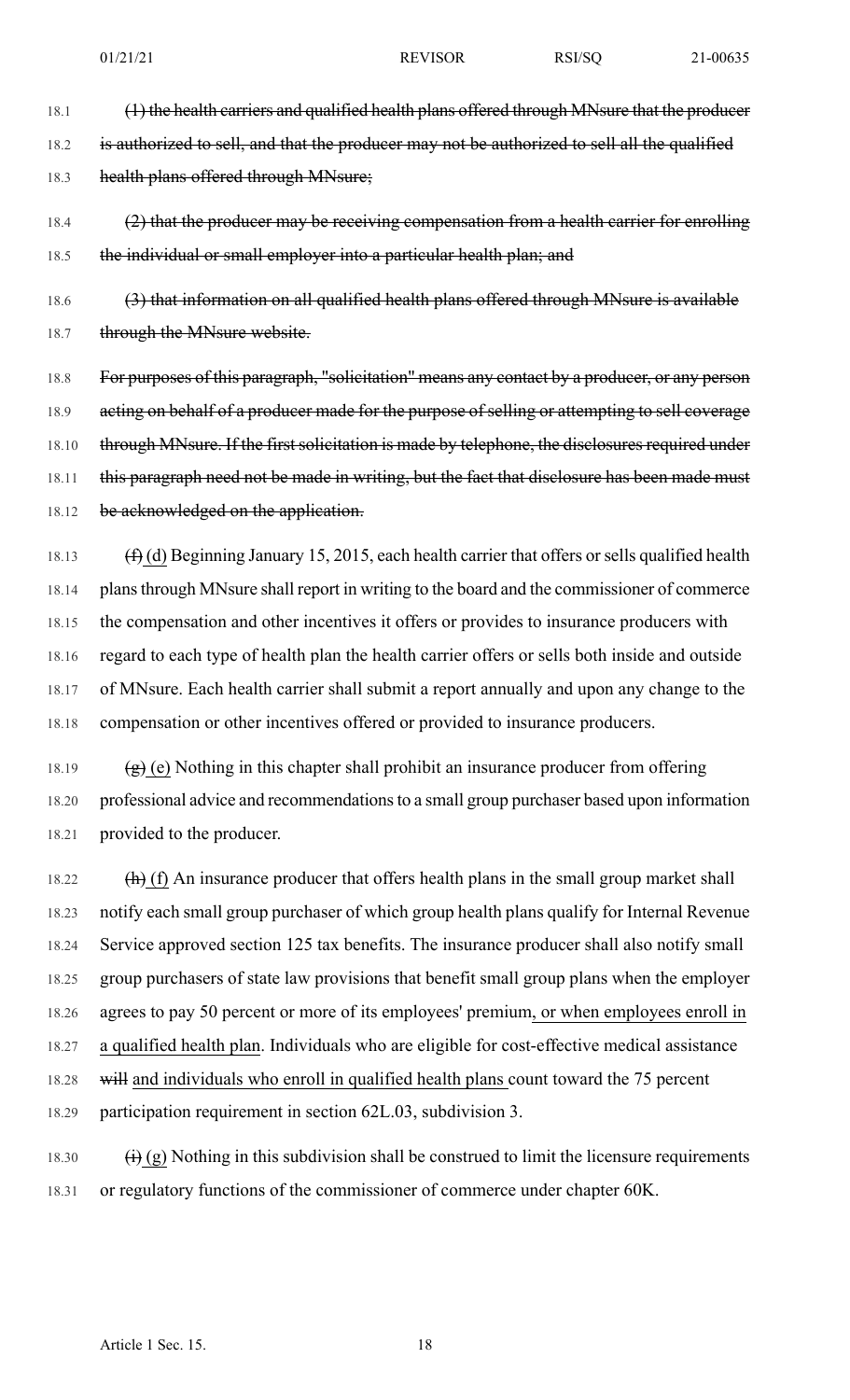18.1 (1) the health carriers and qualified health plans offered through MNsure that the producer

18.2 is authorized to sell, and that the producer may not be authorized to sell all the qualified

18.3 health plans offered through MNsure;

# 18.4 (2) that the producer may be receiving compensation from a health carrier for enrolling 18.5 the individual or small employer into a particular health plan; and

18.6 (3) that information on all qualified health plans offered through MNsure is available 18.7 through the MNsure website.

18.8 For purposes of this paragraph, "solicitation" means any contact by a producer, or any person 18.9 acting on behalf of a producer made for the purpose of selling or attempting to sell coverage 18.10 through MNsure. If the first solicitation is made by telephone, the disclosures required under 18.11 this paragraph need not be made in writing, but the fact that disclosure has been made must 18.12 be acknowledged on the application.

18.13  $(f)$  (d) Beginning January 15, 2015, each health carrier that offers or sells qualified health 18.14 plansthrough MNsure shall report in writing to the board and the commissioner of commerce 18.15 the compensation and other incentives it offers or provides to insurance producers with 18.16 regard to each type of health plan the health carrier offers or sells both inside and outside 18.17 of MNsure. Each health carrier shall submit a report annually and upon any change to the 18.18 compensation or other incentives offered or provided to insurance producers.

18.19  $(g)$  (e) Nothing in this chapter shall prohibit an insurance producer from offering 18.20 professional advice and recommendationsto a small group purchaser based upon information 18.21 provided to the producer.

18.22  $(h)$  (f) An insurance producer that offers health plans in the small group market shall 18.23 notify each small group purchaser of which group health plans qualify for Internal Revenue 18.24 Service approved section 125 tax benefits. The insurance producer shall also notify small 18.25 group purchasers of state law provisions that benefit small group plans when the employer 18.26 agrees to pay 50 percent or more of its employees' premium, or when employees enroll in 18.27 a qualified health plan. Individuals who are eligible for cost-effective medical assistance 18.28 will and individuals who enroll in qualified health plans count toward the 75 percent 18.29 participation requirement in section 62L.03, subdivision 3.

18.30  $\left(i\right)$  (g) Nothing in this subdivision shall be construed to limit the licensure requirements 18.31 or regulatory functions of the commissioner of commerce under chapter 60K.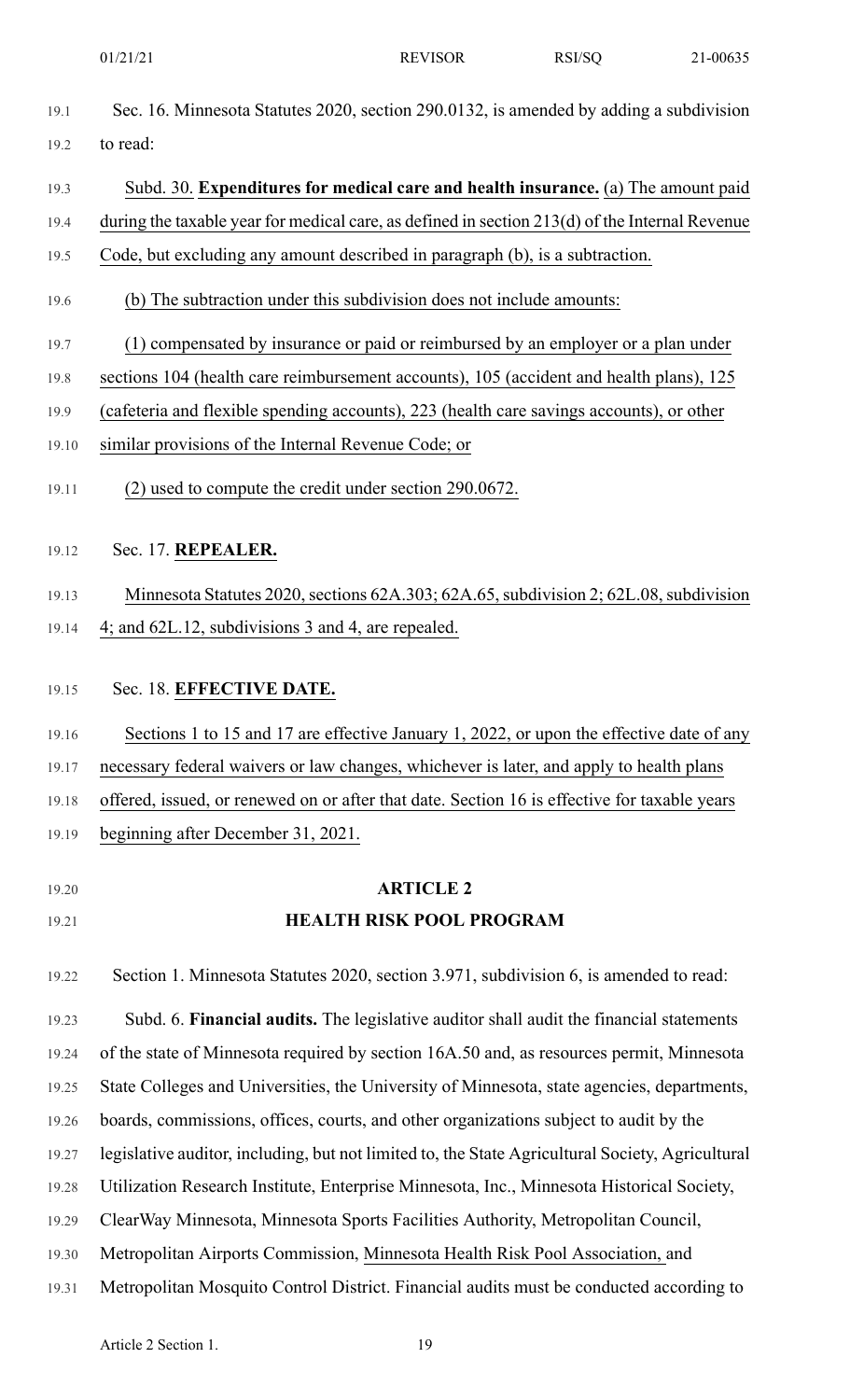- 19.1 Sec. 16. Minnesota Statutes 2020, section 290.0132, is amended by adding a subdivision 19.2 to read:
- 19.3 Subd. 30. **Expenditures for medical care and health insurance.** (a) The amount paid 19.4 during the taxable year for medical care, as defined in section 213(d) of the Internal Revenue
- 19.5 Code, but excluding any amount described in paragraph (b), is a subtraction.
- 19.6 (b) The subtraction under this subdivision does not include amounts:
- 19.7 (1) compensated by insurance or paid or reimbursed by an employer or a plan under
- 19.8 sections 104 (health care reimbursement accounts), 105 (accident and health plans), 125
- 19.9 (cafeteria and flexible spending accounts), 223 (health care savings accounts), or other
- 19.10 similar provisions of the Internal Revenue Code; or
- 19.11 (2) used to compute the credit under section 290.0672.
- 19.12 Sec. 17. **REPEALER.**
- 19.13 Minnesota Statutes 2020, sections 62A.303; 62A.65, subdivision 2; 62L.08, subdivision 19.14 4; and 62L.12, subdivisions 3 and 4, are repealed.
- 19.15 Sec. 18. **EFFECTIVE DATE.**
- 19.16 Sections 1 to 15 and 17 are effective January 1, 2022, or upon the effective date of any 19.17 necessary federal waivers or law changes, whichever is later, and apply to health plans 19.18 offered, issued, or renewed on or after that date. Section 16 is effective for taxable years
- 19.19 beginning after December 31, 2021.
- 
- 

# 19.20 **ARTICLE 2** 19.21 **HEALTH RISK POOL PROGRAM**

19.22 Section 1. Minnesota Statutes 2020, section 3.971, subdivision 6, is amended to read:

19.23 Subd. 6. **Financial audits.** The legislative auditor shall audit the financial statements

- 19.24 of the state of Minnesota required by section 16A.50 and, as resources permit, Minnesota
- 19.25 State Colleges and Universities, the University of Minnesota, state agencies, departments,
- 19.26 boards, commissions, offices, courts, and other organizations subject to audit by the
- 19.27 legislative auditor, including, but not limited to, the State Agricultural Society, Agricultural
- 19.28 Utilization Research Institute, Enterprise Minnesota, Inc., Minnesota Historical Society,
- 19.29 ClearWay Minnesota, Minnesota Sports Facilities Authority, Metropolitan Council,
- 19.30 Metropolitan Airports Commission, Minnesota Health Risk Pool Association, and
- 19.31 Metropolitan Mosquito Control District. Financial audits must be conducted according to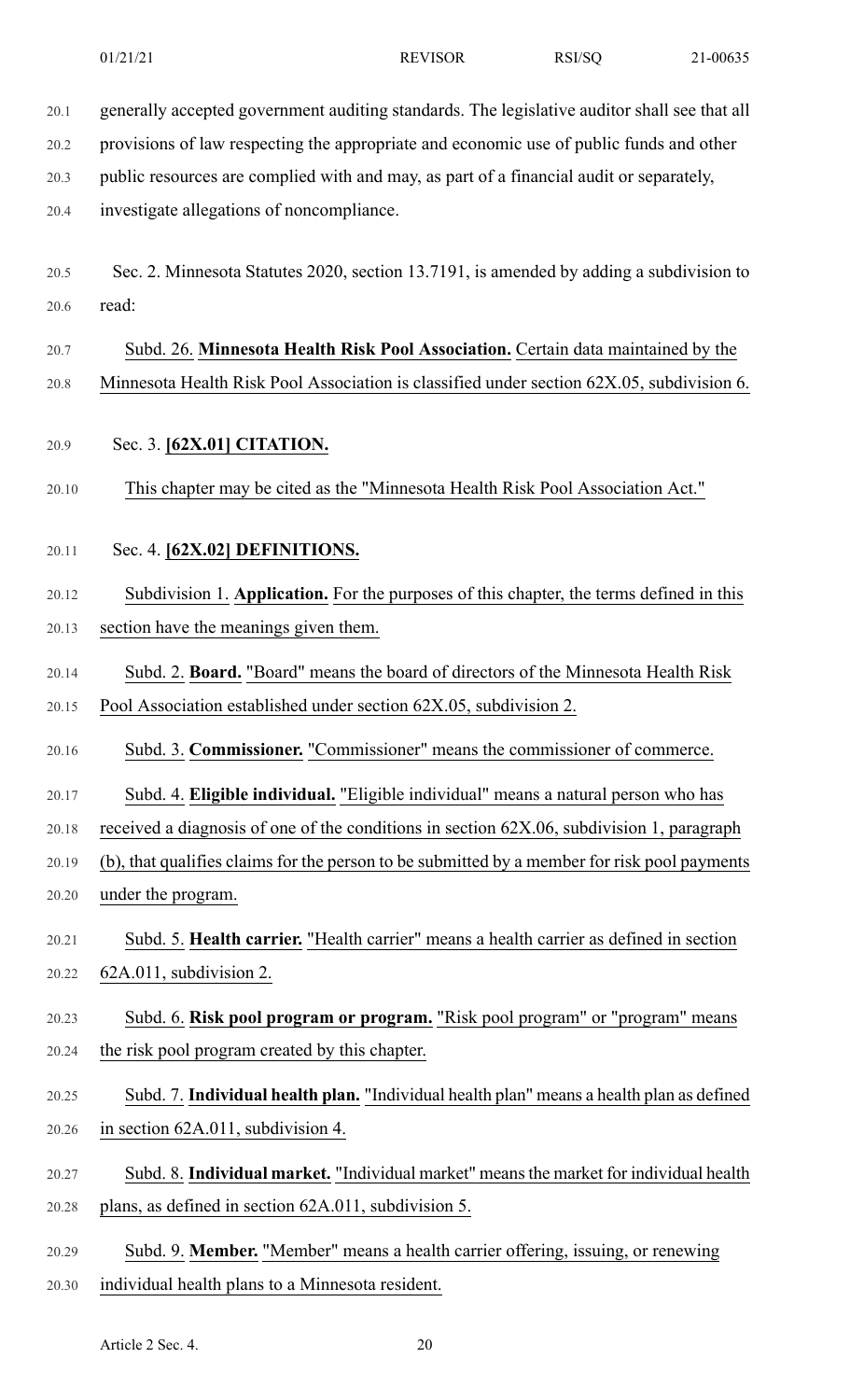20.1 generally accepted government auditing standards. The legislative auditor shall see that all

20.2 provisions of law respecting the appropriate and economic use of public funds and other

20.3 public resources are complied with and may, as part of a financial audit or separately,

20.4 investigate allegations of noncompliance.

- 20.5 Sec. 2. Minnesota Statutes 2020, section 13.7191, is amended by adding a subdivision to 20.6 read:
- 20.7 Subd. 26. **Minnesota Health Risk Pool Association.** Certain data maintained by the 20.8 Minnesota Health Risk Pool Association is classified under section 62X.05, subdivision 6.
- 20.9 Sec. 3. **[62X.01] CITATION.**
- 20.10 This chapter may be cited as the "Minnesota Health Risk Pool Association Act."
- 20.11 Sec. 4. **[62X.02] DEFINITIONS.**
- 20.12 Subdivision 1. **Application.** For the purposes of this chapter, the terms defined in this 20.13 section have the meanings given them.
- 20.14 Subd. 2. **Board.** "Board" means the board of directors of the Minnesota Health Risk 20.15 Pool Association established under section 62X.05, subdivision 2.
- 20.16 Subd. 3. **Commissioner.** "Commissioner" means the commissioner of commerce.
- 20.17 Subd. 4. **Eligible individual.** "Eligible individual" means a natural person who has
- 20.18 received a diagnosis of one of the conditions in section 62X.06, subdivision 1, paragraph
- 20.19 (b), that qualifies claims for the person to be submitted by a member for risk pool payments 20.20 under the program.
- 20.21 Subd. 5. **Health carrier.** "Health carrier" means a health carrier as defined in section 20.22 62A.011, subdivision 2.
- 20.23 Subd. 6. **Risk pool program or program.** "Risk pool program" or "program" means 20.24 the risk pool program created by this chapter.
- 20.25 Subd. 7. **Individual health plan.** "Individual health plan" means a health plan as defined 20.26 in section 62A.011, subdivision 4.
- 20.27 Subd. 8. **Individual market.** "Individual market" meansthe market for individual health 20.28 plans, as defined in section 62A.011, subdivision 5.
- 20.29 Subd. 9. **Member.** "Member" means a health carrier offering, issuing, or renewing
- 20.30 individual health plans to a Minnesota resident.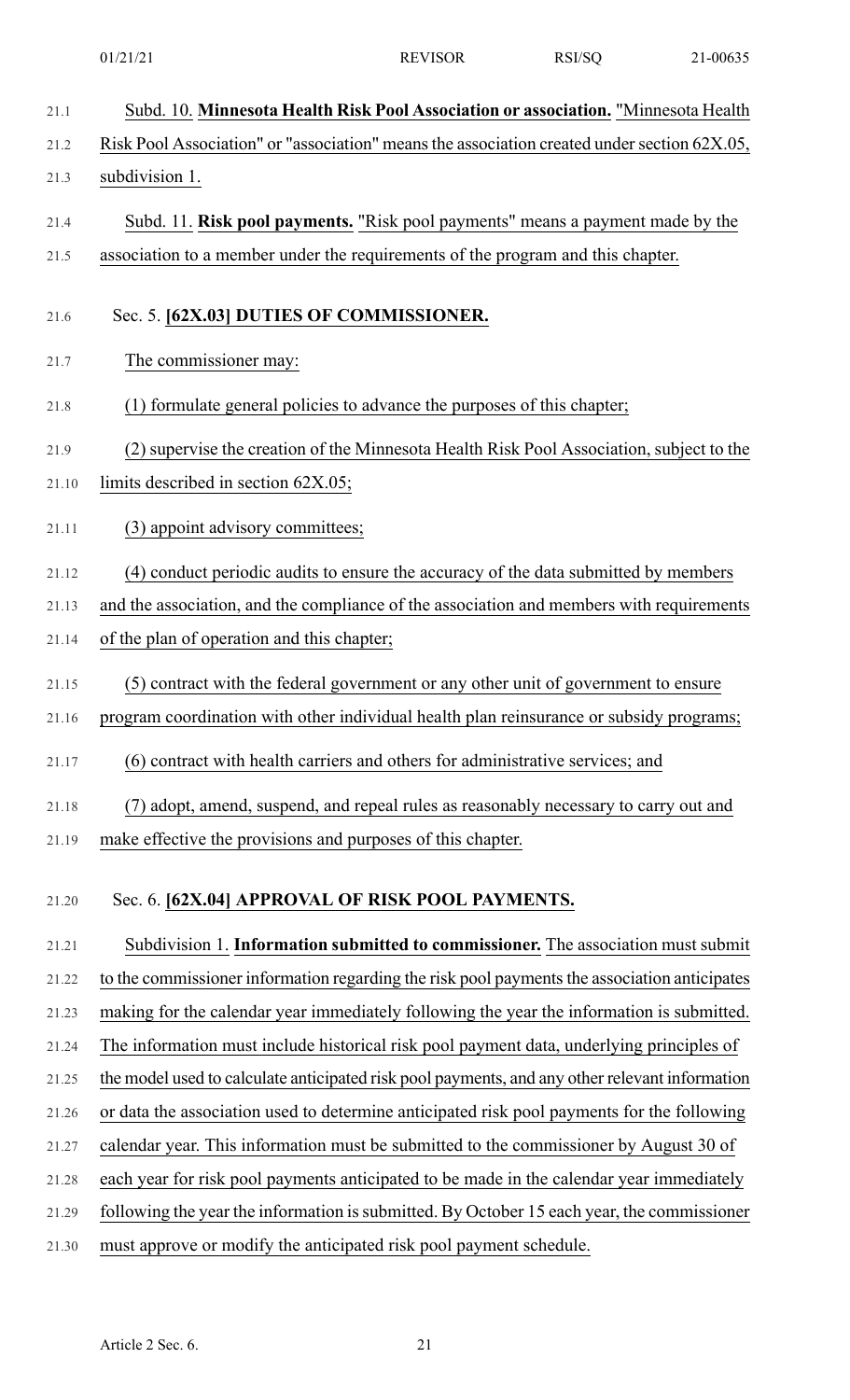| 21.1  | Subd. 10. Minnesota Health Risk Pool Association or association. "Minnesota Health             |
|-------|------------------------------------------------------------------------------------------------|
| 21.2  | Risk Pool Association" or "association" means the association created under section 62X.05,    |
| 21.3  | subdivision 1.                                                                                 |
| 21.4  | Subd. 11. Risk pool payments. "Risk pool payments" means a payment made by the                 |
| 21.5  | association to a member under the requirements of the program and this chapter.                |
| 21.6  | Sec. 5. [62X.03] DUTIES OF COMMISSIONER.                                                       |
| 21.7  | The commissioner may:                                                                          |
| 21.8  | (1) formulate general policies to advance the purposes of this chapter;                        |
| 21.9  | (2) supervise the creation of the Minnesota Health Risk Pool Association, subject to the       |
| 21.10 | limits described in section 62X.05;                                                            |
| 21.11 | (3) appoint advisory committees;                                                               |
| 21.12 | (4) conduct periodic audits to ensure the accuracy of the data submitted by members            |
| 21.13 | and the association, and the compliance of the association and members with requirements       |
| 21.14 | of the plan of operation and this chapter;                                                     |
| 21.15 | (5) contract with the federal government or any other unit of government to ensure             |
| 21.16 | program coordination with other individual health plan reinsurance or subsidy programs;        |
| 21.17 | (6) contract with health carriers and others for administrative services; and                  |
| 21.18 | (7) adopt, amend, suspend, and repeal rules as reasonably necessary to carry out and           |
| 21.19 | make effective the provisions and purposes of this chapter.                                    |
|       |                                                                                                |
| 21.20 | Sec. 6. [62X.04] APPROVAL OF RISK POOL PAYMENTS.                                               |
| 21.21 | Subdivision 1. Information submitted to commissioner. The association must submit              |
| 21.22 | to the commissioner information regarding the risk pool payments the association anticipates   |
| 21.23 | making for the calendar year immediately following the year the information is submitted.      |
| 21.24 | The information must include historical risk pool payment data, underlying principles of       |
| 21.25 | the model used to calculate anticipated risk pool payments, and any other relevant information |
| 21.26 | or data the association used to determine anticipated risk pool payments for the following     |
| 21.27 | calendar year. This information must be submitted to the commissioner by August 30 of          |
| 21.28 | each year for risk pool payments anticipated to be made in the calendar year immediately       |

21.29 following the year the information is submitted. By October 15 each year, the commissioner

21.30 must approve or modify the anticipated risk pool payment schedule.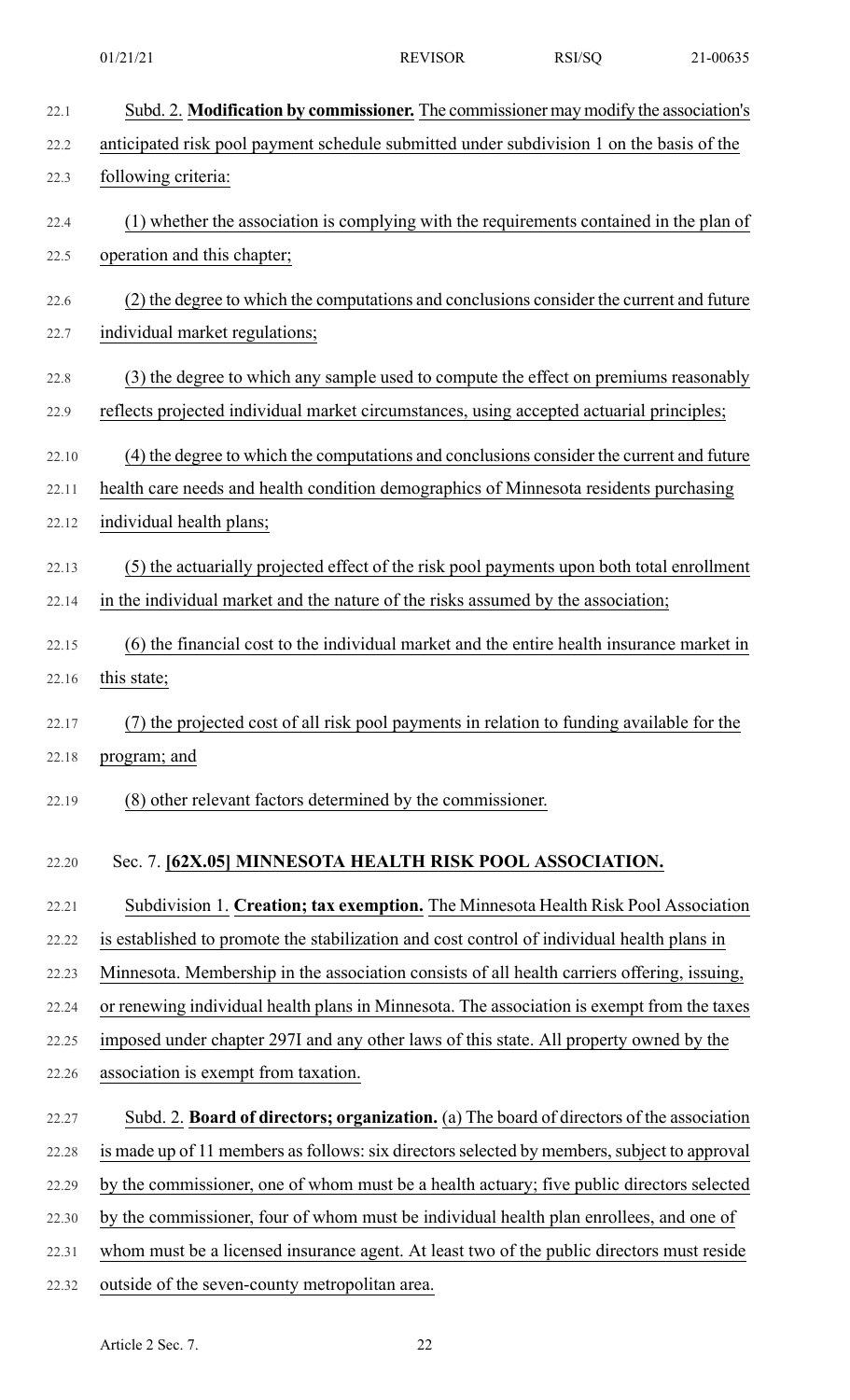| 22.1  | Subd. 2. Modification by commissioner. The commissioner may modify the association's        |
|-------|---------------------------------------------------------------------------------------------|
| 22.2  | anticipated risk pool payment schedule submitted under subdivision 1 on the basis of the    |
| 22.3  | following criteria:                                                                         |
| 22.4  | (1) whether the association is complying with the requirements contained in the plan of     |
| 22.5  | operation and this chapter;                                                                 |
| 22.6  | (2) the degree to which the computations and conclusions consider the current and future    |
| 22.7  | individual market regulations;                                                              |
| 22.8  | (3) the degree to which any sample used to compute the effect on premiums reasonably        |
| 22.9  | reflects projected individual market circumstances, using accepted actuarial principles;    |
| 22.10 | (4) the degree to which the computations and conclusions consider the current and future    |
| 22.11 | health care needs and health condition demographics of Minnesota residents purchasing       |
| 22.12 | individual health plans;                                                                    |
| 22.13 | (5) the actuarially projected effect of the risk pool payments upon both total enrollment   |
| 22.14 | in the individual market and the nature of the risks assumed by the association;            |
| 22.15 | (6) the financial cost to the individual market and the entire health insurance market in   |
| 22.16 | this state;                                                                                 |
| 22.17 | (7) the projected cost of all risk pool payments in relation to funding available for the   |
| 22.18 | program; and                                                                                |
| 22.19 | (8) other relevant factors determined by the commissioner.                                  |
| 22.20 | Sec. 7. [62X.05] MINNESOTA HEALTH RISK POOL ASSOCIATION.                                    |
| 22.21 | Subdivision 1. Creation; tax exemption. The Minnesota Health Risk Pool Association          |
| 22.22 | is established to promote the stabilization and cost control of individual health plans in  |
| 22.23 | Minnesota. Membership in the association consists of all health carriers offering, issuing, |
| 22.24 | or renewing individual health plans in Minnesota. The association is exempt from the taxes  |
| 22.25 | imposed under chapter 297I and any other laws of this state. All property owned by the      |
| 22.26 | association is exempt from taxation.                                                        |
| 22.27 | Subd. 2. Board of directors; organization. (a) The board of directors of the association    |
| 22.28 | is made up of 11 members as follows: six directors selected by members, subject to approval |
| 22.29 | by the commissioner, one of whom must be a health actuary; five public directors selected   |
| 22.30 | by the commissioner, four of whom must be individual health plan enrollees, and one of      |
| 22.31 | whom must be a licensed insurance agent. At least two of the public directors must reside   |

22.32 outside of the seven-county metropolitan area.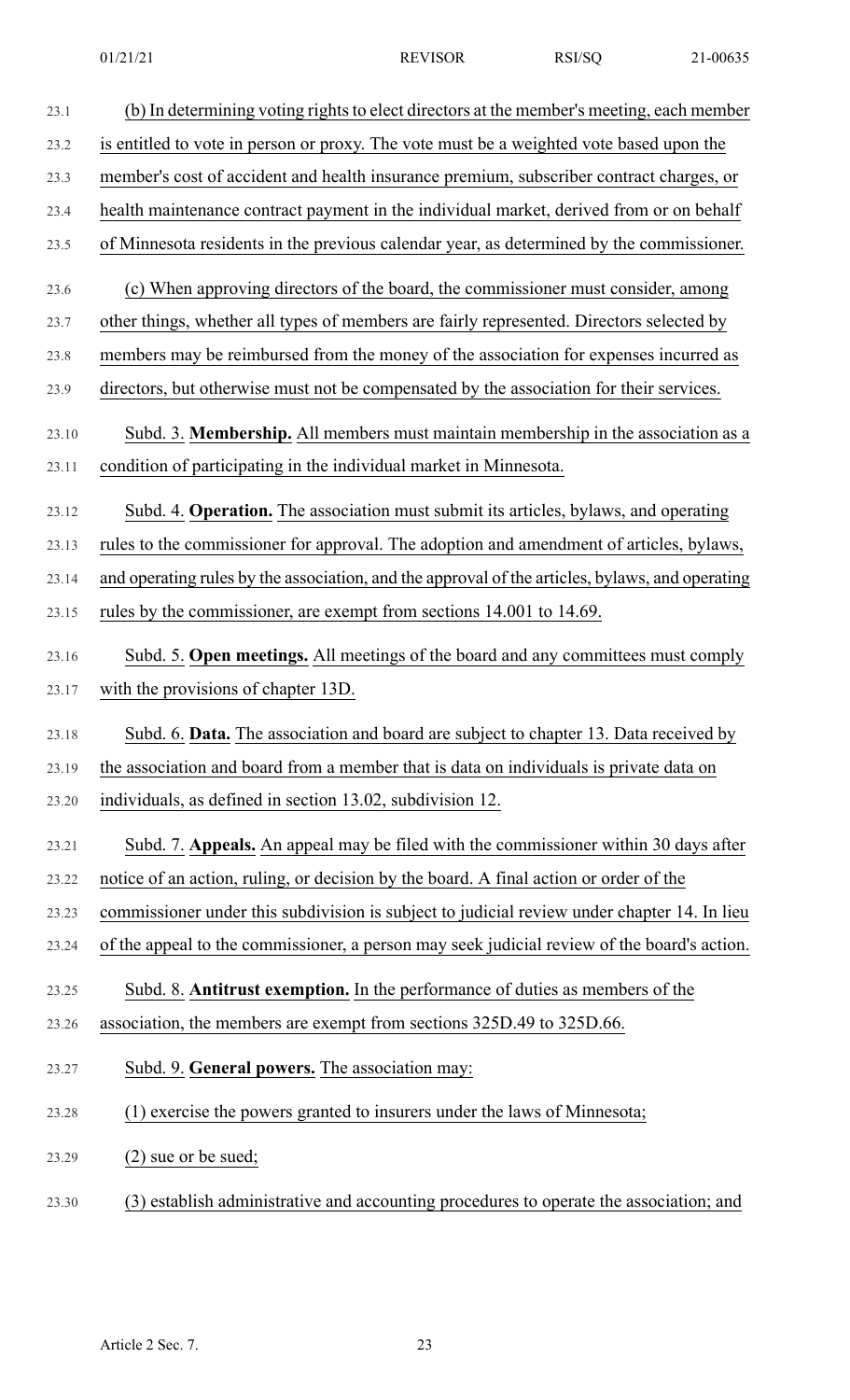| 23.1  | (b) In determining voting rights to elect directors at the member's meeting, each member        |
|-------|-------------------------------------------------------------------------------------------------|
| 23.2  | is entitled to vote in person or proxy. The vote must be a weighted vote based upon the         |
| 23.3  | member's cost of accident and health insurance premium, subscriber contract charges, or         |
| 23.4  | health maintenance contract payment in the individual market, derived from or on behalf         |
| 23.5  | of Minnesota residents in the previous calendar year, as determined by the commissioner.        |
| 23.6  | (c) When approving directors of the board, the commissioner must consider, among                |
| 23.7  | other things, whether all types of members are fairly represented. Directors selected by        |
| 23.8  | members may be reimbursed from the money of the association for expenses incurred as            |
| 23.9  | directors, but otherwise must not be compensated by the association for their services.         |
| 23.10 | Subd. 3. Membership. All members must maintain membership in the association as a               |
| 23.11 | condition of participating in the individual market in Minnesota.                               |
| 23.12 | Subd. 4. Operation. The association must submit its articles, bylaws, and operating             |
| 23.13 | rules to the commissioner for approval. The adoption and amendment of articles, bylaws,         |
| 23.14 | and operating rules by the association, and the approval of the articles, bylaws, and operating |
| 23.15 | rules by the commissioner, are exempt from sections 14.001 to 14.69.                            |
| 23.16 | Subd. 5. Open meetings. All meetings of the board and any committees must comply                |
| 23.17 | with the provisions of chapter 13D.                                                             |
| 23.18 | Subd. 6. Data. The association and board are subject to chapter 13. Data received by            |
| 23.19 | the association and board from a member that is data on individuals is private data on          |
| 23.20 | individuals, as defined in section 13.02, subdivision 12.                                       |
| 23.21 | Subd. 7. Appeals. An appeal may be filed with the commissioner within 30 days after             |
| 23.22 | notice of an action, ruling, or decision by the board. A final action or order of the           |
| 23.23 | commissioner under this subdivision is subject to judicial review under chapter 14. In lieu     |
| 23.24 | of the appeal to the commissioner, a person may seek judicial review of the board's action.     |
| 23.25 | Subd. 8. Antitrust exemption. In the performance of duties as members of the                    |
| 23.26 | association, the members are exempt from sections 325D.49 to 325D.66.                           |
| 23.27 | Subd. 9. General powers. The association may:                                                   |
| 23.28 | (1) exercise the powers granted to insurers under the laws of Minnesota;                        |
| 23.29 | $(2)$ sue or be sued;                                                                           |
| 23.30 | (3) establish administrative and accounting procedures to operate the association; and          |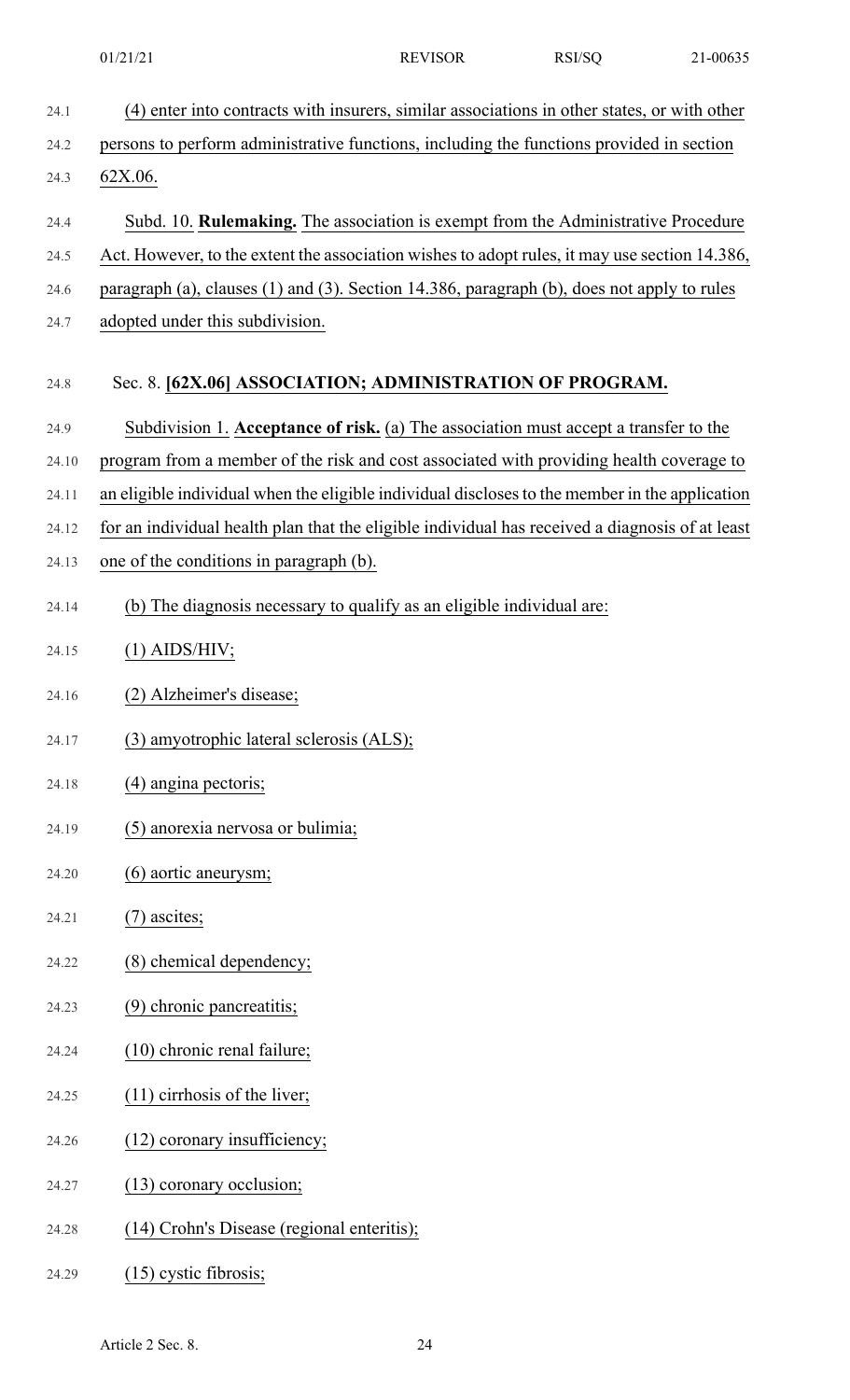24.1 (4) enter into contracts with insurers, similar associations in other states, or with other 24.2 persons to perform administrative functions, including the functions provided in section 24.3 62X.06. 24.4 Subd. 10. **Rulemaking.** The association is exempt from the Administrative Procedure 24.5 Act. However, to the extent the association wishes to adopt rules, it may use section 14.386, 24.6 paragraph (a), clauses (1) and (3). Section 14.386, paragraph (b), does not apply to rules 24.7 adopted under this subdivision. 24.8 Sec. 8. **[62X.06] ASSOCIATION; ADMINISTRATION OF PROGRAM.** 24.9 Subdivision 1. **Acceptance of risk.** (a) The association must accept a transfer to the 24.10 program from a member of the risk and cost associated with providing health coverage to 24.11 an eligible individual when the eligible individual discloses to the member in the application 24.12 for an individual health plan that the eligible individual has received a diagnosis of at least 24.13 one of the conditions in paragraph (b). 24.14 (b) The diagnosis necessary to qualify as an eligible individual are: 24.15 (1) AIDS/HIV; 24.16 (2) Alzheimer's disease; 24.17 (3) amyotrophic lateral sclerosis (ALS); 24.18 (4) angina pectoris; 24.19 (5) anorexia nervosa or bulimia; 24.20 (6) aortic aneurysm; 24.21 (7) ascites; 24.22 (8) chemical dependency; 24.23 (9) chronic pancreatitis; 24.24 (10) chronic renal failure; 24.25 (11) cirrhosis of the liver; 24.26 (12) coronary insufficiency; 24.27 (13) coronary occlusion; 24.28 (14) Crohn's Disease (regional enteritis); 24.29 (15) cystic fibrosis;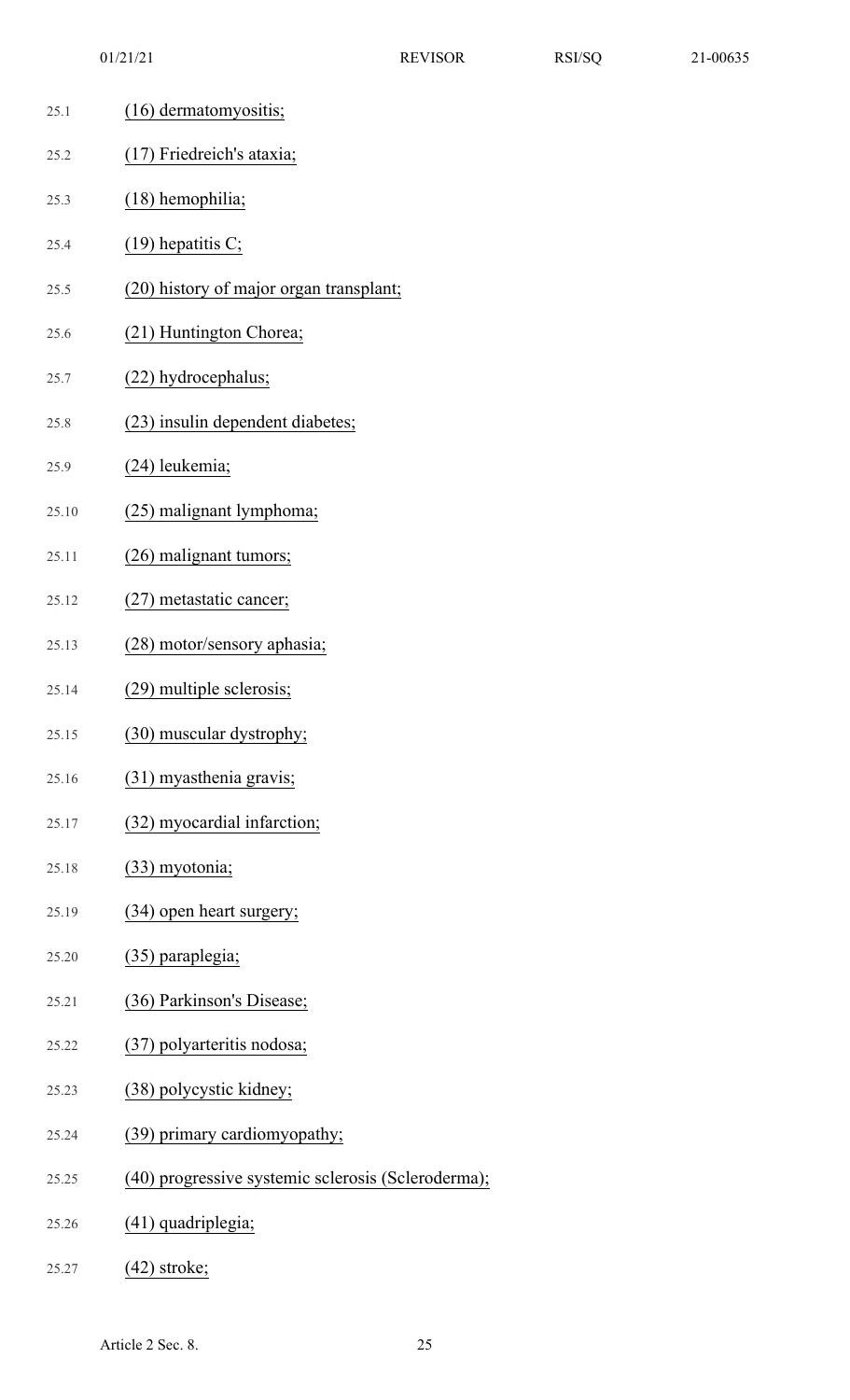| 25.1  | (16) dermatomy ositis;                             |
|-------|----------------------------------------------------|
| 25.2  | (17) Friedreich's ataxia;                          |
| 25.3  | $(18)$ hemophilia;                                 |
| 25.4  | $(19)$ hepatitis C;                                |
| 25.5  | (20) history of major organ transplant;            |
| 25.6  | (21) Huntington Chorea;                            |
| 25.7  | (22) hydrocephalus;                                |
| 25.8  | (23) insulin dependent diabetes;                   |
| 25.9  | (24) leukemia;                                     |
| 25.10 | (25) malignant lymphoma;                           |
| 25.11 | (26) malignant tumors;                             |
| 25.12 | (27) metastatic cancer;                            |
| 25.13 | (28) motor/sensory aphasia;                        |
| 25.14 | (29) multiple sclerosis;                           |
| 25.15 | (30) muscular dystrophy;                           |
| 25.16 | (31) myasthenia gravis;                            |
| 25.17 | (32) myocardial infarction;                        |
| 25.18 | $(33)$ myotonia;                                   |
| 25.19 | (34) open heart surgery;                           |
| 25.20 | (35) paraplegia;                                   |
| 25.21 | (36) Parkinson's Disease;                          |
| 25.22 | (37) polyarteritis nodosa;                         |
| 25.23 | (38) polycystic kidney;                            |
| 25.24 | (39) primary cardiomyopathy;                       |
| 25.25 | (40) progressive systemic sclerosis (Scleroderma); |
| 25.26 | (41) quadriplegia;                                 |
|       |                                                    |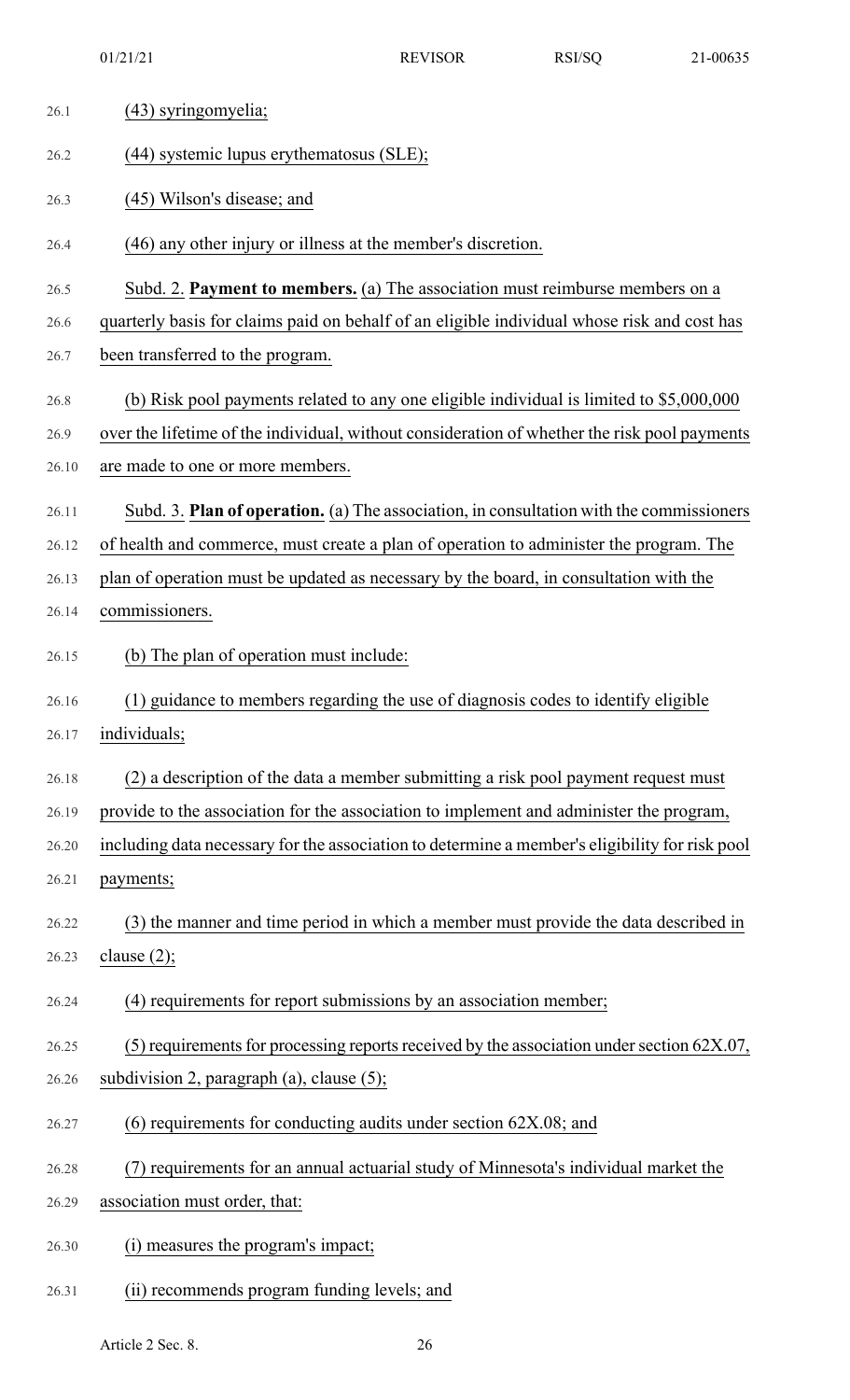| 26.1  | (43) syringomyelia;                                                                            |
|-------|------------------------------------------------------------------------------------------------|
| 26.2  | (44) systemic lupus erythematosus (SLE);                                                       |
| 26.3  | (45) Wilson's disease; and                                                                     |
| 26.4  | (46) any other injury or illness at the member's discretion.                                   |
| 26.5  | Subd. 2. Payment to members. (a) The association must reimburse members on a                   |
| 26.6  | quarterly basis for claims paid on behalf of an eligible individual whose risk and cost has    |
| 26.7  | been transferred to the program.                                                               |
| 26.8  | (b) Risk pool payments related to any one eligible individual is limited to \$5,000,000        |
| 26.9  | over the lifetime of the individual, without consideration of whether the risk pool payments   |
| 26.10 | are made to one or more members.                                                               |
| 26.11 | Subd. 3. Plan of operation. (a) The association, in consultation with the commissioners        |
| 26.12 | of health and commerce, must create a plan of operation to administer the program. The         |
| 26.13 | plan of operation must be updated as necessary by the board, in consultation with the          |
| 26.14 | commissioners.                                                                                 |
| 26.15 | (b) The plan of operation must include:                                                        |
| 26.16 | (1) guidance to members regarding the use of diagnosis codes to identify eligible              |
| 26.17 | individuals;                                                                                   |
| 26.18 | (2) a description of the data a member submitting a risk pool payment request must             |
| 26.19 | provide to the association for the association to implement and administer the program,        |
| 26.20 | including data necessary for the association to determine a member's eligibility for risk pool |
| 26.21 | payments;                                                                                      |
| 26.22 | (3) the manner and time period in which a member must provide the data described in            |
| 26.23 | clause $(2)$ ;                                                                                 |
| 26.24 | (4) requirements for report submissions by an association member;                              |
| 26.25 | (5) requirements for processing reports received by the association under section $62X.07$ ,   |
| 26.26 | subdivision 2, paragraph $(a)$ , clause $(5)$ ;                                                |
| 26.27 | $(6)$ requirements for conducting audits under section 62X.08; and                             |
| 26.28 | (7) requirements for an annual actuarial study of Minnesota's individual market the            |
| 26.29 | association must order, that:                                                                  |
| 26.30 | measures the program's impact;                                                                 |
| 26.31 | (ii) recommends program funding levels; and                                                    |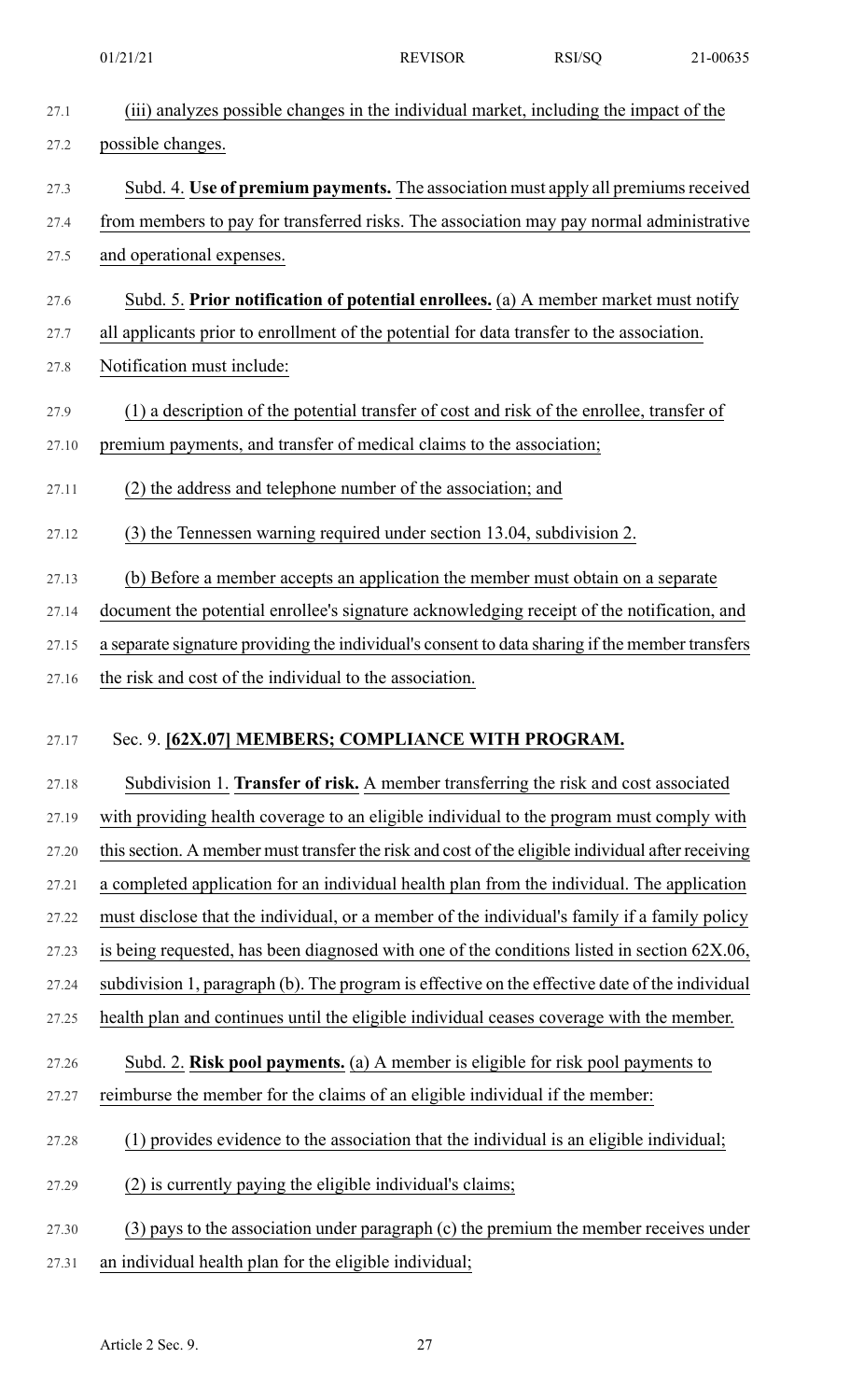| 27.1  | (iii) analyzes possible changes in the individual market, including the impact of the             |
|-------|---------------------------------------------------------------------------------------------------|
| 27.2  | possible changes.                                                                                 |
| 27.3  | Subd. 4. Use of premium payments. The association must apply all premiums received                |
| 27.4  | from members to pay for transferred risks. The association may pay normal administrative          |
| 27.5  | and operational expenses.                                                                         |
| 27.6  | Subd. 5. Prior notification of potential enrollees. (a) A member market must notify               |
| 27.7  | all applicants prior to enrollment of the potential for data transfer to the association.         |
| 27.8  | Notification must include:                                                                        |
| 27.9  | (1) a description of the potential transfer of cost and risk of the enrollee, transfer of         |
| 27.10 | premium payments, and transfer of medical claims to the association;                              |
| 27.11 | (2) the address and telephone number of the association; and                                      |
| 27.12 | (3) the Tennessen warning required under section 13.04, subdivision 2.                            |
| 27.13 | (b) Before a member accepts an application the member must obtain on a separate                   |
| 27.14 | document the potential enrollee's signature acknowledging receipt of the notification, and        |
| 27.15 | a separate signature providing the individual's consent to data sharing if the member transfers   |
| 27.16 | the risk and cost of the individual to the association.                                           |
|       |                                                                                                   |
| 27.17 | Sec. 9. [62X.07] MEMBERS; COMPLIANCE WITH PROGRAM.                                                |
| 27.18 | Subdivision 1. Transfer of risk. A member transferring the risk and cost associated               |
| 27.19 | with providing health coverage to an eligible individual to the program must comply with          |
| 27.20 | this section. A member must transfer the risk and cost of the eligible individual after receiving |
| 27.21 | a completed application for an individual health plan from the individual. The application        |
| 27.22 | must disclose that the individual, or a member of the individual's family if a family policy      |
| 27.23 | is being requested, has been diagnosed with one of the conditions listed in section $62X.06$ ,    |
| 27.24 | subdivision 1, paragraph (b). The program is effective on the effective date of the individual    |
| 27.25 | health plan and continues until the eligible individual ceases coverage with the member.          |
| 27.26 | Subd. 2. Risk pool payments. (a) A member is eligible for risk pool payments to                   |
| 27.27 | reimburse the member for the claims of an eligible individual if the member:                      |
| 27.28 | (1) provides evidence to the association that the individual is an eligible individual;           |
| 27.29 | (2) is currently paying the eligible individual's claims;                                         |
| 27.30 | $(3)$ pays to the association under paragraph $(c)$ the premium the member receives under         |
| 27.31 | an individual health plan for the eligible individual;                                            |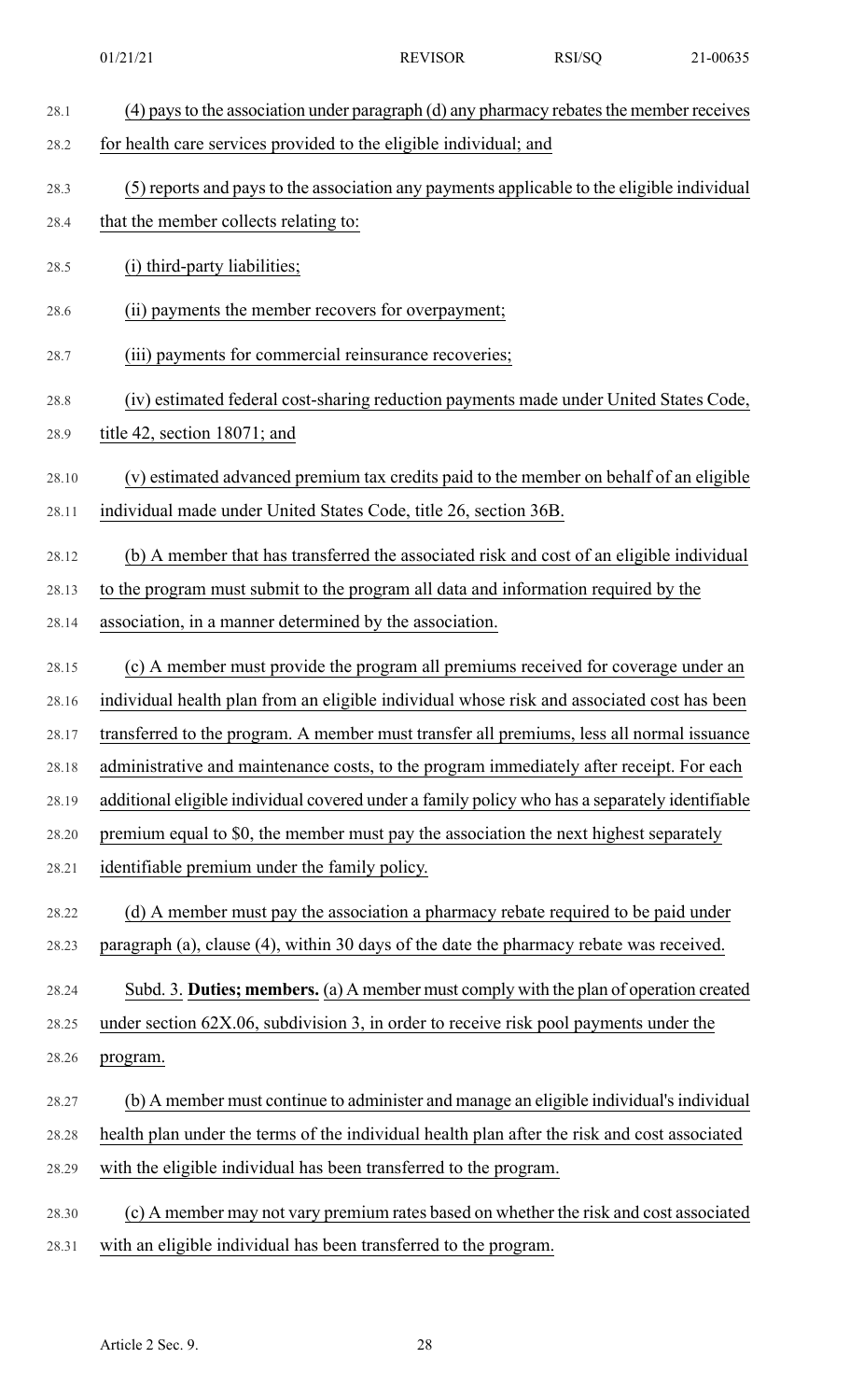| 28.1  | (4) pays to the association under paragraph (d) any pharmacy rebates the member receives       |
|-------|------------------------------------------------------------------------------------------------|
| 28.2  | for health care services provided to the eligible individual; and                              |
| 28.3  | (5) reports and pays to the association any payments applicable to the eligible individual     |
| 28.4  | that the member collects relating to:                                                          |
| 28.5  | (i) third-party liabilities;                                                                   |
| 28.6  | (ii) payments the member recovers for overpayment;                                             |
| 28.7  | (iii) payments for commercial reinsurance recoveries;                                          |
| 28.8  | (iv) estimated federal cost-sharing reduction payments made under United States Code,          |
| 28.9  | title 42, section 18071; and                                                                   |
| 28.10 | (v) estimated advanced premium tax credits paid to the member on behalf of an eligible         |
| 28.11 | individual made under United States Code, title 26, section 36B.                               |
| 28.12 | (b) A member that has transferred the associated risk and cost of an eligible individual       |
| 28.13 | to the program must submit to the program all data and information required by the             |
| 28.14 | association, in a manner determined by the association.                                        |
| 28.15 | (c) A member must provide the program all premiums received for coverage under an              |
| 28.16 | individual health plan from an eligible individual whose risk and associated cost has been     |
| 28.17 | transferred to the program. A member must transfer all premiums, less all normal issuance      |
| 28.18 | administrative and maintenance costs, to the program immediately after receipt. For each       |
| 28.19 | additional eligible individual covered under a family policy who has a separately identifiable |
| 28.20 | premium equal to \$0, the member must pay the association the next highest separately          |
| 28.21 | identifiable premium under the family policy.                                                  |
| 28.22 | (d) A member must pay the association a pharmacy rebate required to be paid under              |
| 28.23 | paragraph (a), clause (4), within 30 days of the date the pharmacy rebate was received.        |
| 28.24 | Subd. 3. Duties; members. (a) A member must comply with the plan of operation created          |
| 28.25 | under section 62X.06, subdivision 3, in order to receive risk pool payments under the          |
| 28.26 | program.                                                                                       |
| 28.27 | (b) A member must continue to administer and manage an eligible individual's individual        |
| 28.28 | health plan under the terms of the individual health plan after the risk and cost associated   |
| 28.29 | with the eligible individual has been transferred to the program.                              |
| 28.30 | (c) A member may not vary premium rates based on whether the risk and cost associated          |
| 28.31 | with an eligible individual has been transferred to the program.                               |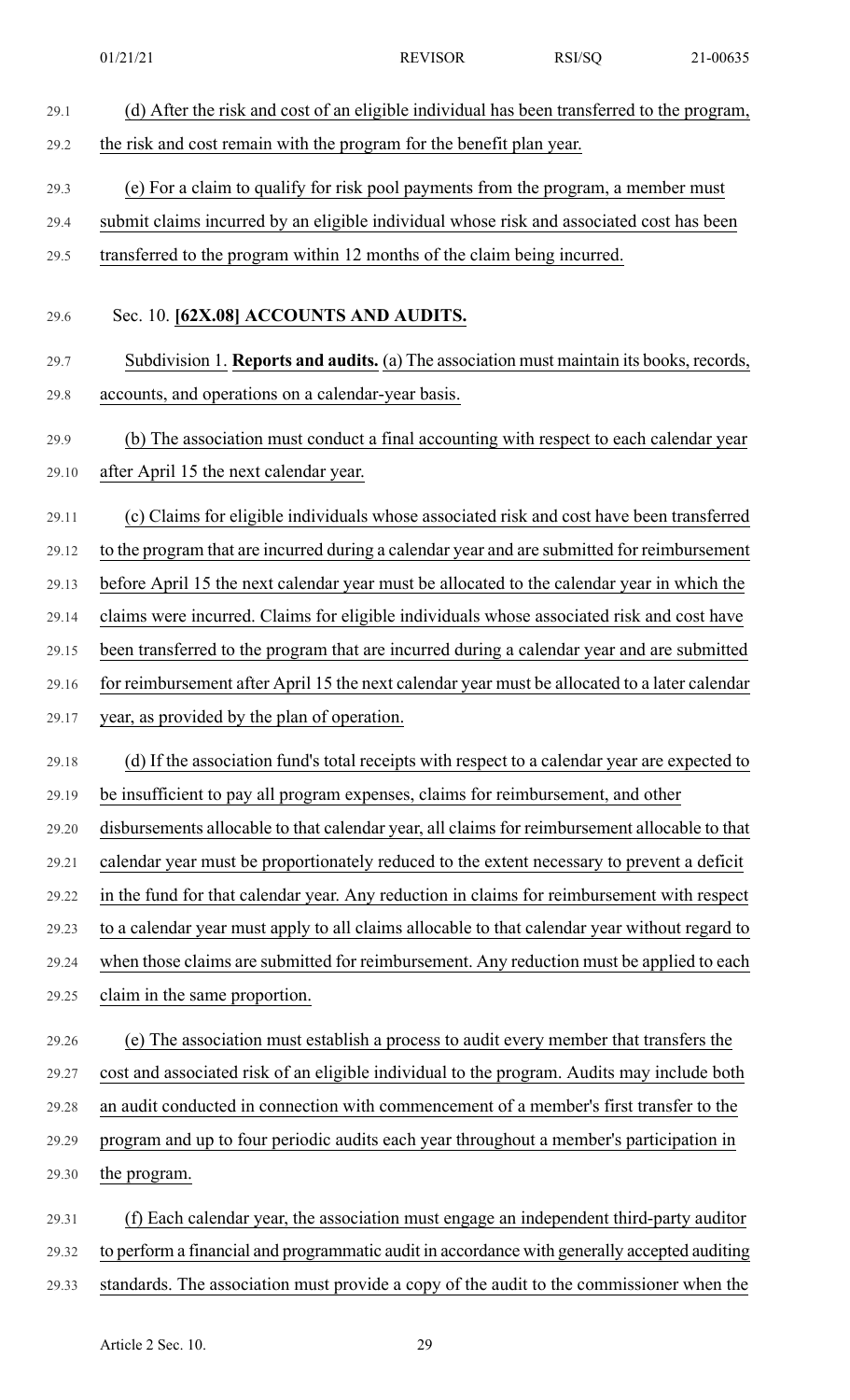| 29.1  | (d) After the risk and cost of an eligible individual has been transferred to the program,    |
|-------|-----------------------------------------------------------------------------------------------|
| 29.2  | the risk and cost remain with the program for the benefit plan year.                          |
| 29.3  | (e) For a claim to qualify for risk pool payments from the program, a member must             |
| 29.4  | submit claims incurred by an eligible individual whose risk and associated cost has been      |
| 29.5  | transferred to the program within 12 months of the claim being incurred.                      |
|       |                                                                                               |
| 29.6  | Sec. 10. [62X.08] ACCOUNTS AND AUDITS.                                                        |
| 29.7  | Subdivision 1. Reports and audits. (a) The association must maintain its books, records,      |
| 29.8  | accounts, and operations on a calendar-year basis.                                            |
| 29.9  | (b) The association must conduct a final accounting with respect to each calendar year        |
| 29.10 | after April 15 the next calendar year.                                                        |
| 29.11 | (c) Claims for eligible individuals whose associated risk and cost have been transferred      |
| 29.12 | to the program that are incurred during a calendar year and are submitted for reimbursement   |
| 29.13 | before April 15 the next calendar year must be allocated to the calendar year in which the    |
| 29.14 | claims were incurred. Claims for eligible individuals whose associated risk and cost have     |
| 29.15 | been transferred to the program that are incurred during a calendar year and are submitted    |
| 29.16 | for reimbursement after April 15 the next calendar year must be allocated to a later calendar |
| 29.17 | year, as provided by the plan of operation.                                                   |
| 29.18 | (d) If the association fund's total receipts with respect to a calendar year are expected to  |
| 29.19 | be insufficient to pay all program expenses, claims for reimbursement, and other              |
| 29.20 | disbursements allocable to that calendar year, all claims for reimbursement allocable to that |
| 29.21 | calendar year must be proportionately reduced to the extent necessary to prevent a deficit    |
| 29.22 | in the fund for that calendar year. Any reduction in claims for reimbursement with respect    |
| 29.23 | to a calendar year must apply to all claims allocable to that calendar year without regard to |
| 29.24 | when those claims are submitted for reimbursement. Any reduction must be applied to each      |
| 29.25 | claim in the same proportion.                                                                 |
| 29.26 | (e) The association must establish a process to audit every member that transfers the         |
| 29.27 | cost and associated risk of an eligible individual to the program. Audits may include both    |
| 29.28 | an audit conducted in connection with commencement of a member's first transfer to the        |
| 29.29 | program and up to four periodic audits each year throughout a member's participation in       |
| 29.30 | the program.                                                                                  |
| 29.31 | (f) Each calendar year, the association must engage an independent third-party auditor        |
| 29.32 | to perform a financial and programmatic audit in accordance with generally accepted auditing  |
|       |                                                                                               |

29.33 standards. The association must provide a copy of the audit to the commissioner when the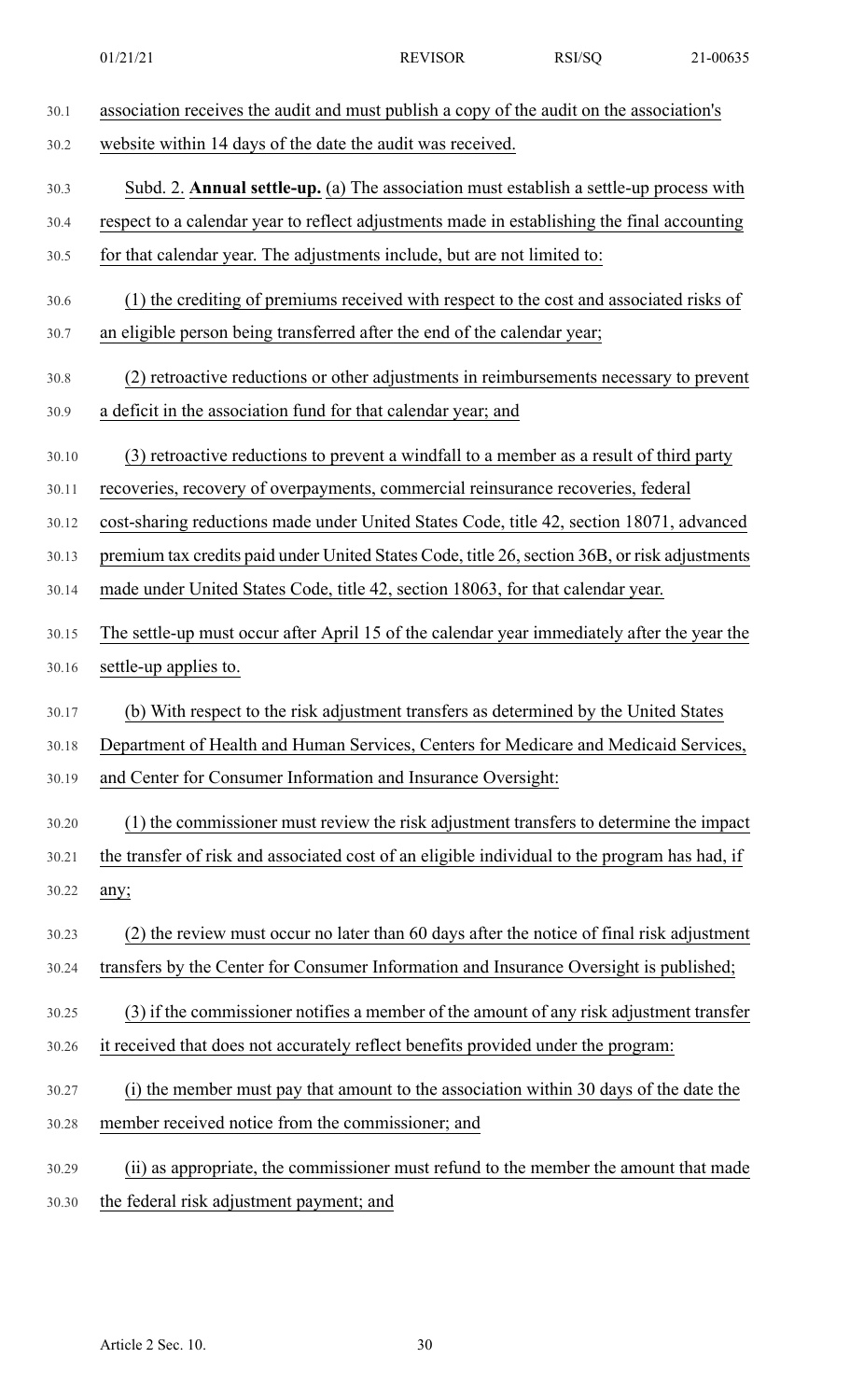| 30.1  | association receives the audit and must publish a copy of the audit on the association's      |
|-------|-----------------------------------------------------------------------------------------------|
| 30.2  | website within 14 days of the date the audit was received.                                    |
| 30.3  | Subd. 2. <b>Annual settle-up.</b> (a) The association must establish a settle-up process with |
| 30.4  | respect to a calendar year to reflect adjustments made in establishing the final accounting   |
| 30.5  | for that calendar year. The adjustments include, but are not limited to:                      |
| 30.6  | (1) the crediting of premiums received with respect to the cost and associated risks of       |
| 30.7  | an eligible person being transferred after the end of the calendar year;                      |
| 30.8  | (2) retroactive reductions or other adjustments in reimbursements necessary to prevent        |
| 30.9  | a deficit in the association fund for that calendar year; and                                 |
| 30.10 | (3) retroactive reductions to prevent a windfall to a member as a result of third party       |
| 30.11 | recoveries, recovery of overpayments, commercial reinsurance recoveries, federal              |
| 30.12 | cost-sharing reductions made under United States Code, title 42, section 18071, advanced      |
| 30.13 | premium tax credits paid under United States Code, title 26, section 36B, or risk adjustments |
| 30.14 | made under United States Code, title 42, section 18063, for that calendar year.               |
| 30.15 | The settle-up must occur after April 15 of the calendar year immediately after the year the   |
| 30.16 | settle-up applies to.                                                                         |
| 30.17 | (b) With respect to the risk adjustment transfers as determined by the United States          |
| 30.18 | Department of Health and Human Services, Centers for Medicare and Medicaid Services,          |
| 30.19 | and Center for Consumer Information and Insurance Oversight:                                  |
| 30.20 | (1) the commissioner must review the risk adjustment transfers to determine the impact        |
| 30.21 | the transfer of risk and associated cost of an eligible individual to the program has had, if |
| 30.22 | any;                                                                                          |
| 30.23 | (2) the review must occur no later than 60 days after the notice of final risk adjustment     |
| 30.24 | transfers by the Center for Consumer Information and Insurance Oversight is published;        |
| 30.25 | (3) if the commissioner notifies a member of the amount of any risk adjustment transfer       |
| 30.26 | it received that does not accurately reflect benefits provided under the program:             |
| 30.27 | (i) the member must pay that amount to the association within 30 days of the date the         |
| 30.28 | member received notice from the commissioner; and                                             |
| 30.29 | (ii) as appropriate, the commissioner must refund to the member the amount that made          |
| 30.30 | the federal risk adjustment payment; and                                                      |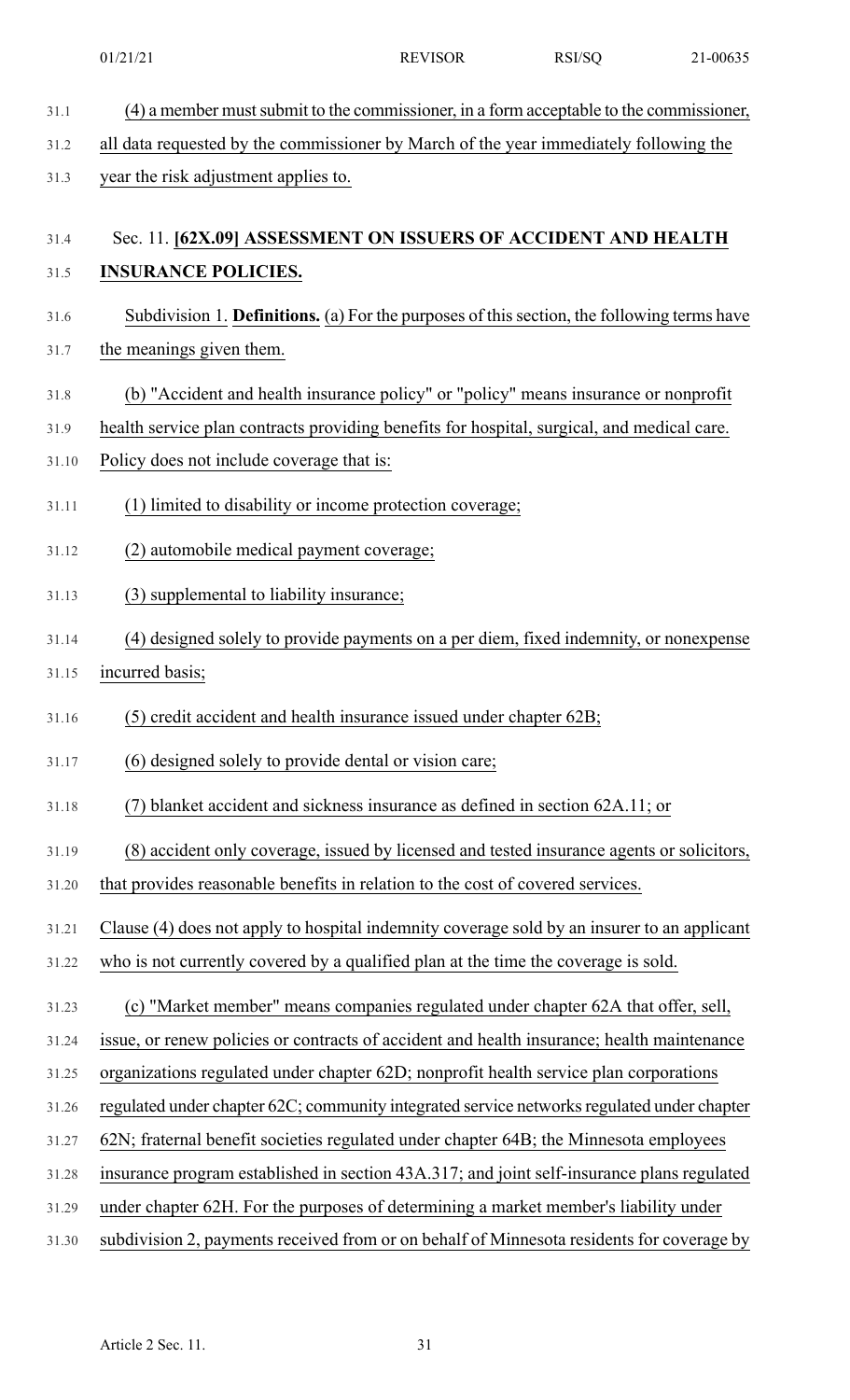|       | 01/21/21                                                                                    | <b>REVISOR</b> | RSI/SQ | 21-00635 |
|-------|---------------------------------------------------------------------------------------------|----------------|--------|----------|
| 31.1  | (4) a member must submit to the commissioner, in a form acceptable to the commissioner,     |                |        |          |
| 31.2  | all data requested by the commissioner by March of the year immediately following the       |                |        |          |
| 31.3  | year the risk adjustment applies to.                                                        |                |        |          |
|       |                                                                                             |                |        |          |
| 31.4  | Sec. 11. [62X.09] ASSESSMENT ON ISSUERS OF ACCIDENT AND HEALTH                              |                |        |          |
| 31.5  | <b>INSURANCE POLICIES.</b>                                                                  |                |        |          |
| 31.6  | Subdivision 1. Definitions. (a) For the purposes of this section, the following terms have  |                |        |          |
| 31.7  | the meanings given them.                                                                    |                |        |          |
| 31.8  | (b) "Accident and health insurance policy" or "policy" means insurance or nonprofit         |                |        |          |
| 31.9  | health service plan contracts providing benefits for hospital, surgical, and medical care.  |                |        |          |
| 31.10 | Policy does not include coverage that is:                                                   |                |        |          |
| 31.11 | (1) limited to disability or income protection coverage;                                    |                |        |          |
| 31.12 | (2) automobile medical payment coverage;                                                    |                |        |          |
| 31.13 | (3) supplemental to liability insurance;                                                    |                |        |          |
| 31.14 | (4) designed solely to provide payments on a per diem, fixed indemnity, or nonexpense       |                |        |          |
| 31.15 | incurred basis;                                                                             |                |        |          |
| 31.16 | (5) credit accident and health insurance issued under chapter 62B;                          |                |        |          |
| 31.17 | (6) designed solely to provide dental or vision care;                                       |                |        |          |
| 31.18 | (7) blanket accident and sickness insurance as defined in section 62A.11; or                |                |        |          |
| 31.19 | (8) accident only coverage, issued by licensed and tested insurance agents or solicitors,   |                |        |          |
| 31.20 | that provides reasonable benefits in relation to the cost of covered services.              |                |        |          |
| 31.21 | Clause (4) does not apply to hospital indemnity coverage sold by an insurer to an applicant |                |        |          |
| 31.22 | who is not currently covered by a qualified plan at the time the coverage is sold.          |                |        |          |
| 31.23 | (c) "Market member" means companies regulated under chapter 62A that offer, sell,           |                |        |          |
| 31.24 | issue, or renew policies or contracts of accident and health insurance; health maintenance  |                |        |          |
| 31.25 | organizations regulated under chapter 62D; nonprofit health service plan corporations       |                |        |          |
| 31.26 | regulated under chapter 62C; community integrated service networks regulated under chapter  |                |        |          |
| 31.27 | 62N; fraternal benefit societies regulated under chapter 64B; the Minnesota employees       |                |        |          |
| 31.28 | insurance program established in section 43A.317; and joint self-insurance plans regulated  |                |        |          |
| 31.29 | under chapter 62H. For the purposes of determining a market member's liability under        |                |        |          |
| 31.30 | subdivision 2, payments received from or on behalf of Minnesota residents for coverage by   |                |        |          |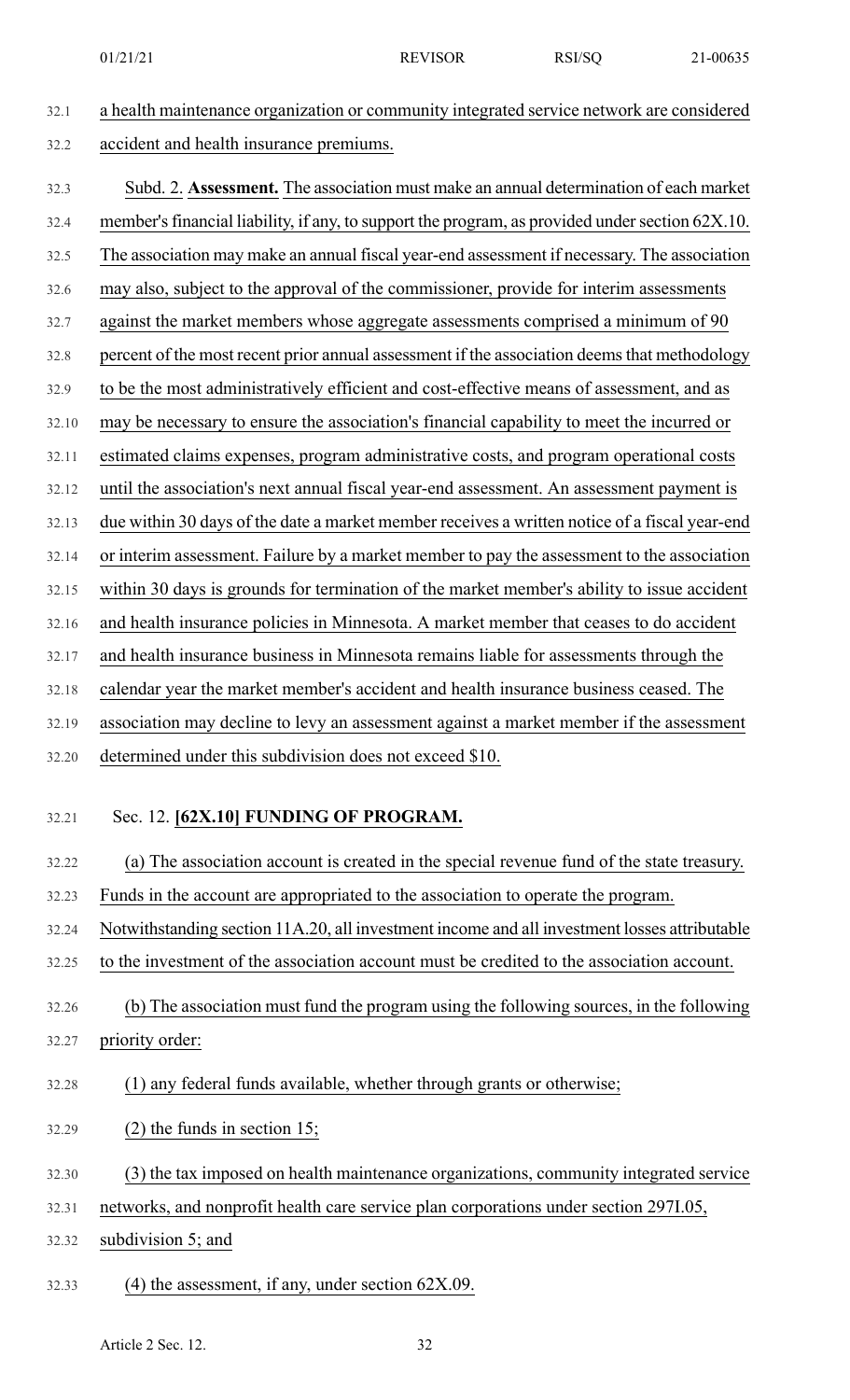32.1 a health maintenance organization or community integrated service network are considered 32.2 accident and health insurance premiums. 32.3 Subd. 2. **Assessment.** The association must make an annual determination of each market 32.4 member's financial liability, if any, to support the program, as provided under section 62X.10. 32.5 The association may make an annual fiscal year-end assessment if necessary. The association 32.6 may also, subject to the approval of the commissioner, provide for interim assessments 32.7 against the market members whose aggregate assessments comprised a minimum of 90 32.8 percent of the most recent prior annual assessment if the association deemsthat methodology 32.9 to be the most administratively efficient and cost-effective means of assessment, and as 32.10 may be necessary to ensure the association's financial capability to meet the incurred or 32.11 estimated claims expenses, program administrative costs, and program operational costs 32.12 until the association's next annual fiscal year-end assessment. An assessment payment is 32.13 due within 30 days of the date a market member receives a written notice of a fiscal year-end 32.14 or interim assessment. Failure by a market member to pay the assessment to the association 32.15 within 30 days is grounds for termination of the market member's ability to issue accident 32.16 and health insurance policies in Minnesota. A market member that ceases to do accident 32.17 and health insurance business in Minnesota remains liable for assessments through the 32.18 calendar year the market member's accident and health insurance business ceased. The 32.19 association may decline to levy an assessment against a market member if the assessment 32.20 determined under this subdivision does not exceed \$10. 32.21 Sec. 12. **[62X.10] FUNDING OF PROGRAM.** 32.22 (a) The association account is created in the special revenue fund of the state treasury. 32.23 Funds in the account are appropriated to the association to operate the program. 32.24 Notwithstanding section 11A.20, all investment income and all investment losses attributable 32.25 to the investment of the association account must be credited to the association account. 32.26 (b) The association must fund the program using the following sources, in the following 32.27 priority order: 32.28 (1) any federal funds available, whether through grants or otherwise; 32.29 (2) the funds in section 15; 32.30 (3) the tax imposed on health maintenance organizations, community integrated service 32.31 networks, and nonprofit health care service plan corporations under section 297I.05, 32.32 subdivision 5; and 32.33 (4) the assessment, if any, under section 62X.09.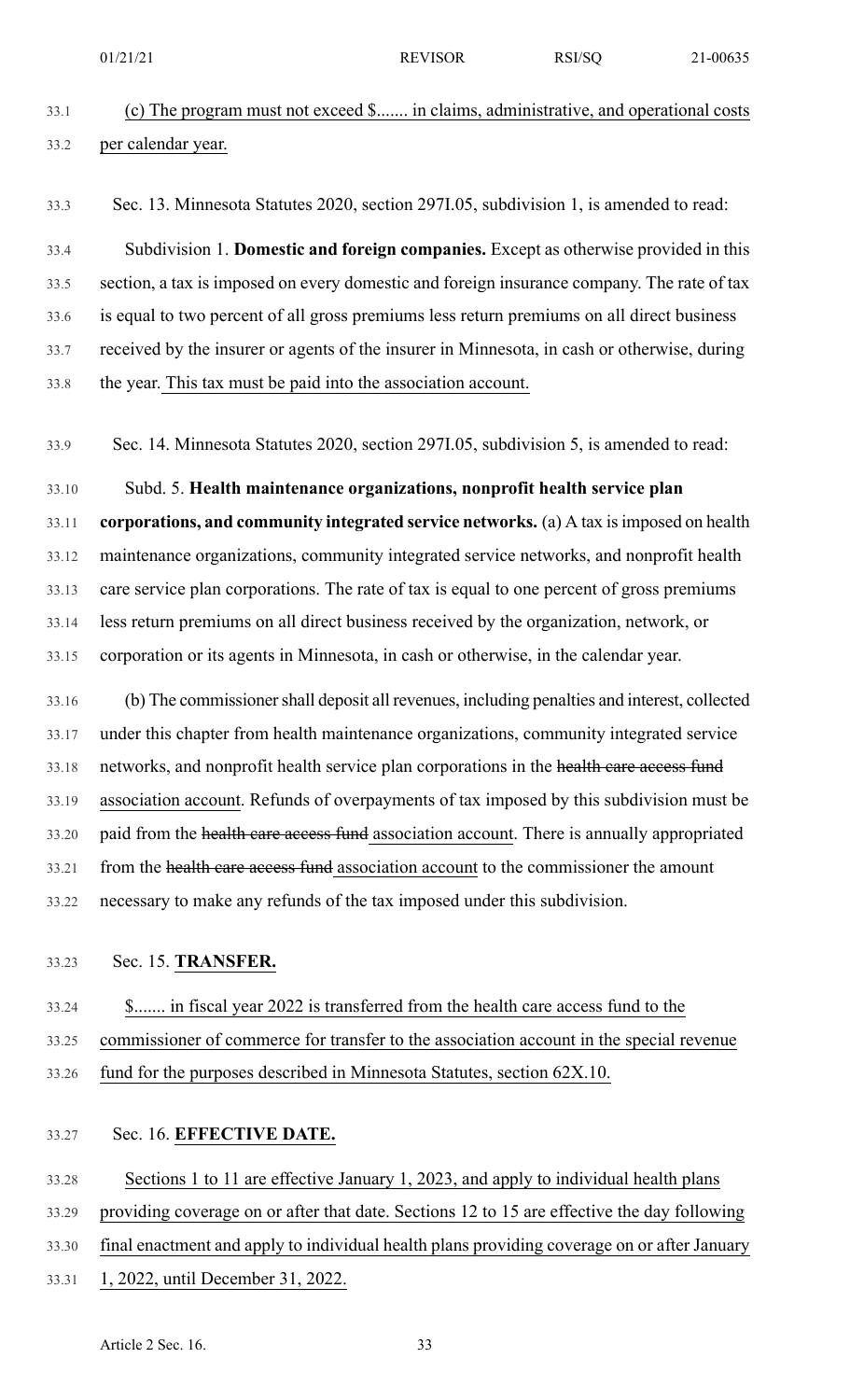# 33.1 (c) The program must not exceed \$....... in claims, administrative, and operational costs 33.2 per calendar year.

33.3 Sec. 13. Minnesota Statutes 2020, section 297I.05, subdivision 1, is amended to read:

33.4 Subdivision 1. **Domestic and foreign companies.** Except as otherwise provided in this 33.5 section, a tax is imposed on every domestic and foreign insurance company. The rate of tax 33.6 is equal to two percent of all gross premiums less return premiums on all direct business 33.7 received by the insurer or agents of the insurer in Minnesota, in cash or otherwise, during 33.8 the year. This tax must be paid into the association account.

33.9 Sec. 14. Minnesota Statutes 2020, section 297I.05, subdivision 5, is amended to read:

33.10 Subd. 5. **Health maintenance organizations, nonprofit health service plan** 33.11 **corporations, and community integrated service networks.** (a) A tax isimposed on health 33.12 maintenance organizations, community integrated service networks, and nonprofit health 33.13 care service plan corporations. The rate of tax is equal to one percent of gross premiums 33.14 less return premiums on all direct business received by the organization, network, or 33.15 corporation or its agents in Minnesota, in cash or otherwise, in the calendar year.

33.16 (b) The commissionershall deposit all revenues, including penalties and interest, collected 33.17 under this chapter from health maintenance organizations, community integrated service 33.18 networks, and nonprofit health service plan corporations in the health care access fund 33.19 association account. Refunds of overpayments of tax imposed by this subdivision must be 33.20 paid from the health care access fund association account. There is annually appropriated 33.21 from the health care access fund association account to the commissioner the amount 33.22 necessary to make any refunds of the tax imposed under this subdivision.

# 33.23 Sec. 15. **TRANSFER.**

33.24 \$....... in fiscal year 2022 is transferred from the health care access fund to the 33.25 commissioner of commerce for transfer to the association account in the special revenue 33.26 fund for the purposes described in Minnesota Statutes, section 62X.10.

# 33.27 Sec. 16. **EFFECTIVE DATE.**

33.28 Sections 1 to 11 are effective January 1, 2023, and apply to individual health plans 33.29 providing coverage on or after that date. Sections 12 to 15 are effective the day following 33.30 final enactment and apply to individual health plans providing coverage on or after January 33.31 1, 2022, until December 31, 2022.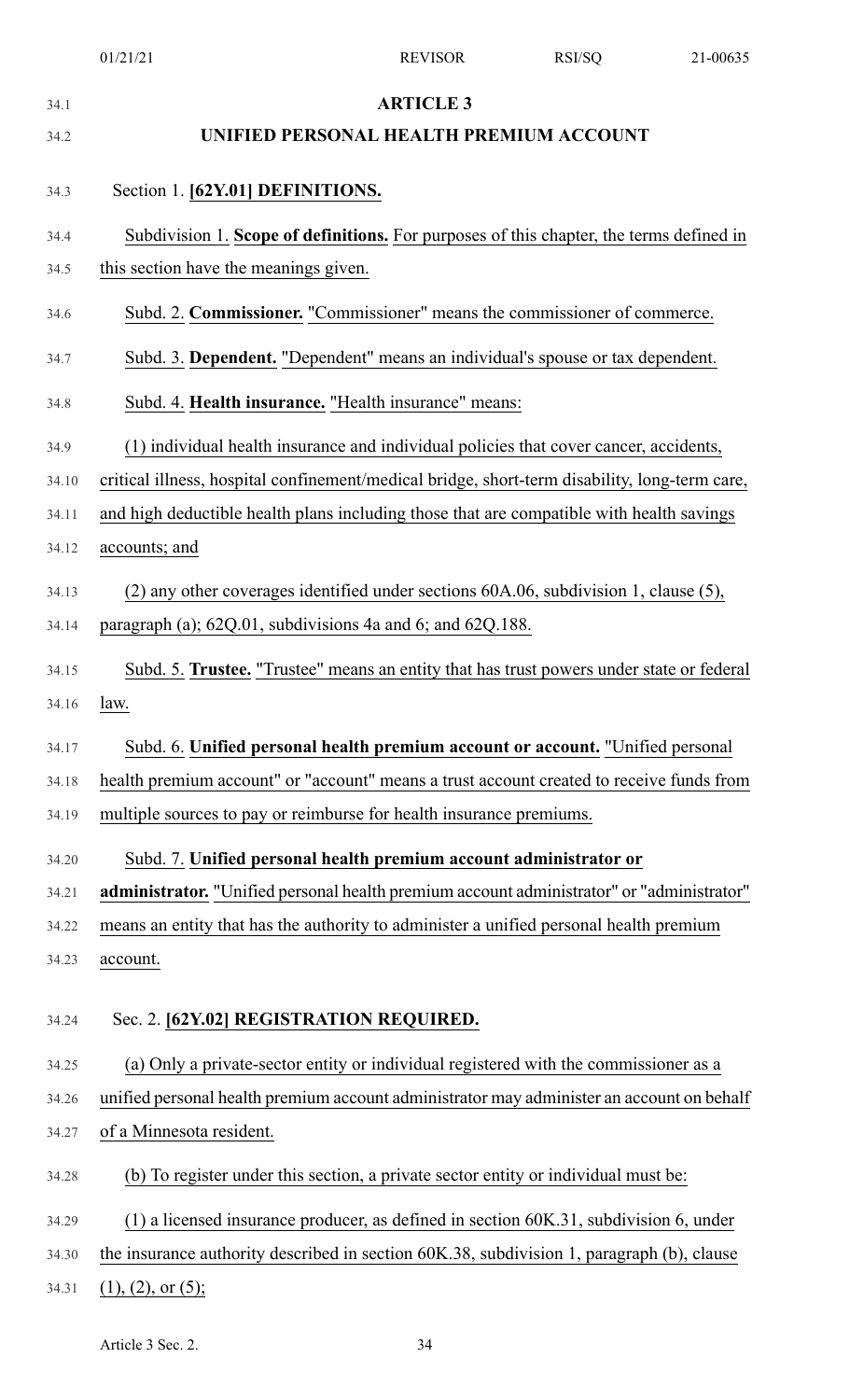| 34.1              | <b>ARTICLE 3</b>                                                                              |
|-------------------|-----------------------------------------------------------------------------------------------|
| 34.2              | UNIFIED PERSONAL HEALTH PREMIUM ACCOUNT                                                       |
| 34.3              | Section 1. [62Y.01] DEFINITIONS.                                                              |
| 34.4              | Subdivision 1. Scope of definitions. For purposes of this chapter, the terms defined in       |
| 34.5              | this section have the meanings given.                                                         |
| 34.6              | Subd. 2. Commissioner. "Commissioner" means the commissioner of commerce.                     |
| 34.7              | Subd. 3. Dependent. "Dependent" means an individual's spouse or tax dependent.                |
| 34.8              | Subd. 4. Health insurance. "Health insurance" means:                                          |
| 34.9              | (1) individual health insurance and individual policies that cover cancer, accidents,         |
| 34.10             | critical illness, hospital confinement/medical bridge, short-term disability, long-term care, |
| 34.11             | and high deductible health plans including those that are compatible with health savings      |
| 34.12             | accounts; and                                                                                 |
| 34.13             | (2) any other coverages identified under sections 60A.06, subdivision 1, clause (5),          |
| 34.14             | paragraph (a); 62Q.01, subdivisions 4a and 6; and 62Q.188.                                    |
| 34.15             | Subd. 5. Trustee. "Trustee" means an entity that has trust powers under state or federal      |
| 34.16 <b>law.</b> |                                                                                               |
| 34.17             | Subd. 6. Unified personal health premium account or account. "Unified personal                |
| 34.18             | health premium account" or "account" means a trust account created to receive funds from      |
| 34.19             | multiple sources to pay or reimburse for health insurance premiums.                           |
| 34.20             | Subd. 7. Unified personal health premium account administrator or                             |
| 34.21             | administrator. "Unified personal health premium account administrator" or "administrator"     |
| 34.22             | means an entity that has the authority to administer a unified personal health premium        |
| 34.23             | account.                                                                                      |
| 34.24             | Sec. 2. [62Y.02] REGISTRATION REQUIRED.                                                       |
| 34.25             | (a) Only a private-sector entity or individual registered with the commissioner as a          |
| 34.26             | unified personal health premium account administrator may administer an account on behalf     |
| 34.27             | of a Minnesota resident.                                                                      |
| 34.28             | (b) To register under this section, a private sector entity or individual must be:            |
| 34.29             | $(1)$ a licensed insurance producer, as defined in section 60K.31, subdivision 6, under       |
| 34.30             | the insurance authority described in section 60K.38, subdivision 1, paragraph (b), clause     |
| 34.31             | $(1), (2),$ or $(5)$ ;                                                                        |

Article 3 Sec. 2. 34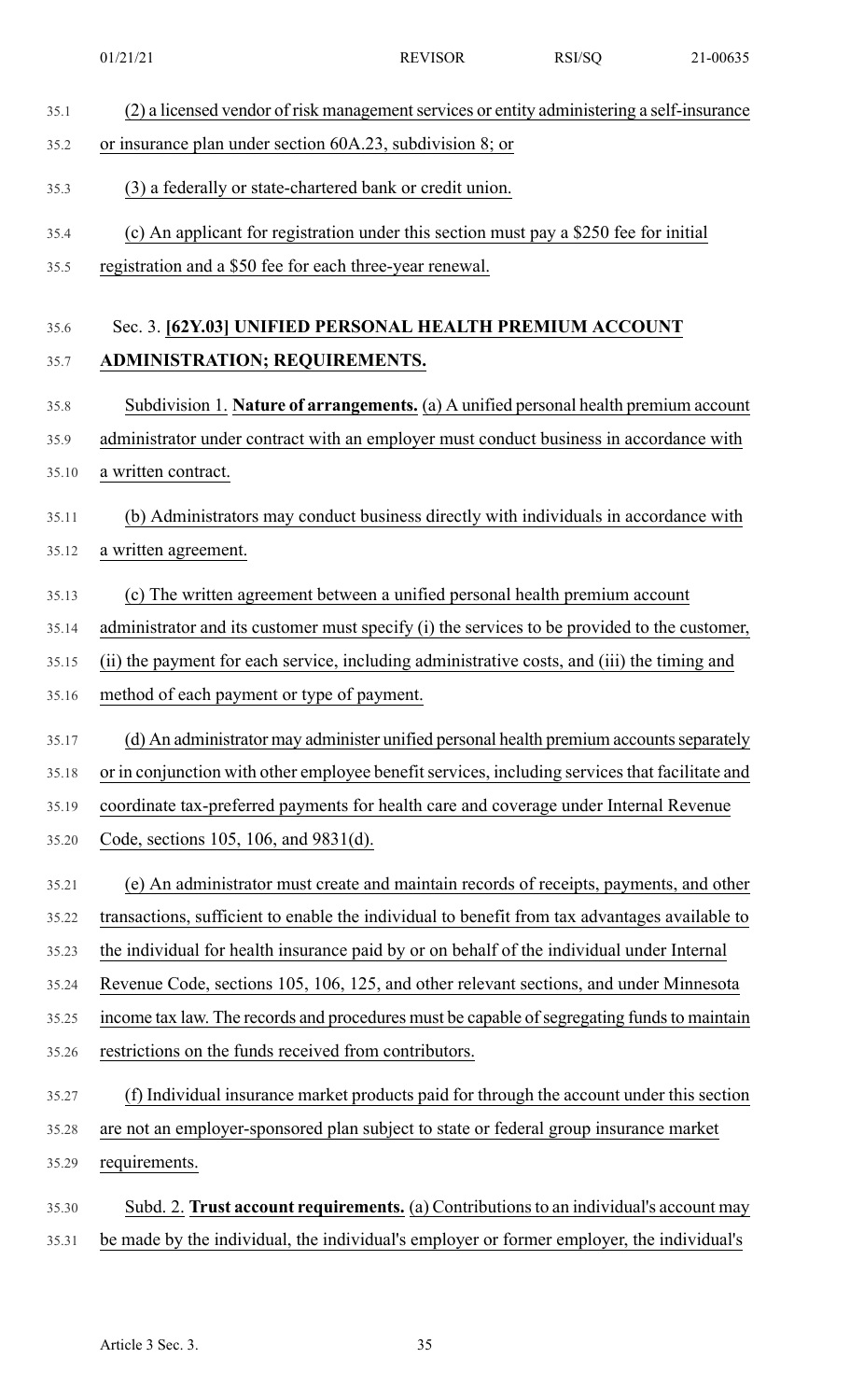- 35.1 (2) a licensed vendor of risk management services or entity administering a self-insurance
- 35.2 or insurance plan under section 60A.23, subdivision 8; or
- 35.3 (3) a federally or state-chartered bank or credit union.
- 35.4 (c) An applicant for registration under this section must pay a \$250 fee for initial
- 35.5 registration and a \$50 fee for each three-year renewal.

# 35.6 Sec. 3. **[62Y.03] UNIFIED PERSONAL HEALTH PREMIUM ACCOUNT** 35.7 **ADMINISTRATION; REQUIREMENTS.**

- 35.8 Subdivision 1. **Nature of arrangements.** (a) A unified personal health premium account
- 35.9 administrator under contract with an employer must conduct business in accordance with 35.10 a written contract.
- 35.11 (b) Administrators may conduct business directly with individuals in accordance with
- 35.12 a written agreement.
- 35.13 (c) The written agreement between a unified personal health premium account
- 35.14 administrator and its customer must specify (i) the services to be provided to the customer,
- 35.15 (ii) the payment for each service, including administrative costs, and (iii) the timing and
- 35.16 method of each payment or type of payment.
- 35.17 (d) An administrator may administer unified personal health premium accounts separately 35.18 or in conjunction with other employee benefit services, including services that facilitate and 35.19 coordinate tax-preferred payments for health care and coverage under Internal Revenue 35.20 Code, sections 105, 106, and 9831(d).
- 35.21 (e) An administrator must create and maintain records of receipts, payments, and other 35.22 transactions, sufficient to enable the individual to benefit from tax advantages available to 35.23 the individual for health insurance paid by or on behalf of the individual under Internal 35.24 Revenue Code, sections 105, 106, 125, and other relevant sections, and under Minnesota 35.25 income tax law. The records and procedures must be capable of segregating funds to maintain 35.26 restrictions on the funds received from contributors.
- 35.27 (f) Individual insurance market products paid for through the account under this section 35.28 are not an employer-sponsored plan subject to state or federal group insurance market
- 35.29 requirements.
- 35.30 Subd. 2. **Trust account requirements.** (a) Contributionsto an individual's account may 35.31 be made by the individual, the individual's employer or former employer, the individual's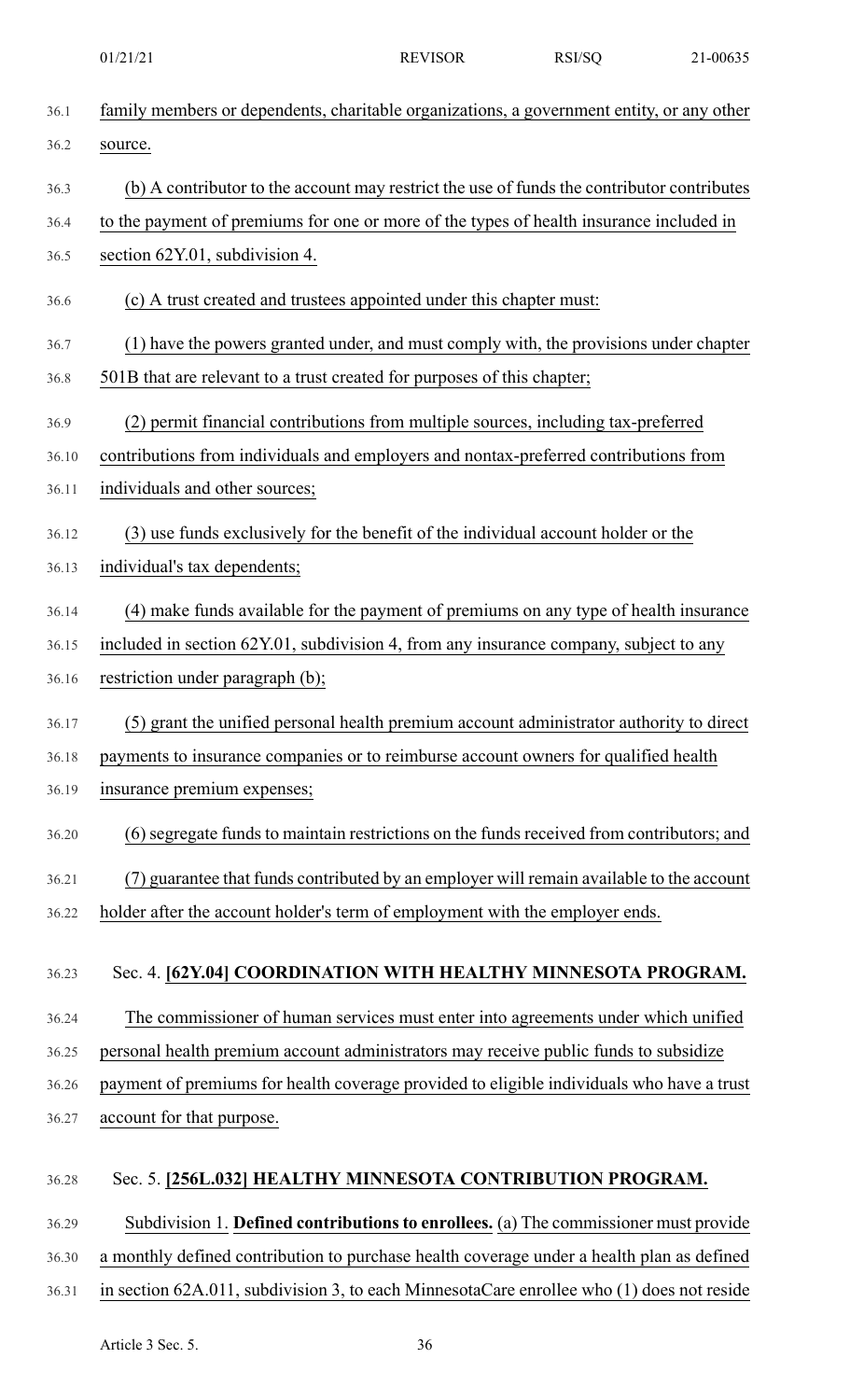| 36.1  | family members or dependents, charitable organizations, a government entity, or any other  |
|-------|--------------------------------------------------------------------------------------------|
| 36.2  | source.                                                                                    |
| 36.3  | (b) A contributor to the account may restrict the use of funds the contributor contributes |
| 36.4  | to the payment of premiums for one or more of the types of health insurance included in    |
| 36.5  | section 62Y.01, subdivision 4.                                                             |
| 36.6  | (c) A trust created and trustees appointed under this chapter must:                        |
| 36.7  | (1) have the powers granted under, and must comply with, the provisions under chapter      |
| 36.8  | 501B that are relevant to a trust created for purposes of this chapter;                    |
| 36.9  | (2) permit financial contributions from multiple sources, including tax-preferred          |
| 36.10 | contributions from individuals and employers and nontax-preferred contributions from       |
| 36.11 | individuals and other sources;                                                             |
| 36.12 | (3) use funds exclusively for the benefit of the individual account holder or the          |
| 36.13 | individual's tax dependents;                                                               |
| 36.14 | (4) make funds available for the payment of premiums on any type of health insurance       |
| 36.15 | included in section 62Y.01, subdivision 4, from any insurance company, subject to any      |
| 36.16 | restriction under paragraph (b);                                                           |
| 36.17 | (5) grant the unified personal health premium account administrator authority to direct    |
| 36.18 | payments to insurance companies or to reimburse account owners for qualified health        |
| 36.19 | insurance premium expenses;                                                                |
| 36.20 | (6) segregate funds to maintain restrictions on the funds received from contributors; and  |
| 36.21 | (7) guarantee that funds contributed by an employer will remain available to the account   |
| 36.22 | holder after the account holder's term of employment with the employer ends.               |
| 36.23 | Sec. 4. [62Y.04] COORDINATION WITH HEALTHY MINNESOTA PROGRAM.                              |
| 36.24 | The commissioner of human services must enter into agreements under which unified          |
| 36.25 | personal health premium account administrators may receive public funds to subsidize       |
| 36.26 | payment of premiums for health coverage provided to eligible individuals who have a trust  |
| 36.27 | account for that purpose.                                                                  |
| 36.28 | Sec. 5. [256L.032] HEALTHY MINNESOTA CONTRIBUTION PROGRAM.                                 |
| 36.29 | Subdivision 1. Defined contributions to enrollees. (a) The commissioner must provide       |
| 36.30 | a monthly defined contribution to purchase health coverage under a health plan as defined  |
| 36.31 | in section 62A.011, subdivision 3, to each MinnesotaCare enrollee who (1) does not reside  |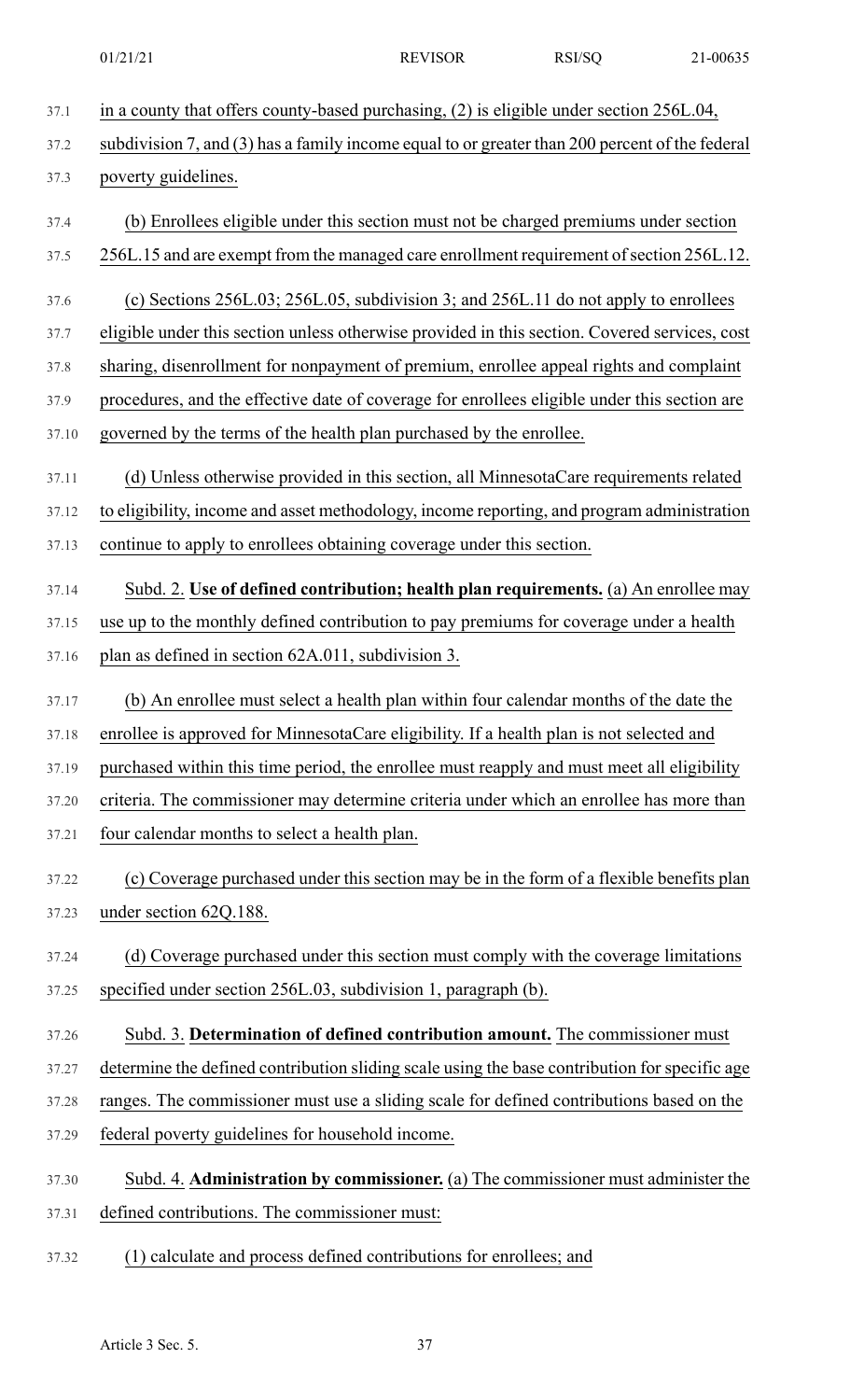37.1 in a county that offers county-based purchasing, (2) is eligible under section 256L.04, 37.2 subdivision 7, and (3) has a family income equal to or greater than 200 percent of the federal 37.3 poverty guidelines. 37.4 (b) Enrollees eligible under this section must not be charged premiums under section 37.5 256L.15 and are exempt from the managed care enrollment requirement of section 256L.12. 37.6 (c) Sections 256L.03; 256L.05, subdivision 3; and 256L.11 do not apply to enrollees 37.7 eligible under this section unless otherwise provided in this section. Covered services, cost 37.8 sharing, disenrollment for nonpayment of premium, enrollee appeal rights and complaint 37.9 procedures, and the effective date of coverage for enrollees eligible under this section are 37.10 governed by the terms of the health plan purchased by the enrollee. 37.11 (d) Unless otherwise provided in this section, all MinnesotaCare requirements related 37.12 to eligibility, income and asset methodology, income reporting, and program administration 37.13 continue to apply to enrollees obtaining coverage under this section. 37.14 Subd. 2. **Use of defined contribution; health plan requirements.** (a) An enrollee may 37.15 use up to the monthly defined contribution to pay premiums for coverage under a health 37.16 plan as defined in section 62A.011, subdivision 3. 37.17 (b) An enrollee must select a health plan within four calendar months of the date the 37.18 enrollee is approved for MinnesotaCare eligibility. If a health plan is not selected and 37.19 purchased within this time period, the enrollee must reapply and must meet all eligibility 37.20 criteria. The commissioner may determine criteria under which an enrollee has more than 37.21 four calendar months to select a health plan. 37.22 (c) Coverage purchased under this section may be in the form of a flexible benefits plan 37.23 under section 62Q.188. 37.24 (d) Coverage purchased under this section must comply with the coverage limitations 37.25 specified under section 256L.03, subdivision 1, paragraph (b). 37.26 Subd. 3. **Determination of defined contribution amount.** The commissioner must 37.27 determine the defined contribution sliding scale using the base contribution for specific age 37.28 ranges. The commissioner must use a sliding scale for defined contributions based on the 37.29 federal poverty guidelines for household income. 37.30 Subd. 4. **Administration by commissioner.** (a) The commissioner must administer the 37.31 defined contributions. The commissioner must: 37.32 (1) calculate and process defined contributions for enrollees; and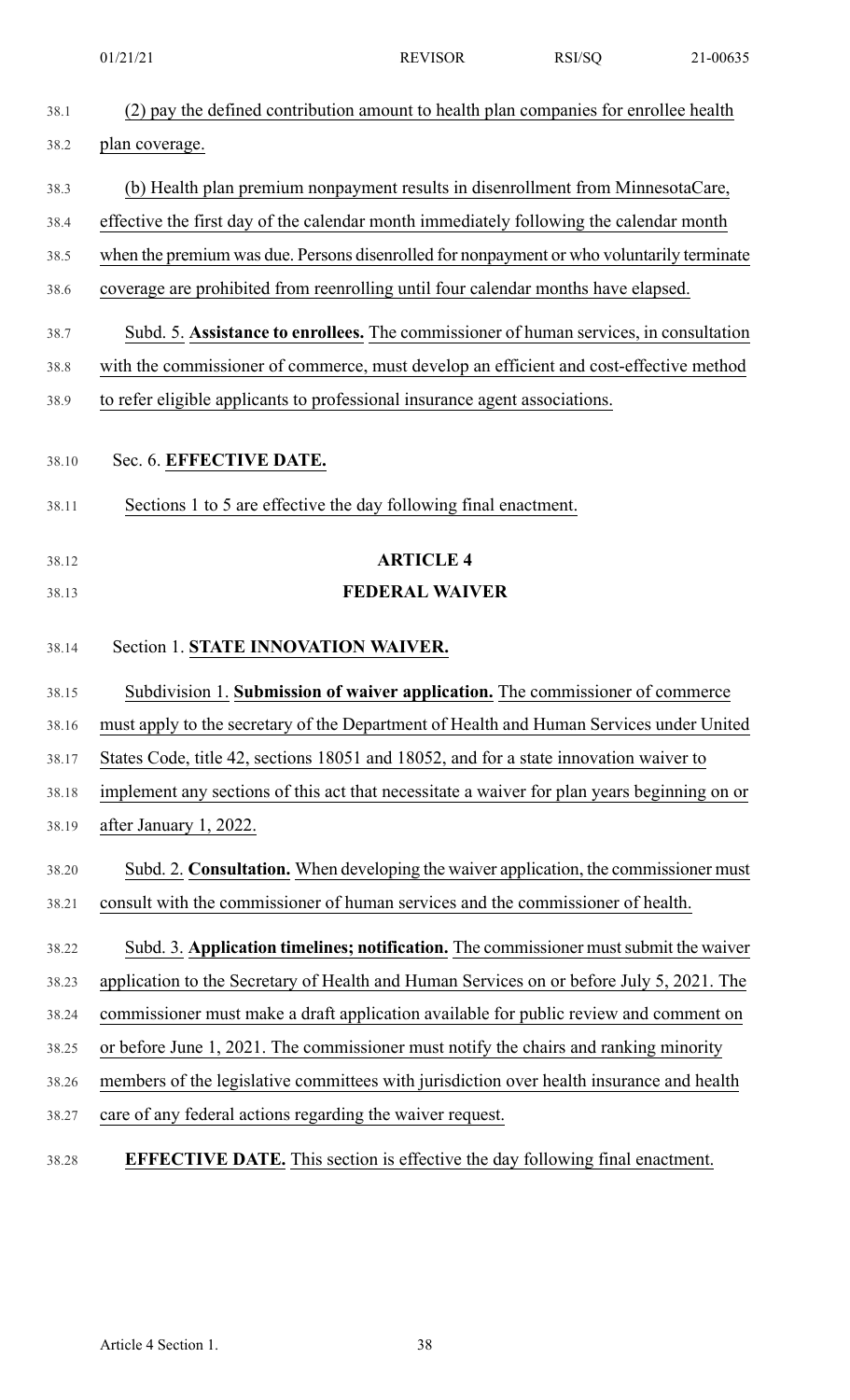|       | 01/21/21                                                                                    | <b>REVISOR</b>        | RSI/SQ | 21-00635 |
|-------|---------------------------------------------------------------------------------------------|-----------------------|--------|----------|
| 38.1  | (2) pay the defined contribution amount to health plan companies for enrollee health        |                       |        |          |
| 38.2  | plan coverage.                                                                              |                       |        |          |
| 38.3  | (b) Health plan premium nonpayment results in disenrollment from MinnesotaCare,             |                       |        |          |
| 38.4  | effective the first day of the calendar month immediately following the calendar month      |                       |        |          |
| 38.5  | when the premium was due. Persons disenrolled for nonpayment or who voluntarily terminate   |                       |        |          |
| 38.6  | coverage are prohibited from reenrolling until four calendar months have elapsed.           |                       |        |          |
| 38.7  | Subd. 5. Assistance to enrollees. The commissioner of human services, in consultation       |                       |        |          |
| 38.8  | with the commissioner of commerce, must develop an efficient and cost-effective method      |                       |        |          |
| 38.9  | to refer eligible applicants to professional insurance agent associations.                  |                       |        |          |
| 38.10 | Sec. 6. EFFECTIVE DATE.                                                                     |                       |        |          |
|       |                                                                                             |                       |        |          |
| 38.11 | Sections 1 to 5 are effective the day following final enactment.                            |                       |        |          |
| 38.12 |                                                                                             | <b>ARTICLE 4</b>      |        |          |
| 38.13 |                                                                                             | <b>FEDERAL WAIVER</b> |        |          |
| 38.14 | Section 1. STATE INNOVATION WAIVER.                                                         |                       |        |          |
| 38.15 | Subdivision 1. Submission of waiver application. The commissioner of commerce               |                       |        |          |
| 38.16 | must apply to the secretary of the Department of Health and Human Services under United     |                       |        |          |
| 38.17 | States Code, title 42, sections 18051 and 18052, and for a state innovation waiver to       |                       |        |          |
| 38.18 | implement any sections of this act that necessitate a waiver for plan years beginning on or |                       |        |          |
| 38.19 | after January 1, 2022.                                                                      |                       |        |          |
| 38.20 | Subd. 2. Consultation. When developing the waiver application, the commissioner must        |                       |        |          |
| 38.21 | consult with the commissioner of human services and the commissioner of health.             |                       |        |          |
| 38.22 | Subd. 3. Application timelines; notification. The commissioner must submit the waiver       |                       |        |          |
| 38.23 | application to the Secretary of Health and Human Services on or before July 5, 2021. The    |                       |        |          |
| 38.24 | commissioner must make a draft application available for public review and comment on       |                       |        |          |
| 38.25 | or before June 1, 2021. The commissioner must notify the chairs and ranking minority        |                       |        |          |
| 38.26 | members of the legislative committees with jurisdiction over health insurance and health    |                       |        |          |
| 38.27 | care of any federal actions regarding the waiver request.                                   |                       |        |          |
| 38.28 | <b>EFFECTIVE DATE.</b> This section is effective the day following final enactment.         |                       |        |          |
|       |                                                                                             |                       |        |          |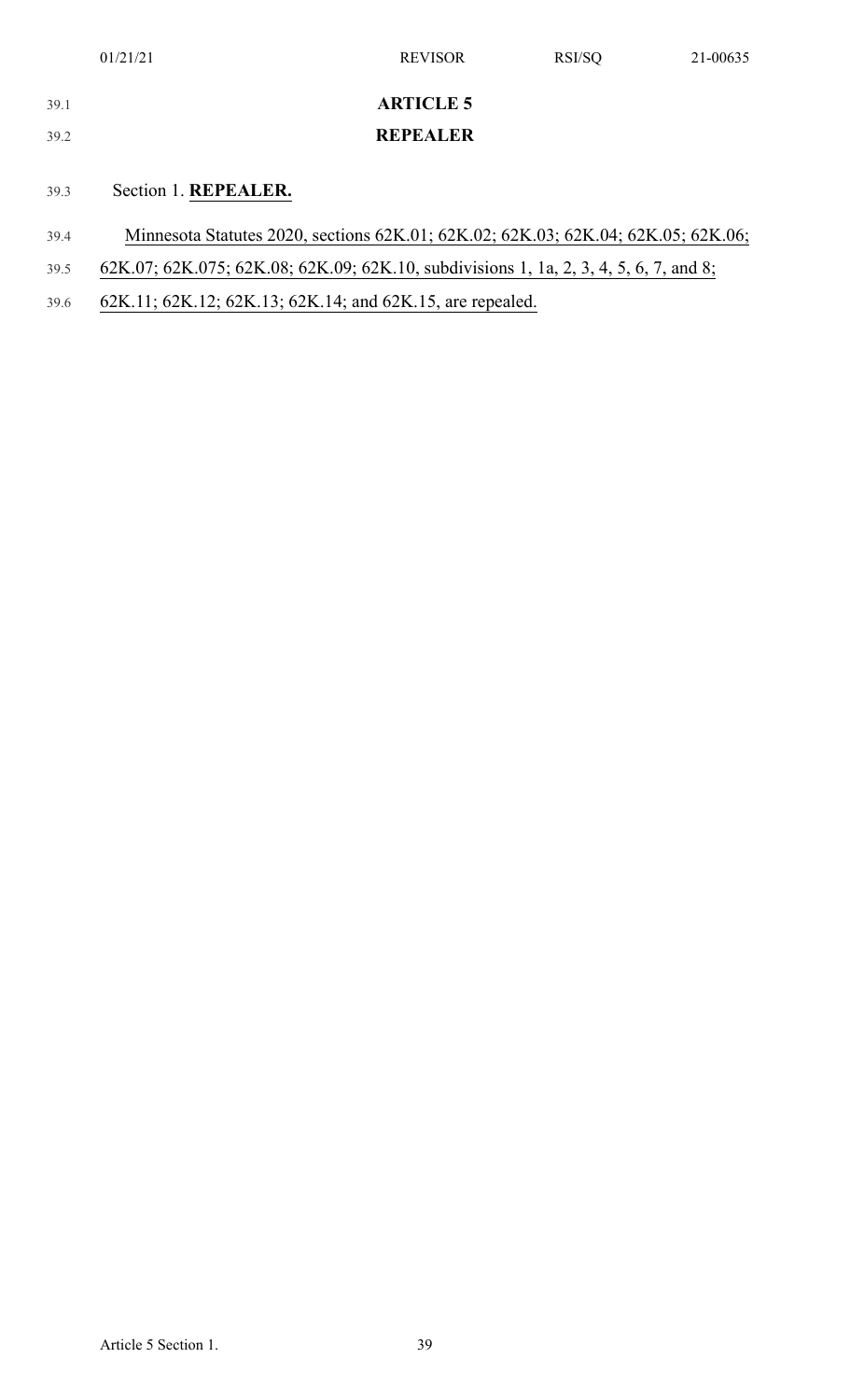| 39.1 | <b>ARTICLE 5</b>                                                                      |
|------|---------------------------------------------------------------------------------------|
| 39.2 | <b>REPEALER</b>                                                                       |
| 39.3 | Section 1. REPEALER.                                                                  |
|      |                                                                                       |
| 39.4 | Minnesota Statutes 2020, sections 62K.01; 62K.02; 62K.03; 62K.04; 62K.05; 62K.06;     |
| 39.5 | 62K.07; 62K.075; 62K.08; 62K.09; 62K.10, subdivisions 1, 1a, 2, 3, 4, 5, 6, 7, and 8; |
| 39.6 | 62K.11; 62K.12; 62K.13; 62K.14; and 62K.15, are repealed.                             |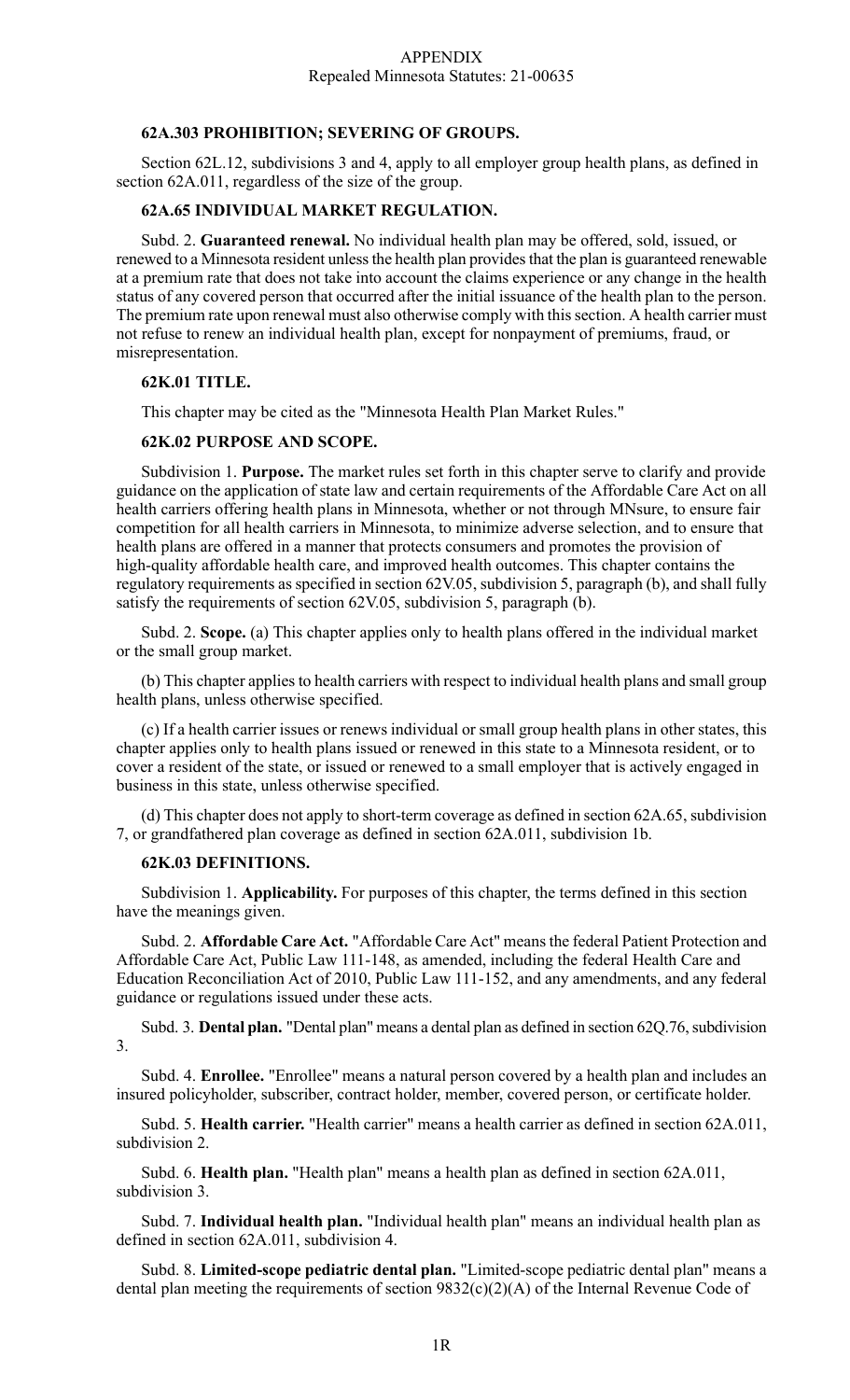## **62A.303 PROHIBITION; SEVERING OF GROUPS.**

Section 62L.12, subdivisions 3 and 4, apply to all employer group health plans, as defined in section 62A.011, regardless of the size of the group.

# **62A.65 INDIVIDUAL MARKET REGULATION.**

Subd. 2. **Guaranteed renewal.** No individual health plan may be offered, sold, issued, or renewed to a Minnesota resident unless the health plan provides that the plan is guaranteed renewable at a premium rate that does not take into account the claims experience or any change in the health status of any covered person that occurred after the initial issuance of the health plan to the person. The premium rate upon renewal must also otherwise comply with this section. A health carrier must not refuse to renew an individual health plan, except for nonpayment of premiums, fraud, or misrepresentation.

# **62K.01 TITLE.**

This chapter may be cited as the "Minnesota Health Plan Market Rules."

# **62K.02 PURPOSE AND SCOPE.**

Subdivision 1. **Purpose.** The market rules set forth in this chapter serve to clarify and provide guidance on the application of state law and certain requirements of the Affordable Care Act on all health carriers offering health plans in Minnesota, whether or not through MNsure, to ensure fair competition for all health carriers in Minnesota, to minimize adverse selection, and to ensure that health plans are offered in a manner that protects consumers and promotes the provision of high-quality affordable health care, and improved health outcomes. This chapter contains the regulatory requirements as specified in section 62V.05, subdivision 5, paragraph (b), and shall fully satisfy the requirements of section 62V.05, subdivision 5, paragraph (b).

Subd. 2. **Scope.** (a) This chapter applies only to health plans offered in the individual market or the small group market.

(b) This chapter applies to health carriers with respect to individual health plans and small group health plans, unless otherwise specified.

(c) If a health carrier issues or renews individual or small group health plans in other states, this chapter applies only to health plans issued or renewed in this state to a Minnesota resident, or to cover a resident of the state, or issued or renewed to a small employer that is actively engaged in business in this state, unless otherwise specified.

(d) This chapter does not apply to short-term coverage as defined in section 62A.65, subdivision 7, or grandfathered plan coverage as defined in section 62A.011, subdivision 1b.

# **62K.03 DEFINITIONS.**

Subdivision 1. **Applicability.** For purposes of this chapter, the terms defined in this section have the meanings given.

Subd. 2. **Affordable Care Act.** "Affordable Care Act" meansthe federal Patient Protection and Affordable Care Act, Public Law 111-148, as amended, including the federal Health Care and Education Reconciliation Act of 2010, Public Law 111-152, and any amendments, and any federal guidance or regulations issued under these acts.

Subd. 3. **Dental plan.** "Dental plan" means a dental plan as defined in section 62Q.76, subdivision 3.

Subd. 4. **Enrollee.** "Enrollee" means a natural person covered by a health plan and includes an insured policyholder, subscriber, contract holder, member, covered person, or certificate holder.

Subd. 5. **Health carrier.** "Health carrier" means a health carrier as defined in section 62A.011, subdivision 2.

Subd. 6. **Health plan.** "Health plan" means a health plan as defined in section 62A.011, subdivision 3.

Subd. 7. **Individual health plan.** "Individual health plan" means an individual health plan as defined in section 62A.011, subdivision 4.

Subd. 8. **Limited-scope pediatric dental plan.** "Limited-scope pediatric dental plan" means a dental plan meeting the requirements of section 9832(c)(2)(A) of the Internal Revenue Code of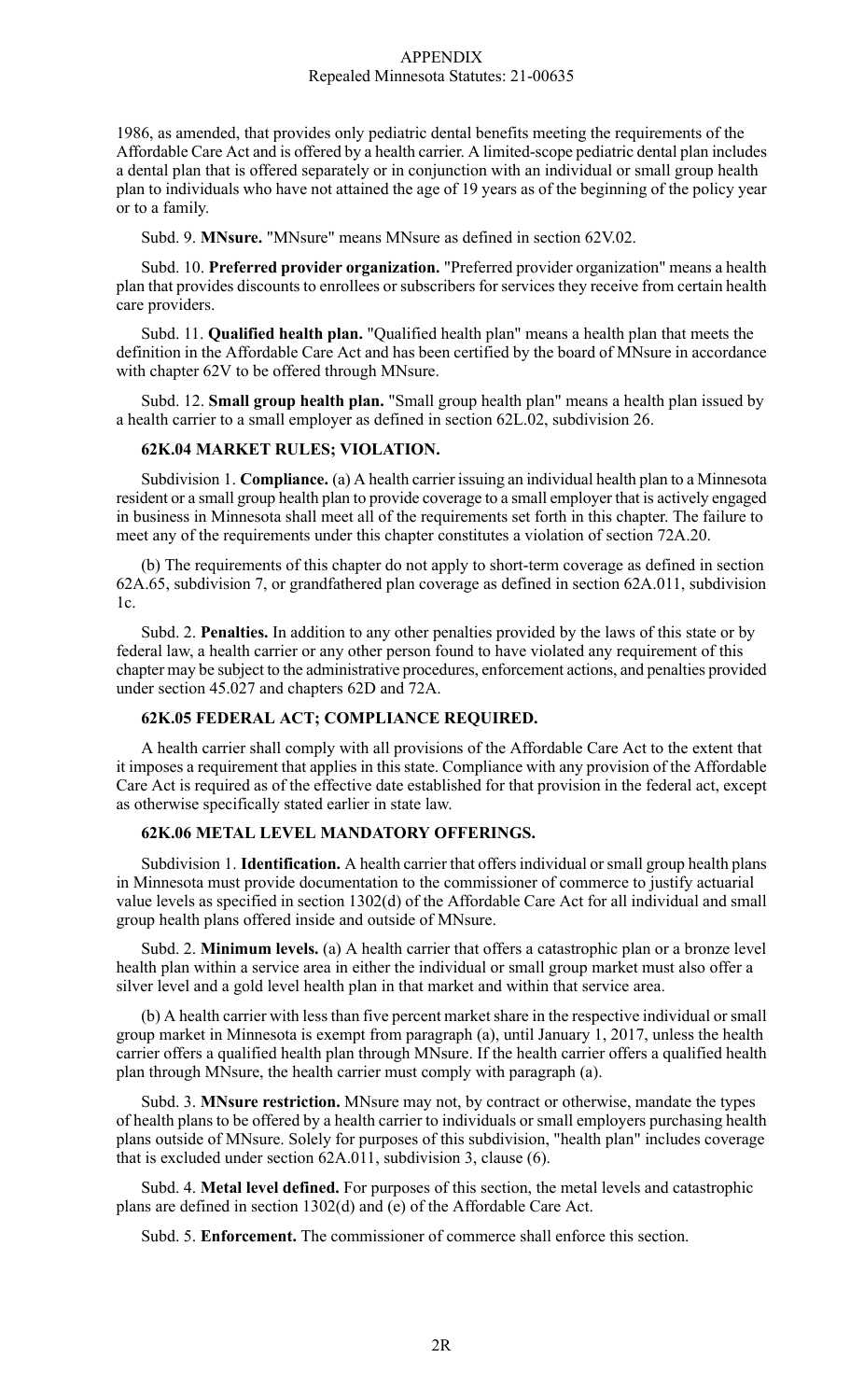1986, as amended, that provides only pediatric dental benefits meeting the requirements of the Affordable Care Act and is offered by a health carrier. A limited-scope pediatric dental plan includes a dental plan that is offered separately or in conjunction with an individual or small group health plan to individuals who have not attained the age of 19 years as of the beginning of the policy year or to a family.

Subd. 9. **MNsure.** "MNsure" means MNsure as defined in section 62V.02.

Subd. 10. **Preferred provider organization.** "Preferred provider organization" means a health plan that provides discounts to enrollees or subscribers for services they receive from certain health care providers.

Subd. 11. **Qualified health plan.** "Qualified health plan" means a health plan that meets the definition in the Affordable Care Act and has been certified by the board of MNsure in accordance with chapter 62V to be offered through MNsure.

Subd. 12. **Small group health plan.** "Small group health plan" means a health plan issued by a health carrier to a small employer as defined in section 62L.02, subdivision 26.

## **62K.04 MARKET RULES; VIOLATION.**

Subdivision 1. **Compliance.** (a) A health carrier issuing an individual health plan to a Minnesota resident or a small group health plan to provide coverage to a small employer that is actively engaged in business in Minnesota shall meet all of the requirements set forth in this chapter. The failure to meet any of the requirements under this chapter constitutes a violation of section 72A.20.

(b) The requirements of this chapter do not apply to short-term coverage as defined in section 62A.65, subdivision 7, or grandfathered plan coverage as defined in section 62A.011, subdivision 1c.

Subd. 2. **Penalties.** In addition to any other penalties provided by the laws of this state or by federal law, a health carrier or any other person found to have violated any requirement of this chapter may be subject to the administrative procedures, enforcement actions, and penalties provided under section 45.027 and chapters 62D and 72A.

#### **62K.05 FEDERAL ACT; COMPLIANCE REQUIRED.**

A health carrier shall comply with all provisions of the Affordable Care Act to the extent that it imposes a requirement that applies in this state. Compliance with any provision of the Affordable Care Act is required as of the effective date established for that provision in the federal act, except as otherwise specifically stated earlier in state law.

# **62K.06 METAL LEVEL MANDATORY OFFERINGS.**

Subdivision 1. **Identification.** A health carrier that offers individual or small group health plans in Minnesota must provide documentation to the commissioner of commerce to justify actuarial value levels as specified in section 1302(d) of the Affordable Care Act for all individual and small group health plans offered inside and outside of MNsure.

Subd. 2. **Minimum levels.** (a) A health carrier that offers a catastrophic plan or a bronze level health plan within a service area in either the individual or small group market must also offer a silver level and a gold level health plan in that market and within that service area.

(b) A health carrier with less than five percent market share in the respective individual or small group market in Minnesota is exempt from paragraph (a), until January 1, 2017, unless the health carrier offers a qualified health plan through MNsure. If the health carrier offers a qualified health plan through MNsure, the health carrier must comply with paragraph (a).

Subd. 3. **MNsure restriction.** MNsure may not, by contract or otherwise, mandate the types of health plans to be offered by a health carrier to individuals or small employers purchasing health plans outside of MNsure. Solely for purposes of this subdivision, "health plan" includes coverage that is excluded under section 62A.011, subdivision 3, clause (6).

Subd. 4. **Metal level defined.** For purposes of this section, the metal levels and catastrophic plans are defined in section 1302(d) and (e) of the Affordable Care Act.

Subd. 5. **Enforcement.** The commissioner of commerce shall enforce this section.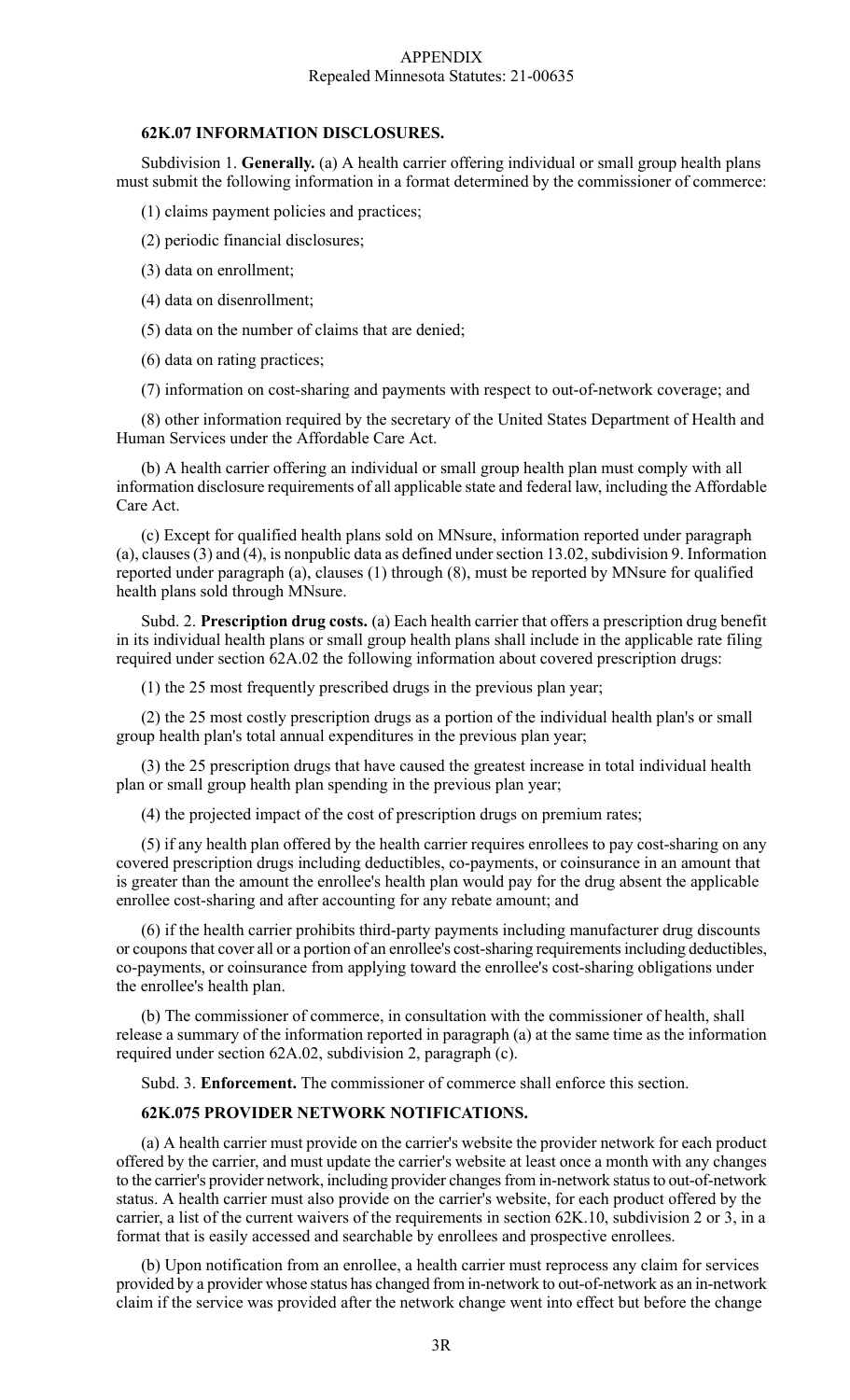## **62K.07 INFORMATION DISCLOSURES.**

Subdivision 1. **Generally.** (a) A health carrier offering individual or small group health plans must submit the following information in a format determined by the commissioner of commerce:

(1) claims payment policies and practices;

- (2) periodic financial disclosures;
- (3) data on enrollment;
- (4) data on disenrollment;
- (5) data on the number of claims that are denied;
- (6) data on rating practices;
- (7) information on cost-sharing and payments with respect to out-of-network coverage; and

(8) other information required by the secretary of the United States Department of Health and Human Services under the Affordable Care Act.

(b) A health carrier offering an individual or small group health plan must comply with all information disclosure requirements of all applicable state and federal law, including the Affordable Care Act.

(c) Except for qualified health plans sold on MNsure, information reported under paragraph (a), clauses  $(3)$  and  $(4)$ , is nonpublic data as defined under section 13.02, subdivision 9. Information reported under paragraph (a), clauses (1) through (8), must be reported by MNsure for qualified health plans sold through MNsure.

Subd. 2. **Prescription drug costs.** (a) Each health carrier that offers a prescription drug benefit in its individual health plans or small group health plans shall include in the applicable rate filing required under section 62A.02 the following information about covered prescription drugs:

(1) the 25 most frequently prescribed drugs in the previous plan year;

(2) the 25 most costly prescription drugs as a portion of the individual health plan's or small group health plan's total annual expenditures in the previous plan year;

(3) the 25 prescription drugs that have caused the greatest increase in total individual health plan or small group health plan spending in the previous plan year;

(4) the projected impact of the cost of prescription drugs on premium rates;

(5) if any health plan offered by the health carrier requires enrollees to pay cost-sharing on any covered prescription drugs including deductibles, co-payments, or coinsurance in an amount that is greater than the amount the enrollee's health plan would pay for the drug absent the applicable enrollee cost-sharing and after accounting for any rebate amount; and

(6) if the health carrier prohibits third-party payments including manufacturer drug discounts or coupons that cover all or a portion of an enrollee's cost-sharing requirements including deductibles, co-payments, or coinsurance from applying toward the enrollee's cost-sharing obligations under the enrollee's health plan.

(b) The commissioner of commerce, in consultation with the commissioner of health, shall release a summary of the information reported in paragraph (a) at the same time as the information required under section 62A.02, subdivision 2, paragraph (c).

Subd. 3. **Enforcement.** The commissioner of commerce shall enforce this section.

## **62K.075 PROVIDER NETWORK NOTIFICATIONS.**

(a) A health carrier must provide on the carrier's website the provider network for each product offered by the carrier, and must update the carrier's website at least once a month with any changes to the carrier's provider network, including provider changes from in-network status to out-of-network status. A health carrier must also provide on the carrier's website, for each product offered by the carrier, a list of the current waivers of the requirements in section 62K.10, subdivision 2 or 3, in a format that is easily accessed and searchable by enrollees and prospective enrollees.

(b) Upon notification from an enrollee, a health carrier must reprocess any claim for services provided by a provider whose status has changed from in-network to out-of-network as an in-network claim if the service was provided after the network change went into effect but before the change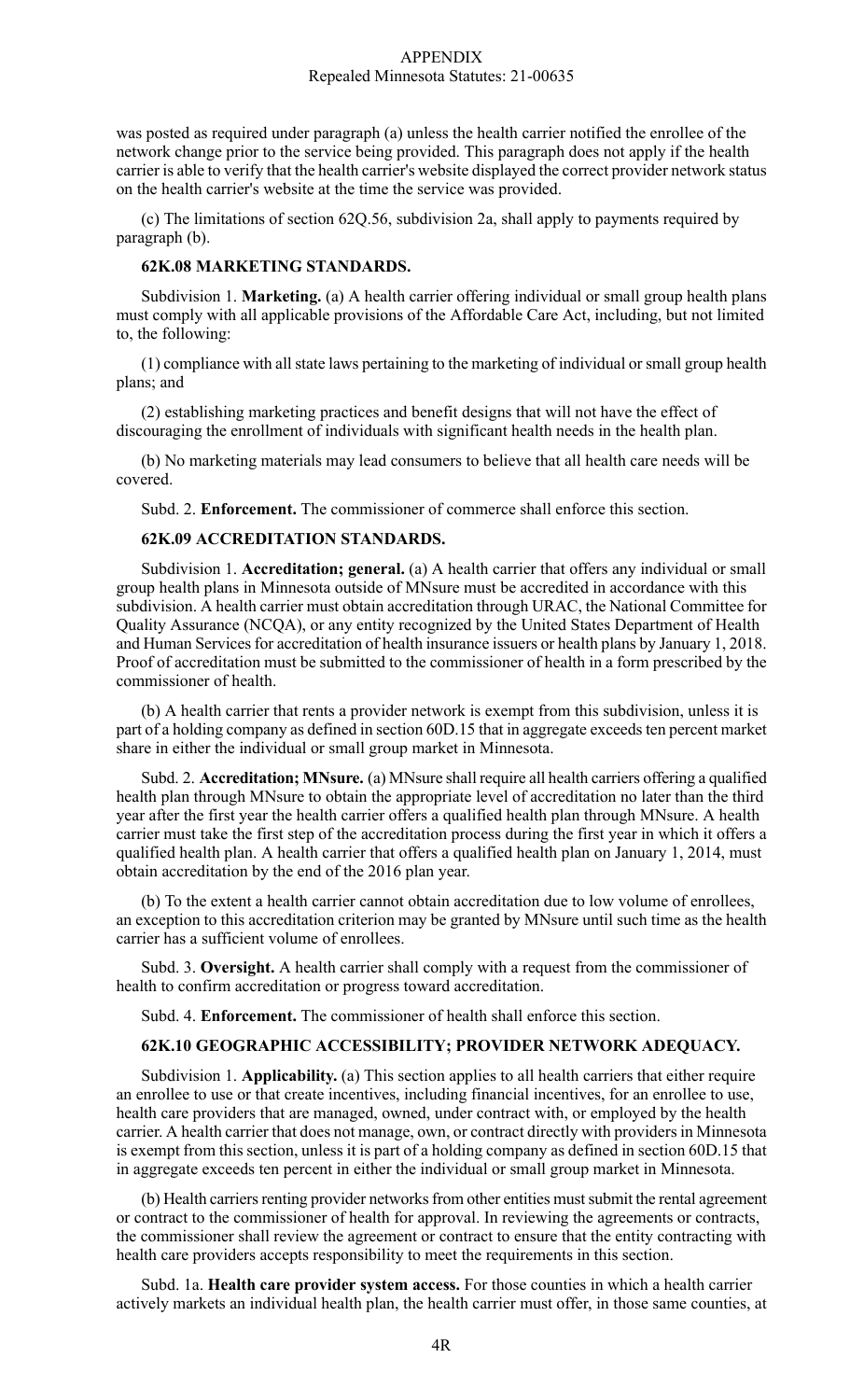was posted as required under paragraph (a) unless the health carrier notified the enrollee of the network change prior to the service being provided. This paragraph does not apply if the health carrier is able to verify that the health carrier's website displayed the correct provider network status on the health carrier's website at the time the service was provided.

(c) The limitations of section 62Q.56, subdivision 2a, shall apply to payments required by paragraph (b).

# **62K.08 MARKETING STANDARDS.**

Subdivision 1. **Marketing.** (a) A health carrier offering individual or small group health plans must comply with all applicable provisions of the Affordable Care Act, including, but not limited to, the following:

(1) compliance with all state laws pertaining to the marketing of individual or small group health plans; and

(2) establishing marketing practices and benefit designs that will not have the effect of discouraging the enrollment of individuals with significant health needs in the health plan.

(b) No marketing materials may lead consumers to believe that all health care needs will be covered.

Subd. 2. **Enforcement.** The commissioner of commerce shall enforce this section.

# **62K.09 ACCREDITATION STANDARDS.**

Subdivision 1. **Accreditation; general.** (a) A health carrier that offers any individual or small group health plans in Minnesota outside of MNsure must be accredited in accordance with this subdivision. A health carrier must obtain accreditation through URAC, the National Committee for Quality Assurance (NCQA), or any entity recognized by the United States Department of Health and Human Services for accreditation of health insurance issuers or health plans by January 1, 2018. Proof of accreditation must be submitted to the commissioner of health in a form prescribed by the commissioner of health.

(b) A health carrier that rents a provider network is exempt from this subdivision, unless it is part of a holding company as defined in section 60D.15 that in aggregate exceeds ten percent market share in either the individual or small group market in Minnesota.

Subd. 2. **Accreditation; MNsure.** (a) MNsure shall require all health carriers offering a qualified health plan through MNsure to obtain the appropriate level of accreditation no later than the third year after the first year the health carrier offers a qualified health plan through MNsure. A health carrier must take the first step of the accreditation process during the first year in which it offers a qualified health plan. A health carrier that offers a qualified health plan on January 1, 2014, must obtain accreditation by the end of the 2016 plan year.

(b) To the extent a health carrier cannot obtain accreditation due to low volume of enrollees, an exception to this accreditation criterion may be granted by MNsure until such time as the health carrier has a sufficient volume of enrollees.

Subd. 3. **Oversight.** A health carrier shall comply with a request from the commissioner of health to confirm accreditation or progress toward accreditation.

Subd. 4. **Enforcement.** The commissioner of health shall enforce this section.

#### **62K.10 GEOGRAPHIC ACCESSIBILITY; PROVIDER NETWORK ADEQUACY.**

Subdivision 1. **Applicability.** (a) This section applies to all health carriers that either require an enrollee to use or that create incentives, including financial incentives, for an enrollee to use, health care providers that are managed, owned, under contract with, or employed by the health carrier. A health carrier that does not manage, own, or contract directly with providers in Minnesota is exempt from this section, unless it is part of a holding company as defined in section 60D.15 that in aggregate exceeds ten percent in either the individual or small group market in Minnesota.

(b) Health carriers renting provider networks from other entities must submit the rental agreement or contract to the commissioner of health for approval. In reviewing the agreements or contracts, the commissioner shall review the agreement or contract to ensure that the entity contracting with health care providers accepts responsibility to meet the requirements in this section.

Subd. 1a. **Health care provider system access.** For those counties in which a health carrier actively markets an individual health plan, the health carrier must offer, in those same counties, at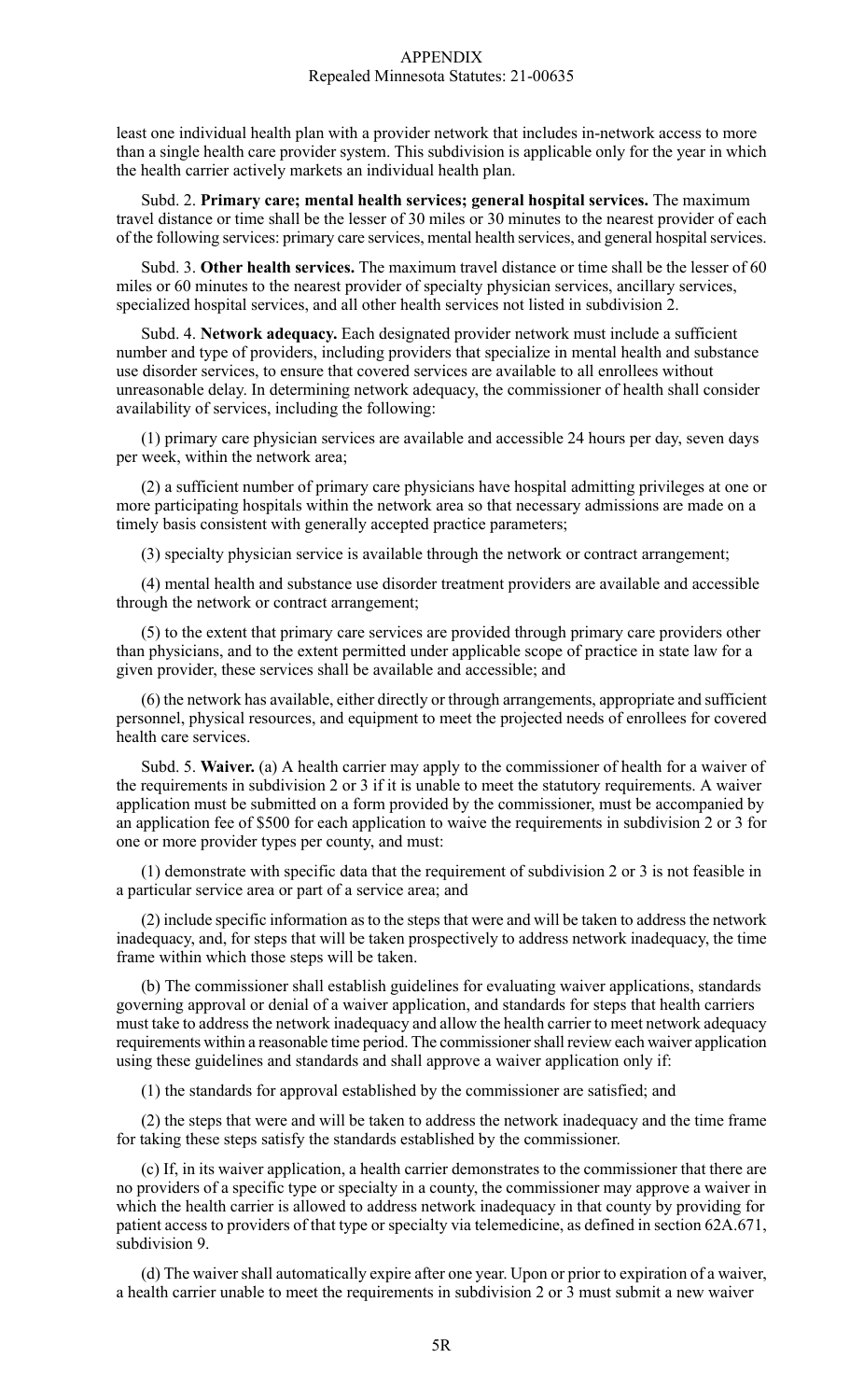least one individual health plan with a provider network that includes in-network access to more than a single health care provider system. This subdivision is applicable only for the year in which the health carrier actively markets an individual health plan.

Subd. 2. **Primary care; mental health services; general hospital services.** The maximum travel distance or time shall be the lesser of 30 miles or 30 minutes to the nearest provider of each of the following services: primary care services, mental health services, and general hospital services.

Subd. 3. **Other health services.** The maximum travel distance or time shall be the lesser of 60 miles or 60 minutes to the nearest provider of specialty physician services, ancillary services, specialized hospital services, and all other health services not listed in subdivision 2.

Subd. 4. **Network adequacy.** Each designated provider network must include a sufficient number and type of providers, including providers that specialize in mental health and substance use disorder services, to ensure that covered services are available to all enrollees without unreasonable delay. In determining network adequacy, the commissioner of health shall consider availability of services, including the following:

(1) primary care physician services are available and accessible 24 hours per day, seven days per week, within the network area;

(2) a sufficient number of primary care physicians have hospital admitting privileges at one or more participating hospitals within the network area so that necessary admissions are made on a timely basis consistent with generally accepted practice parameters;

(3) specialty physician service is available through the network or contract arrangement;

(4) mental health and substance use disorder treatment providers are available and accessible through the network or contract arrangement;

(5) to the extent that primary care services are provided through primary care providers other than physicians, and to the extent permitted under applicable scope of practice in state law for a given provider, these services shall be available and accessible; and

(6) the network has available, either directly or through arrangements, appropriate and sufficient personnel, physical resources, and equipment to meet the projected needs of enrollees for covered health care services.

Subd. 5. **Waiver.** (a) A health carrier may apply to the commissioner of health for a waiver of the requirements in subdivision 2 or 3 if it is unable to meet the statutory requirements. A waiver application must be submitted on a form provided by the commissioner, must be accompanied by an application fee of \$500 for each application to waive the requirements in subdivision 2 or 3 for one or more provider types per county, and must:

(1) demonstrate with specific data that the requirement of subdivision 2 or 3 is not feasible in a particular service area or part of a service area; and

 $(2)$  include specific information as to the steps that were and will be taken to address the network inadequacy, and, for steps that will be taken prospectively to address network inadequacy, the time frame within which those steps will be taken.

(b) The commissioner shall establish guidelines for evaluating waiver applications, standards governing approval or denial of a waiver application, and standards for steps that health carriers must take to address the network inadequacy and allow the health carrier to meet network adequacy requirements within a reasonable time period. The commissioner shall review each waiver application using these guidelines and standards and shall approve a waiver application only if:

(1) the standards for approval established by the commissioner are satisfied; and

(2) the steps that were and will be taken to address the network inadequacy and the time frame for taking these steps satisfy the standards established by the commissioner.

(c) If, in its waiver application, a health carrier demonstrates to the commissioner that there are no providers of a specific type or specialty in a county, the commissioner may approve a waiver in which the health carrier is allowed to address network inadequacy in that county by providing for patient access to providers of that type or specialty via telemedicine, as defined in section 62A.671, subdivision 9.

(d) The waiver shall automatically expire after one year. Upon or prior to expiration of a waiver, a health carrier unable to meet the requirements in subdivision 2 or 3 must submit a new waiver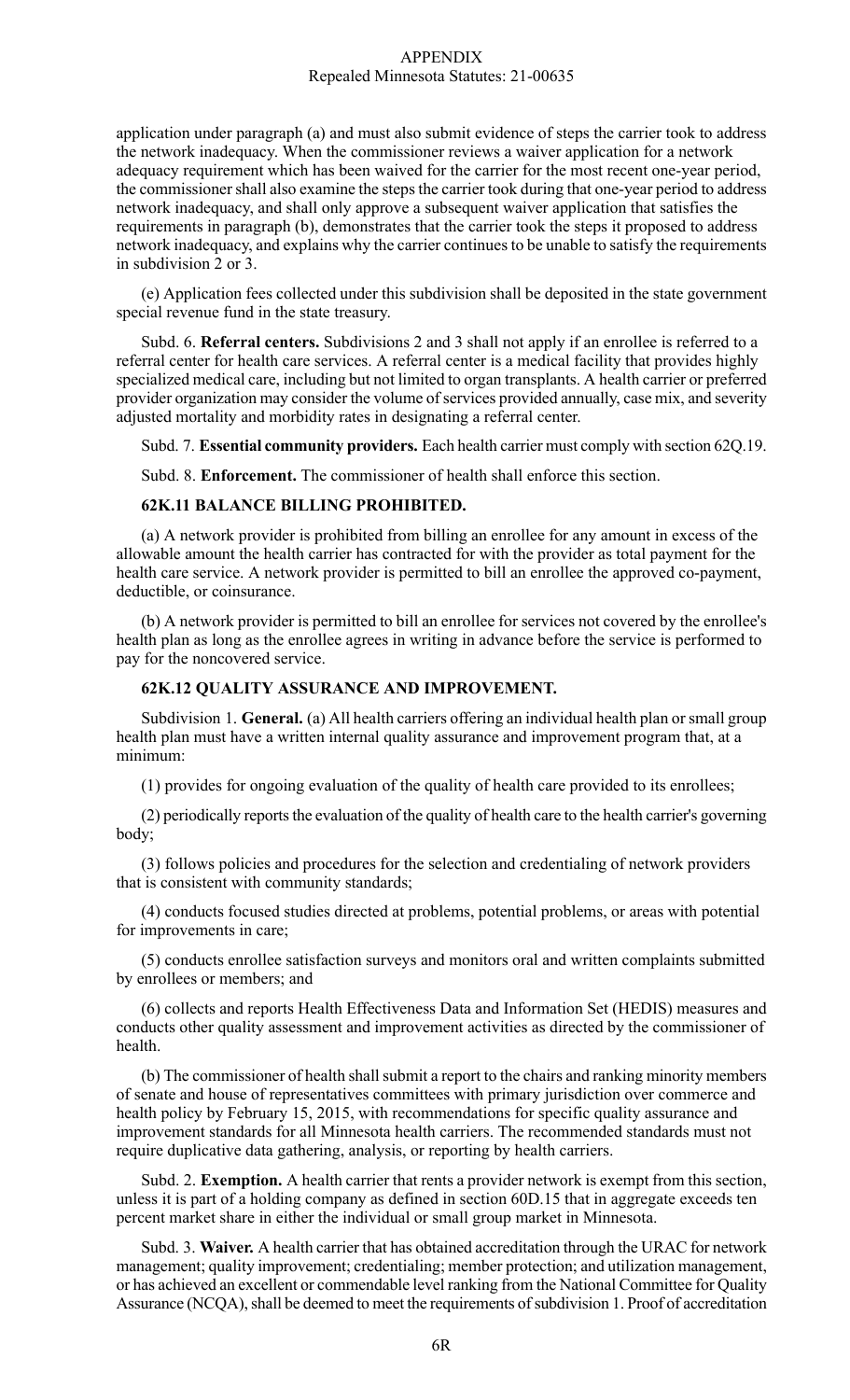application under paragraph (a) and must also submit evidence of steps the carrier took to address the network inadequacy. When the commissioner reviews a waiver application for a network adequacy requirement which has been waived for the carrier for the most recent one-year period, the commissioner shall also examine the steps the carrier took during that one-year period to address network inadequacy, and shall only approve a subsequent waiver application that satisfies the requirements in paragraph (b), demonstrates that the carrier took the steps it proposed to address network inadequacy, and explains why the carrier continuesto be unable to satisfy the requirements in subdivision 2 or 3.

(e) Application fees collected under this subdivision shall be deposited in the state government special revenue fund in the state treasury.

Subd. 6. **Referral centers.** Subdivisions 2 and 3 shall not apply if an enrollee is referred to a referral center for health care services. A referral center is a medical facility that provides highly specialized medical care, including but not limited to organ transplants. A health carrier or preferred provider organization may consider the volume of services provided annually, case mix, and severity adjusted mortality and morbidity rates in designating a referral center.

Subd. 7. **Essential community providers.** Each health carrier must comply with section 62Q.19.

Subd. 8. **Enforcement.** The commissioner of health shall enforce this section.

#### **62K.11 BALANCE BILLING PROHIBITED.**

(a) A network provider is prohibited from billing an enrollee for any amount in excess of the allowable amount the health carrier has contracted for with the provider as total payment for the health care service. A network provider is permitted to bill an enrollee the approved co-payment, deductible, or coinsurance.

(b) A network provider is permitted to bill an enrollee for services not covered by the enrollee's health plan as long as the enrollee agrees in writing in advance before the service is performed to pay for the noncovered service.

# **62K.12 QUALITY ASSURANCE AND IMPROVEMENT.**

Subdivision 1. **General.** (a) All health carriers offering an individual health plan or small group health plan must have a written internal quality assurance and improvement program that, at a minimum:

(1) provides for ongoing evaluation of the quality of health care provided to its enrollees;

(2) periodically reportsthe evaluation of the quality of health care to the health carrier's governing body;

(3) follows policies and procedures for the selection and credentialing of network providers that is consistent with community standards;

(4) conducts focused studies directed at problems, potential problems, or areas with potential for improvements in care;

(5) conducts enrollee satisfaction surveys and monitors oral and written complaints submitted by enrollees or members; and

(6) collects and reports Health Effectiveness Data and Information Set (HEDIS) measures and conducts other quality assessment and improvement activities as directed by the commissioner of health.

(b) The commissioner of health shall submit a report to the chairs and ranking minority members of senate and house of representatives committees with primary jurisdiction over commerce and health policy by February 15, 2015, with recommendations for specific quality assurance and improvement standards for all Minnesota health carriers. The recommended standards must not require duplicative data gathering, analysis, or reporting by health carriers.

Subd. 2. **Exemption.** A health carrier that rents a provider network is exempt from this section, unless it is part of a holding company as defined in section 60D.15 that in aggregate exceeds ten percent market share in either the individual or small group market in Minnesota.

Subd. 3. **Waiver.** A health carrier that has obtained accreditation through the URAC for network management; quality improvement; credentialing; member protection; and utilization management, or has achieved an excellent or commendable level ranking from the National Committee for Quality Assurance (NCQA), shall be deemed to meet the requirements of subdivision 1. Proof of accreditation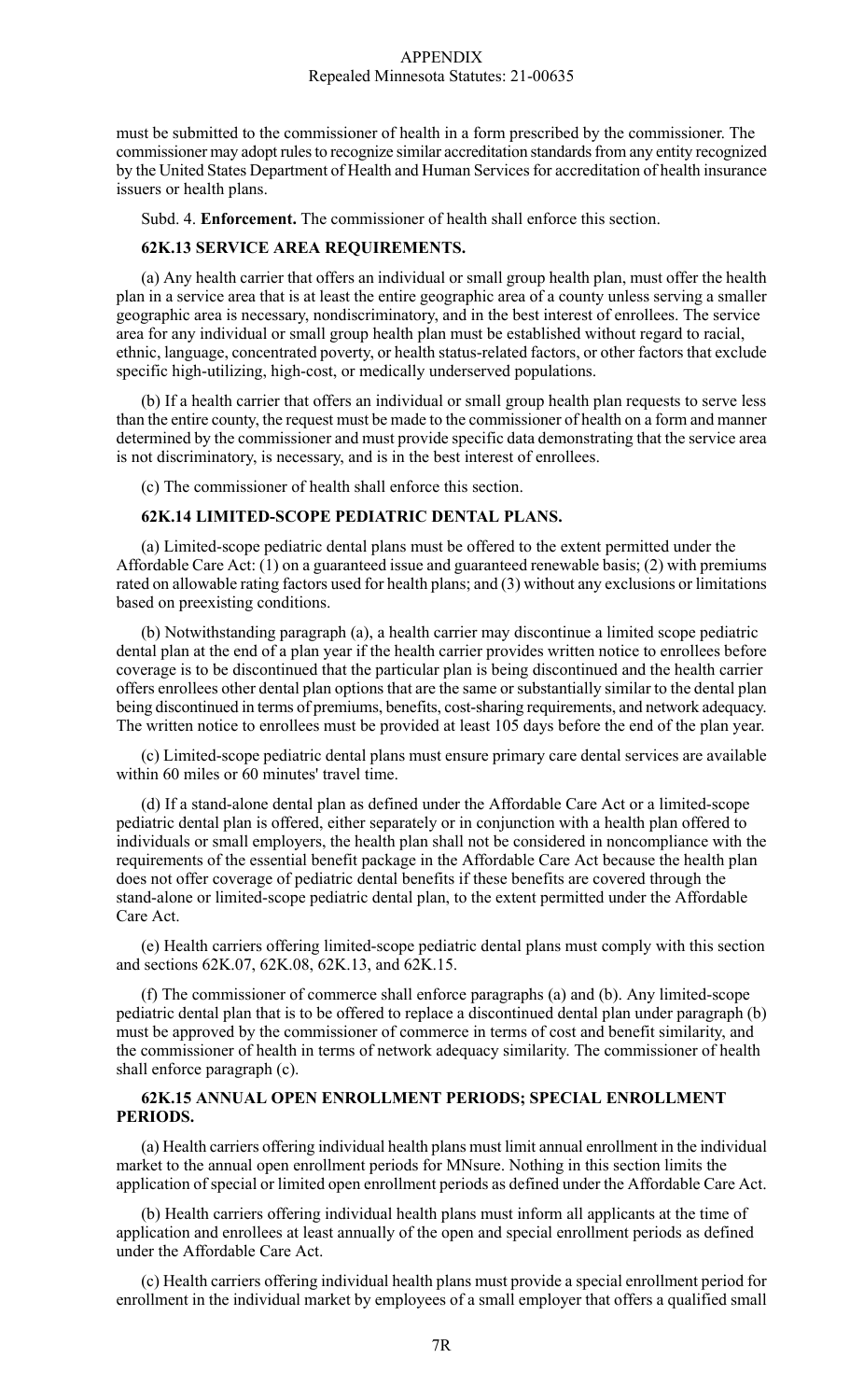must be submitted to the commissioner of health in a form prescribed by the commissioner. The commissioner may adopt rules to recognize similar accreditation standards from any entity recognized by the United States Department of Health and Human Services for accreditation of health insurance issuers or health plans.

Subd. 4. **Enforcement.** The commissioner of health shall enforce this section.

### **62K.13 SERVICE AREA REQUIREMENTS.**

(a) Any health carrier that offers an individual or small group health plan, must offer the health plan in a service area that is at least the entire geographic area of a county unless serving a smaller geographic area is necessary, nondiscriminatory, and in the best interest of enrollees. The service area for any individual or small group health plan must be established without regard to racial, ethnic, language, concentrated poverty, or health status-related factors, or other factors that exclude specific high-utilizing, high-cost, or medically underserved populations.

(b) If a health carrier that offers an individual or small group health plan requests to serve less than the entire county, the request must be made to the commissioner of health on a form and manner determined by the commissioner and must provide specific data demonstrating that the service area is not discriminatory, is necessary, and is in the best interest of enrollees.

(c) The commissioner of health shall enforce this section.

## **62K.14 LIMITED-SCOPE PEDIATRIC DENTAL PLANS.**

(a) Limited-scope pediatric dental plans must be offered to the extent permitted under the Affordable Care Act: (1) on a guaranteed issue and guaranteed renewable basis; (2) with premiums rated on allowable rating factors used for health plans; and (3) without any exclusions or limitations based on preexisting conditions.

(b) Notwithstanding paragraph (a), a health carrier may discontinue a limited scope pediatric dental plan at the end of a plan year if the health carrier provides written notice to enrollees before coverage is to be discontinued that the particular plan is being discontinued and the health carrier offers enrollees other dental plan options that are the same or substantially similar to the dental plan being discontinued in terms of premiums, benefits, cost-sharing requirements, and network adequacy. The written notice to enrollees must be provided at least 105 days before the end of the plan year.

(c) Limited-scope pediatric dental plans must ensure primary care dental services are available within 60 miles or 60 minutes' travel time.

(d) If a stand-alone dental plan as defined under the Affordable Care Act or a limited-scope pediatric dental plan is offered, either separately or in conjunction with a health plan offered to individuals or small employers, the health plan shall not be considered in noncompliance with the requirements of the essential benefit package in the Affordable Care Act because the health plan does not offer coverage of pediatric dental benefits if these benefits are covered through the stand-alone or limited-scope pediatric dental plan, to the extent permitted under the Affordable Care Act.

(e) Health carriers offering limited-scope pediatric dental plans must comply with this section and sections 62K.07, 62K.08, 62K.13, and 62K.15.

(f) The commissioner of commerce shall enforce paragraphs (a) and (b). Any limited-scope pediatric dental plan that is to be offered to replace a discontinued dental plan under paragraph (b) must be approved by the commissioner of commerce in terms of cost and benefit similarity, and the commissioner of health in terms of network adequacy similarity. The commissioner of health shall enforce paragraph (c).

# **62K.15 ANNUAL OPEN ENROLLMENT PERIODS; SPECIAL ENROLLMENT PERIODS.**

(a) Health carriers offering individual health plans must limit annual enrollment in the individual market to the annual open enrollment periods for MNsure. Nothing in this section limits the application of special or limited open enrollment periods as defined under the Affordable Care Act.

(b) Health carriers offering individual health plans must inform all applicants at the time of application and enrollees at least annually of the open and special enrollment periods as defined under the Affordable Care Act.

(c) Health carriers offering individual health plans must provide a special enrollment period for enrollment in the individual market by employees of a small employer that offers a qualified small